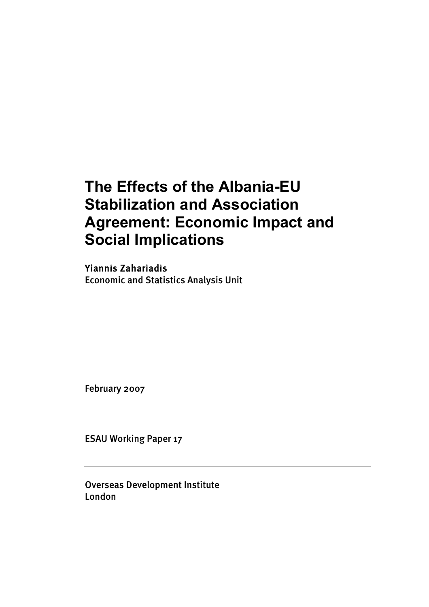# **The Effects of the Albania-EU Stabilization and Association Agreement: Economic Impact and Social Implications**

Yiannis Zahariadis Economic and Statistics Analysis Unit

February 2007

ESAU Working Paper 17

Overseas Development Institute London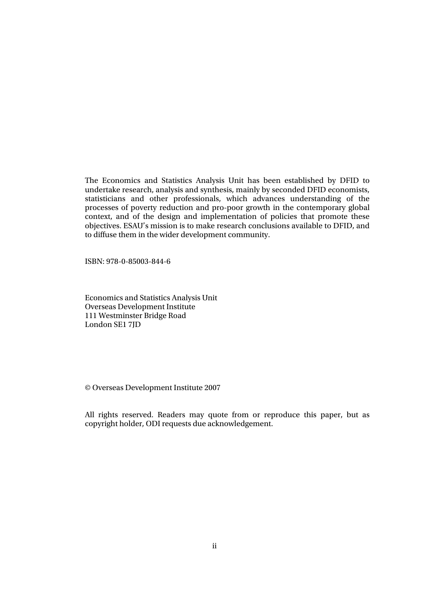The Economics and Statistics Analysis Unit has been established by DFID to undertake research, analysis and synthesis, mainly by seconded DFID economists, statisticians and other professionals, which advances understanding of the processes of poverty reduction and pro-poor growth in the contemporary global context, and of the design and implementation of policies that promote these objectives. ESAU's mission is to make research conclusions available to DFID, and to diffuse them in the wider development community.

ISBN: 978-0-85003-844-6

Economics and Statistics Analysis Unit Overseas Development Institute 111 Westminster Bridge Road London SE1 7JD

© Overseas Development Institute 2007

All rights reserved. Readers may quote from or reproduce this paper, but as copyright holder, ODI requests due acknowledgement.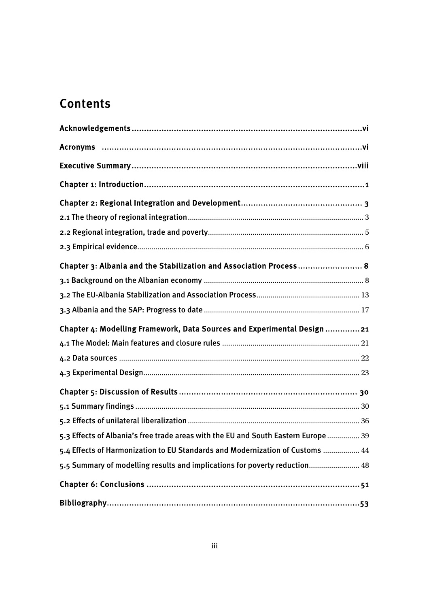# **Contents**

| Acronyms ……………………………………………………………………………………………vi                                     |
|------------------------------------------------------------------------------------|
|                                                                                    |
|                                                                                    |
|                                                                                    |
|                                                                                    |
|                                                                                    |
|                                                                                    |
| Chapter 3: Albania and the Stabilization and Association Process 8                 |
|                                                                                    |
|                                                                                    |
|                                                                                    |
| Chapter 4: Modelling Framework, Data Sources and Experimental Design 21            |
|                                                                                    |
|                                                                                    |
|                                                                                    |
|                                                                                    |
|                                                                                    |
|                                                                                    |
| 5.3 Effects of Albania's free trade areas with the EU and South Eastern Europe  39 |
| 5.4 Effects of Harmonization to EU Standards and Modernization of Customs  44      |
| 5.5 Summary of modelling results and implications for poverty reduction 48         |
|                                                                                    |
|                                                                                    |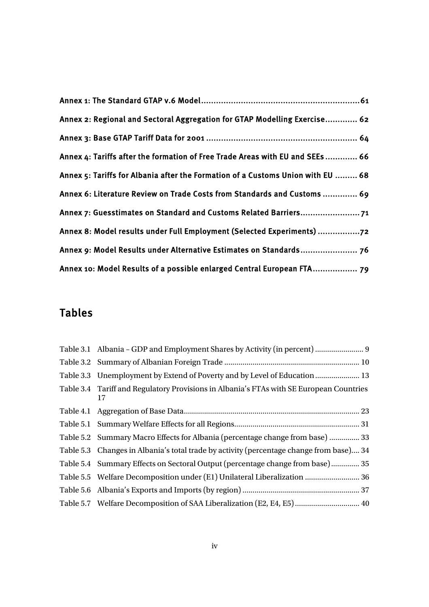| Annex 2: Regional and Sectoral Aggregation for GTAP Modelling Exercise 62       |
|---------------------------------------------------------------------------------|
|                                                                                 |
| Annex 4: Tariffs after the formation of Free Trade Areas with EU and SEEs 66    |
| Annex 5: Tariffs for Albania after the Formation of a Customs Union with EU  68 |
| Annex 6: Literature Review on Trade Costs from Standards and Customs  69        |
|                                                                                 |
| Annex 8: Model results under Full Employment (Selected Experiments) 72          |
|                                                                                 |
| Annex 10: Model Results of a possible enlarged Central European FTA 79          |

## Tables

| Table 3.1 Albania - GDP and Employment Shares by Activity (in percent)  9                     |
|-----------------------------------------------------------------------------------------------|
|                                                                                               |
| Table 3.3 Unemployment by Extend of Poverty and by Level of Education  13                     |
| Table 3.4 Tariff and Regulatory Provisions in Albania's FTAs with SE European Countries<br>17 |
|                                                                                               |
|                                                                                               |
| Table 5.2 Summary Macro Effects for Albania (percentage change from base)  33                 |
| Table 5.3 Changes in Albania's total trade by activity (percentage change from base) 34       |
| Table 5.4 Summary Effects on Sectoral Output (percentage change from base) 35                 |
| Table 5.5 Welfare Decomposition under (E1) Unilateral Liberalization  36                      |
|                                                                                               |
| Table 5.7 Welfare Decomposition of SAA Liberalization (E2, E4, E5) 40                         |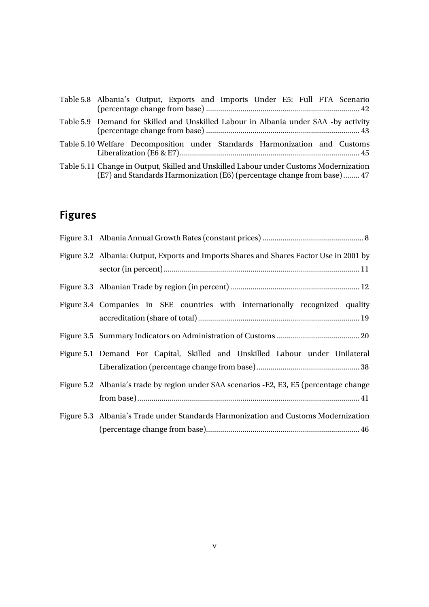| Table 5.8 Albania's Output, Exports and Imports Under E5: Full FTA Scenario                                                                                     |
|-----------------------------------------------------------------------------------------------------------------------------------------------------------------|
| Table 5.9 Demand for Skilled and Unskilled Labour in Albania under SAA -by activity                                                                             |
| Table 5.10 Welfare Decomposition under Standards Harmonization and Customs                                                                                      |
| Table 5.11 Change in Output, Skilled and Unskilled Labour under Customs Modernization<br>(E7) and Standards Harmonization (E6) (percentage change from base) 47 |

# Figures

| Figure 3.2 Albania: Output, Exports and Imports Shares and Shares Factor Use in 2001 by  |
|------------------------------------------------------------------------------------------|
|                                                                                          |
| Figure 3.4 Companies in SEE countries with internationally recognized quality            |
|                                                                                          |
| Figure 5.1 Demand For Capital, Skilled and Unskilled Labour under Unilateral             |
| Figure 5.2 Albania's trade by region under SAA scenarios - E2, E3, E5 (percentage change |
| Figure 5.3 Albania's Trade under Standards Harmonization and Customs Modernization       |
|                                                                                          |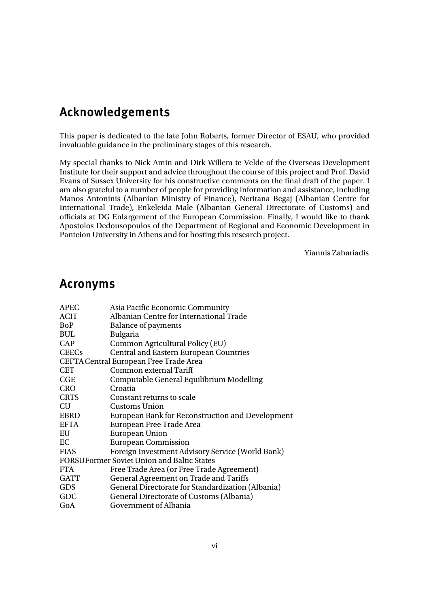## Acknowledgements

This paper is dedicated to the late John Roberts, former Director of ESAU, who provided invaluable guidance in the preliminary stages of this research.

My special thanks to Nick Amin and Dirk Willem te Velde of the Overseas Development Institute for their support and advice throughout the course of this project and Prof. David Evans of Sussex University for his constructive comments on the final draft of the paper. I am also grateful to a number of people for providing information and assistance, including Manos Antoninis (Albanian Ministry of Finance), Neritana Begaj (Albanian Centre for International Trade), Enkeleida Male (Albanian General Directorate of Customs) and officials at DG Enlargement of the European Commission. Finally, I would like to thank Apostolos Dedousopoulos of the Department of Regional and Economic Development in Panteion University in Athens and for hosting this research project.

Yiannis Zahariadis

## Acronyms

| <b>APEC</b>  | Asia Pacific Economic Community                   |
|--------------|---------------------------------------------------|
| <b>ACIT</b>  | Albanian Centre for International Trade           |
| BoP          | <b>Balance of payments</b>                        |
| <b>BUL</b>   | Bulgaria                                          |
| <b>CAP</b>   | Common Agricultural Policy (EU)                   |
| <b>CEECs</b> | <b>Central and Eastern European Countries</b>     |
|              | CEFTA Central European Free Trade Area            |
| <b>CET</b>   | Common external Tariff                            |
| CGE          | Computable General Equilibrium Modelling          |
| <b>CRO</b>   | Croatia                                           |
| <b>CRTS</b>  | Constant returns to scale                         |
| <b>CU</b>    | Customs Union                                     |
| <b>EBRD</b>  | European Bank for Reconstruction and Development  |
| <b>EFTA</b>  | European Free Trade Area                          |
| EU           | <b>European Union</b>                             |
| EC           | <b>European Commission</b>                        |
| <b>FIAS</b>  | Foreign Investment Advisory Service (World Bank)  |
|              | <b>FORSUFormer Soviet Union and Baltic States</b> |
| <b>FTA</b>   | Free Trade Area (or Free Trade Agreement)         |
| <b>GATT</b>  | <b>General Agreement on Trade and Tariffs</b>     |
| <b>GDS</b>   | General Directorate for Standardization (Albania) |
| GDC          | General Directorate of Customs (Albania)          |
| GoA          | Government of Albania                             |
|              |                                                   |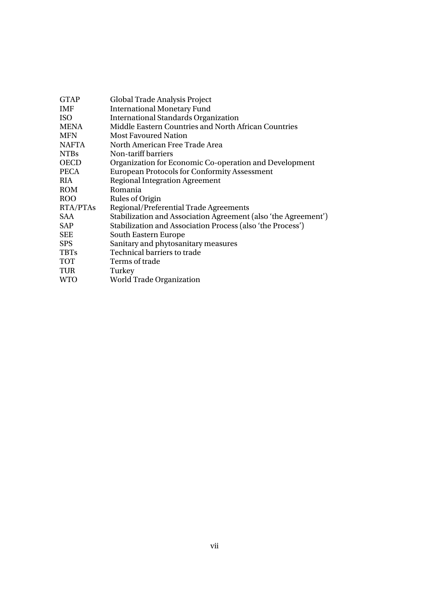| <b>GTAP</b>     | Global Trade Analysis Project                                  |
|-----------------|----------------------------------------------------------------|
| <b>IMF</b>      | <b>International Monetary Fund</b>                             |
| <b>ISO</b>      | <b>International Standards Organization</b>                    |
| <b>MENA</b>     | Middle Eastern Countries and North African Countries           |
| <b>MFN</b>      | <b>Most Favoured Nation</b>                                    |
| <b>NAFTA</b>    | North American Free Trade Area                                 |
| <b>NTBs</b>     | Non-tariff barriers                                            |
| <b>OECD</b>     | Organization for Economic Co-operation and Development         |
| <b>PECA</b>     | <b>European Protocols for Conformity Assessment</b>            |
| <b>RIA</b>      | <b>Regional Integration Agreement</b>                          |
| <b>ROM</b>      | Romania                                                        |
| <b>ROO</b>      | Rules of Origin                                                |
| <b>RTA/PTAs</b> | Regional/Preferential Trade Agreements                         |
| SAA             | Stabilization and Association Agreement (also 'the Agreement') |
| SAP             | Stabilization and Association Process (also 'the Process')     |
| <b>SEE</b>      | South Eastern Europe                                           |
| <b>SPS</b>      | Sanitary and phytosanitary measures                            |
| <b>TBTs</b>     | Technical barriers to trade                                    |
| <b>TOT</b>      | Terms of trade                                                 |
| <b>TUR</b>      | Turkey                                                         |
| <b>WTO</b>      | World Trade Organization                                       |
|                 |                                                                |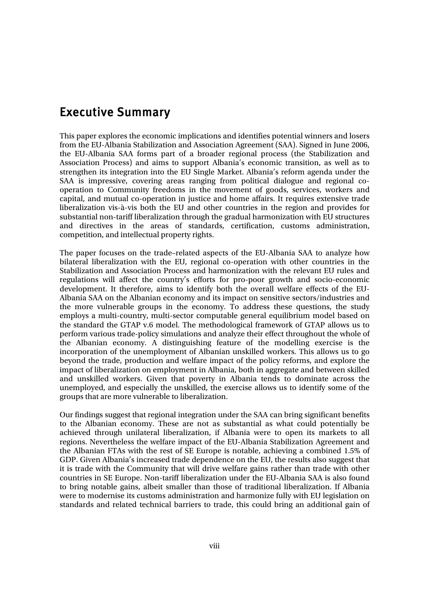## Executive Summary

This paper explores the economic implications and identifies potential winners and losers from the EU-Albania Stabilization and Association Agreement (SAA). Signed in June 2006, the EU-Albania SAA forms part of a broader regional process (the Stabilization and Association Process) and aims to support Albania's economic transition, as well as to strengthen its integration into the EU Single Market. Albania's reform agenda under the SAA is impressive, covering areas ranging from political dialogue and regional cooperation to Community freedoms in the movement of goods, services, workers and capital, and mutual co-operation in justice and home affairs. It requires extensive trade liberalization vis-à-vis both the EU and other countries in the region and provides for substantial non-tariff liberalization through the gradual harmonization with EU structures and directives in the areas of standards, certification, customs administration, competition, and intellectual property rights.

The paper focuses on the trade–related aspects of the EU-Albania SAA to analyze how bilateral liberalization with the EU, regional co-operation with other countries in the Stabilization and Association Process and harmonization with the relevant EU rules and regulations will affect the country's efforts for pro-poor growth and socio-economic development. It therefore, aims to identify both the overall welfare effects of the EU-Albania SAA on the Albanian economy and its impact on sensitive sectors/industries and the more vulnerable groups in the economy. To address these questions, the study employs a multi-country, multi-sector computable general equilibrium model based on the standard the GTAP v.6 model. The methodological framework of GTAP allows us to perform various trade-policy simulations and analyze their effect throughout the whole of the Albanian economy. A distinguishing feature of the modelling exercise is the incorporation of the unemployment of Albanian unskilled workers. This allows us to go beyond the trade, production and welfare impact of the policy reforms, and explore the impact of liberalization on employment in Albania, both in aggregate and between skilled and unskilled workers. Given that poverty in Albania tends to dominate across the unemployed, and especially the unskilled, the exercise allows us to identify some of the groups that are more vulnerable to liberalization.

Our findings suggest that regional integration under the SAA can bring significant benefits to the Albanian economy. These are not as substantial as what could potentially be achieved through unilateral liberalization, if Albania were to open its markets to all regions. Nevertheless the welfare impact of the EU-Albania Stabilization Agreement and the Albanian FTAs with the rest of SE Europe is notable, achieving a combined 1.5% of GDP. Given Albania's increased trade dependence on the EU, the results also suggest that it is trade with the Community that will drive welfare gains rather than trade with other countries in SE Europe. Non-tariff liberalization under the EU-Albania SAA is also found to bring notable gains, albeit smaller than those of traditional liberalization. If Albania were to modernise its customs administration and harmonize fully with EU legislation on standards and related technical barriers to trade, this could bring an additional gain of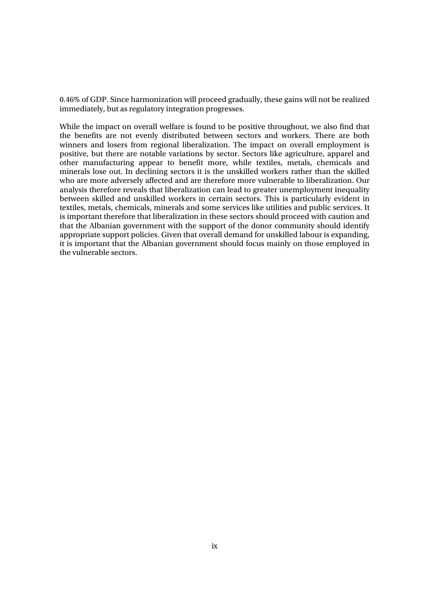0.46% of GDP. Since harmonization will proceed gradually, these gains will not be realized immediately, but as regulatory integration progresses.

While the impact on overall welfare is found to be positive throughout, we also find that the benefits are not evenly distributed between sectors and workers. There are both winners and losers from regional liberalization. The impact on overall employment is positive, but there are notable variations by sector. Sectors like agriculture, apparel and other manufacturing appear to benefit more, while textiles, metals, chemicals and minerals lose out. In declining sectors it is the unskilled workers rather than the skilled who are more adversely affected and are therefore more vulnerable to liberalization. Our analysis therefore reveals that liberalization can lead to greater unemployment inequality between skilled and unskilled workers in certain sectors. This is particularly evident in textiles, metals, chemicals, minerals and some services like utilities and public services. It is important therefore that liberalization in these sectors should proceed with caution and that the Albanian government with the support of the donor community should identify appropriate support policies. Given that overall demand for unskilled labour is expanding, it is important that the Albanian government should focus mainly on those employed in the vulnerable sectors.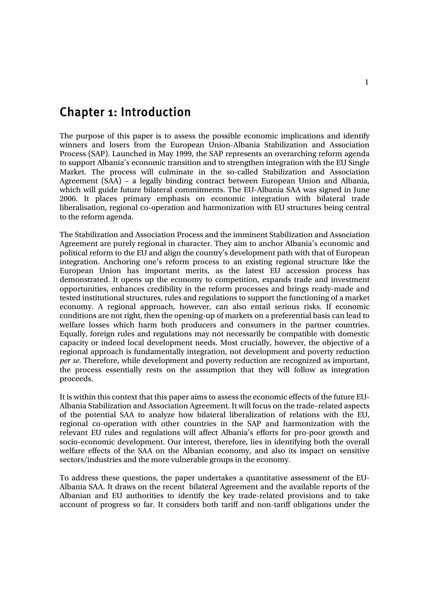## Chapter 1: Introduction

The purpose of this paper is to assess the possible economic implications and identify winners and losers from the European Union-Albania Stabilization and Association Process (SAP). Launched in May 1999, the SAP represents an overarching reform agenda to support Albania's economic transition and to strengthen integration with the EU Single Market. The process will culminate in the so-called Stabilization and Association Agreement (SAA) – a legally binding contract between European Union and Albania, which will guide future bilateral commitments. The EU-Albania SAA was signed in June 2006. It places primary emphasis on economic integration with bilateral trade liberalisation, regional co-operation and harmonization with EU structures being central to the reform agenda.

The Stabilization and Association Process and the imminent Stabilization and Association Agreement are purely regional in character. They aim to anchor Albania's economic and political reform to the EU and align the country's development path with that of European integration. Anchoring one's reform process to an existing regional structure like the European Union has important merits, as the latest EU accession process has demonstrated. It opens up the economy to competition, expands trade and investment opportunities, enhances credibility in the reform processes and brings ready-made and tested institutional structures, rules and regulations to support the functioning of a market economy. A regional approach, however, can also entail serious risks. If economic conditions are not right, then the opening-up of markets on a preferential basis can lead to welfare losses which harm both producers and consumers in the partner countries. Equally, foreign rules and regulations may not necessarily be compatible with domestic capacity or indeed local development needs. Most crucially, however, the objective of a regional approach is fundamentally integration, not development and poverty reduction *per se*. Therefore, while development and poverty reduction are recognized as important, the process essentially rests on the assumption that they will follow as integration proceeds.

It is within this context that this paper aims to assess the economic effects of the future EU-Albania Stabilization and Association Agreement. It will focus on the trade–related aspects of the potential SAA to analyze how bilateral liberalization of relations with the EU, regional co-operation with other countries in the SAP and harmonization with the relevant EU rules and regulations will affect Albania's efforts for pro-poor growth and socio-economic development. Our interest, therefore, lies in identifying both the overall welfare effects of the SAA on the Albanian economy, and also its impact on sensitive sectors/industries and the more vulnerable groups in the economy.

To address these questions, the paper undertakes a quantitative assessment of the EU-Albania SAA. It draws on the recent bilateral Agreement and the available reports of the Albanian and EU authorities to identify the key trade-related provisions and to take account of progress so far. It considers both tariff and non-tariff obligations under the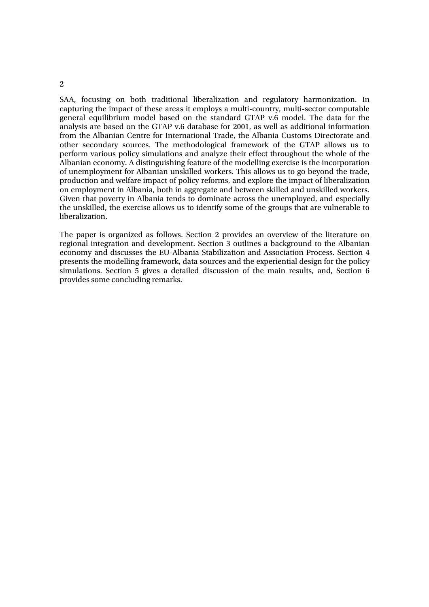SAA, focusing on both traditional liberalization and regulatory harmonization. In capturing the impact of these areas it employs a multi-country, multi-sector computable general equilibrium model based on the standard GTAP v.6 model. The data for the analysis are based on the GTAP v.6 database for 2001, as well as additional information from the Albanian Centre for International Trade, the Albania Customs Directorate and other secondary sources. The methodological framework of the GTAP allows us to perform various policy simulations and analyze their effect throughout the whole of the Albanian economy. A distinguishing feature of the modelling exercise is the incorporation of unemployment for Albanian unskilled workers. This allows us to go beyond the trade, production and welfare impact of policy reforms, and explore the impact of liberalization on employment in Albania, both in aggregate and between skilled and unskilled workers. Given that poverty in Albania tends to dominate across the unemployed, and especially the unskilled, the exercise allows us to identify some of the groups that are vulnerable to liberalization.

The paper is organized as follows. Section 2 provides an overview of the literature on regional integration and development. Section 3 outlines a background to the Albanian economy and discusses the EU-Albania Stabilization and Association Process. Section 4 presents the modelling framework, data sources and the experiential design for the policy simulations. Section 5 gives a detailed discussion of the main results, and, Section 6 provides some concluding remarks.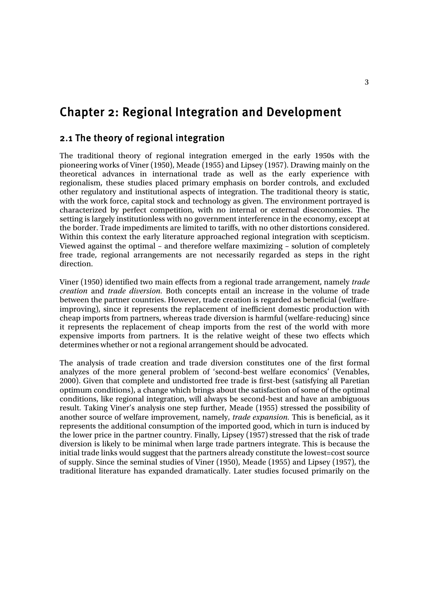## Chapter 2: Regional Integration and Development

### 2.1 The theory of regional integration

The traditional theory of regional integration emerged in the early 1950s with the pioneering works of Viner (1950), Meade (1955) and Lipsey (1957). Drawing mainly on the theoretical advances in international trade as well as the early experience with regionalism, these studies placed primary emphasis on border controls, and excluded other regulatory and institutional aspects of integration. The traditional theory is static, with the work force, capital stock and technology as given. The environment portrayed is characterized by perfect competition, with no internal or external diseconomies. The setting is largely institutionless with no government interference in the economy, except at the border. Trade impediments are limited to tariffs, with no other distortions considered. Within this context the early literature approached regional integration with scepticism. Viewed against the optimal – and therefore welfare maximizing – solution of completely free trade, regional arrangements are not necessarily regarded as steps in the right direction.

Viner (1950) identified two main effects from a regional trade arrangement, namely *trade creation* and *trade diversion*. Both concepts entail an increase in the volume of trade between the partner countries. However, trade creation is regarded as beneficial (welfareimproving), since it represents the replacement of inefficient domestic production with cheap imports from partners, whereas trade diversion is harmful (welfare-reducing) since it represents the replacement of cheap imports from the rest of the world with more expensive imports from partners. It is the relative weight of these two effects which determines whether or not a regional arrangement should be advocated.

The analysis of trade creation and trade diversion constitutes one of the first formal analyzes of the more general problem of 'second-best welfare economics' (Venables, 2000). Given that complete and undistorted free trade is first-best (satisfying all Paretian optimum conditions), a change which brings about the satisfaction of some of the optimal conditions, like regional integration, will always be second-best and have an ambiguous result. Taking Viner's analysis one step further, Meade (1955) stressed the possibility of another source of welfare improvement, namely, *trade expansion.* This is beneficial, as it represents the additional consumption of the imported good, which in turn is induced by the lower price in the partner country. Finally, Lipsey (1957) stressed that the risk of trade diversion is likely to be minimal when large trade partners integrate. This is because the initial trade links would suggest that the partners already constitute the lowest=cost source of supply. Since the seminal studies of Viner (1950), Meade (1955) and Lipsey (1957), the traditional literature has expanded dramatically. Later studies focused primarily on the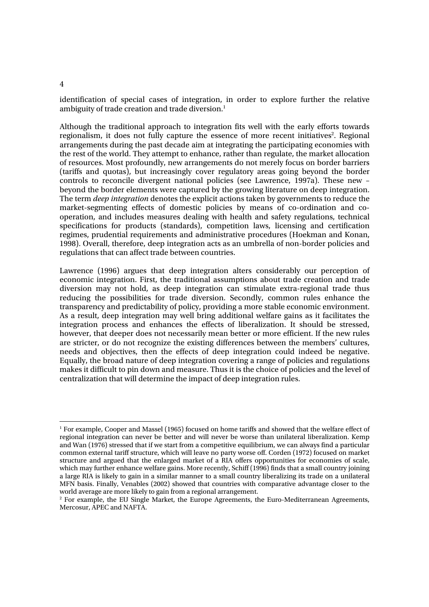identification of special cases of integration, in order to explore further the relative ambiguity of trade creation and trade diversion.<sup>1</sup>

Although the traditional approach to integration fits well with the early efforts towards regionalism, it does not fully capture the essence of more recent initiatives<sup>2</sup>. Regional arrangements during the past decade aim at integrating the participating economies with the rest of the world. They attempt to enhance, rather than regulate, the market allocation of resources. Most profoundly, new arrangements do not merely focus on border barriers (tariffs and quotas), but increasingly cover regulatory areas going beyond the border controls to reconcile divergent national policies (see Lawrence, 1997a). These new – beyond the border elements were captured by the growing literature on deep integration. The term *deep integration* denotes the explicit actions taken by governments to reduce the market-segmenting effects of domestic policies by means of co-ordination and cooperation, and includes measures dealing with health and safety regulations, technical specifications for products (standards), competition laws, licensing and certification regimes, prudential requirements and administrative procedures (Hoekman and Konan, 1998). Overall, therefore, deep integration acts as an umbrella of non-border policies and regulations that can affect trade between countries.

Lawrence (1996) argues that deep integration alters considerably our perception of economic integration. First, the traditional assumptions about trade creation and trade diversion may not hold, as deep integration can stimulate extra-regional trade thus reducing the possibilities for trade diversion. Secondly, common rules enhance the transparency and predictability of policy, providing a more stable economic environment. As a result, deep integration may well bring additional welfare gains as it facilitates the integration process and enhances the effects of liberalization. It should be stressed, however, that deeper does not necessarily mean better or more efficient. If the new rules are stricter, or do not recognize the existing differences between the members' cultures, needs and objectives, then the effects of deep integration could indeed be negative. Equally, the broad nature of deep integration covering a range of policies and regulations makes it difficult to pin down and measure. Thus it is the choice of policies and the level of centralization that will determine the impact of deep integration rules.

#### 4

<sup>1</sup> For example, Cooper and Massel (1965) focused on home tariffs and showed that the welfare effect of regional integration can never be better and will never be worse than unilateral liberalization. Kemp and Wan (1976) stressed that if we start from a competitive equilibrium, we can always find a particular common external tariff structure, which will leave no party worse off. Corden (1972) focused on market structure and argued that the enlarged market of a RIA offers opportunities for economies of scale, which may further enhance welfare gains. More recently, Schiff (1996) finds that a small country joining a large RIA is likely to gain in a similar manner to a small country liberalizing its trade on a unilateral MFN basis. Finally, Venables (2002) showed that countries with comparative advantage closer to the world average are more likely to gain from a regional arrangement. 2

<sup>&</sup>lt;sup>2</sup> For example, the EU Single Market, the Europe Agreements, the Euro-Mediterranean Agreements, Mercosur, APEC and NAFTA.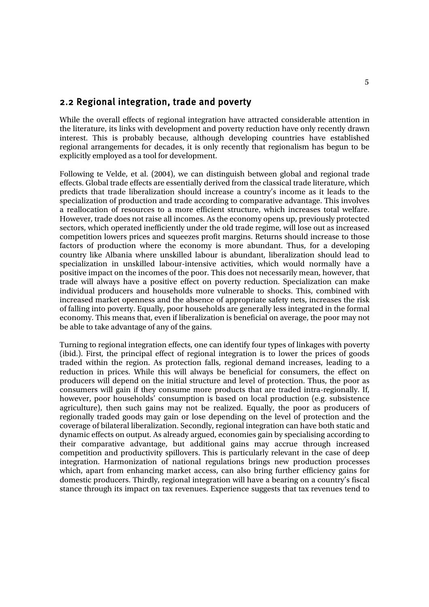### 2.2 Regional integration, trade and poverty

While the overall effects of regional integration have attracted considerable attention in the literature, its links with development and poverty reduction have only recently drawn interest. This is probably because, although developing countries have established regional arrangements for decades, it is only recently that regionalism has begun to be explicitly employed as a tool for development.

Following te Velde, et al. (2004), we can distinguish between global and regional trade effects. Global trade effects are essentially derived from the classical trade literature, which predicts that trade liberalization should increase a country's income as it leads to the specialization of production and trade according to comparative advantage. This involves a reallocation of resources to a more efficient structure, which increases total welfare. However, trade does not raise all incomes. As the economy opens up, previously protected sectors, which operated inefficiently under the old trade regime, will lose out as increased competition lowers prices and squeezes profit margins. Returns should increase to those factors of production where the economy is more abundant. Thus, for a developing country like Albania where unskilled labour is abundant, liberalization should lead to specialization in unskilled labour-intensive activities, which would normally have a positive impact on the incomes of the poor. This does not necessarily mean, however, that trade will always have a positive effect on poverty reduction. Specialization can make individual producers and households more vulnerable to shocks. This, combined with increased market openness and the absence of appropriate safety nets, increases the risk of falling into poverty. Equally, poor households are generally less integrated in the formal economy. This means that, even if liberalization is beneficial on average, the poor may not be able to take advantage of any of the gains.

Turning to regional integration effects, one can identify four types of linkages with poverty (ibid.). First, the principal effect of regional integration is to lower the prices of goods traded within the region. As protection falls, regional demand increases, leading to a reduction in prices. While this will always be beneficial for consumers, the effect on producers will depend on the initial structure and level of protection. Thus, the poor as consumers will gain if they consume more products that are traded intra-regionally. If, however, poor households' consumption is based on local production (e.g. subsistence agriculture), then such gains may not be realized. Equally, the poor as producers of regionally traded goods may gain or lose depending on the level of protection and the coverage of bilateral liberalization. Secondly, regional integration can have both static and dynamic effects on output. As already argued, economies gain by specialising according to their comparative advantage, but additional gains may accrue through increased competition and productivity spillovers. This is particularly relevant in the case of deep integration. Harmonization of national regulations brings new production processes which, apart from enhancing market access, can also bring further efficiency gains for domestic producers. Thirdly, regional integration will have a bearing on a country's fiscal stance through its impact on tax revenues. Experience suggests that tax revenues tend to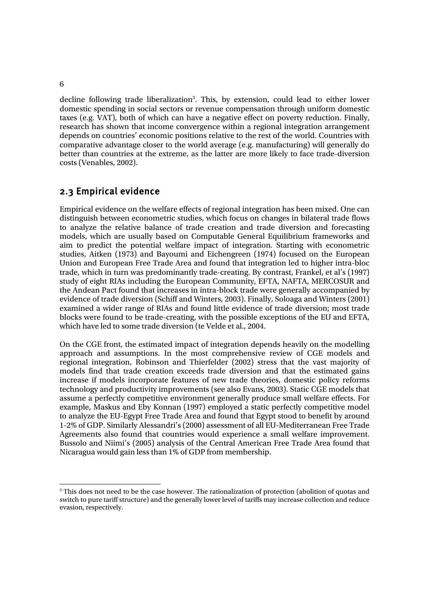decline following trade liberalization<sup>3</sup>. This, by extension, could lead to either lower domestic spending in social sectors or revenue compensation through uniform domestic taxes (e.g. VAT), both of which can have a negative effect on poverty reduction. Finally, research has shown that income convergence within a regional integration arrangement depends on countries' economic positions relative to the rest of the world. Countries with comparative advantage closer to the world average (e.g. manufacturing) will generally do better than countries at the extreme, as the latter are more likely to face trade-diversion costs (Venables, 2002).

## 2.3 Empirical evidence

Empirical evidence on the welfare effects of regional integration has been mixed. One can distinguish between econometric studies, which focus on changes in bilateral trade flows to analyze the relative balance of trade creation and trade diversion and forecasting models, which are usually based on Computable General Equilibrium frameworks and aim to predict the potential welfare impact of integration. Starting with econometric studies, Aitken (1973) and Bayoumi and Eichengreen (1974) focused on the European Union and European Free Trade Area and found that integration led to higher intra-bloc trade, which in turn was predominantly trade-creating. By contrast, Frankel, et al's (1997) study of eight RIAs including the European Community, EFTA, NAFTA, MERCOSUR and the Andean Pact found that increases in intra-block trade were generally accompanied by evidence of trade diversion (Schiff and Winters, 2003). Finally, Soloaga and Winters (2001) examined a wider range of RIAs and found little evidence of trade diversion; most trade blocks were found to be trade-creating, with the possible exceptions of the EU and EFTA, which have led to some trade diversion (te Velde et al., 2004.

On the CGE front, the estimated impact of integration depends heavily on the modelling approach and assumptions. In the most comprehensive review of CGE models and regional integration, Robinson and Thierfelder (2002) stress that the vast majority of models find that trade creation exceeds trade diversion and that the estimated gains increase if models incorporate features of new trade theories, domestic policy reforms technology and productivity improvements (see also Evans, 2003). Static CGE models that assume a perfectly competitive environment generally produce small welfare effects. For example, Maskus and Eby Konnan (1997) employed a static perfectly competitive model to analyze the EU-Egypt Free Trade Area and found that Egypt stood to benefit by around 1-2% of GDP. Similarly Alessandri's (2000) assessment of all EU-Mediterranean Free Trade Agreements also found that countries would experience a small welfare improvement. Bussolo and Niimi's (2005) analysis of the Central American Free Trade Area found that Nicaragua would gain less than 1% of GDP from membership.

6

<sup>&</sup>lt;sup>3</sup> This does not need to be the case however. The rationalization of protection (abolition of quotas and switch to pure tariff structure) and the generally lower level of tariffs may increase collection and reduce evasion, respectively.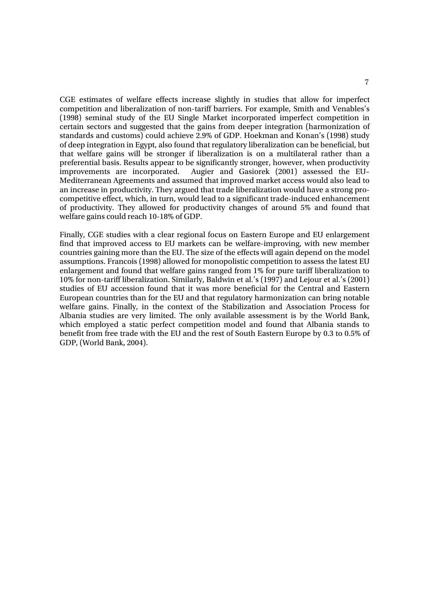CGE estimates of welfare effects increase slightly in studies that allow for imperfect competition and liberalization of non-tariff barriers. For example, Smith and Venables's (1998) seminal study of the EU Single Market incorporated imperfect competition in certain sectors and suggested that the gains from deeper integration (harmonization of standards and customs) could achieve 2.9% of GDP. Hoekman and Konan's (1998) study of deep integration in Egypt, also found that regulatory liberalization can be beneficial, but that welfare gains will be stronger if liberalization is on a multilateral rather than a preferential basis. Results appear to be significantly stronger, however, when productivity improvements are incorporated. Augier and Gasiorek (2001) assessed the EU– Mediterranean Agreements and assumed that improved market access would also lead to an increase in productivity. They argued that trade liberalization would have a strong procompetitive effect, which, in turn, would lead to a significant trade-induced enhancement of productivity. They allowed for productivity changes of around 5% and found that welfare gains could reach 10-18% of GDP.

Finally, CGE studies with a clear regional focus on Eastern Europe and EU enlargement find that improved access to EU markets can be welfare-improving, with new member countries gaining more than the EU. The size of the effects will again depend on the model assumptions. Francois (1998) allowed for monopolistic competition to assess the latest EU enlargement and found that welfare gains ranged from 1% for pure tariff liberalization to 10% for non-tariff liberalization. Similarly, Baldwin et al.'s (1997) and Lejour et al.'s (2001) studies of EU accession found that it was more beneficial for the Central and Eastern European countries than for the EU and that regulatory harmonization can bring notable welfare gains. Finally, in the context of the Stabilization and Association Process for Albania studies are very limited. The only available assessment is by the World Bank, which employed a static perfect competition model and found that Albania stands to benefit from free trade with the EU and the rest of South Eastern Europe by 0.3 to 0.5% of GDP, (World Bank, 2004).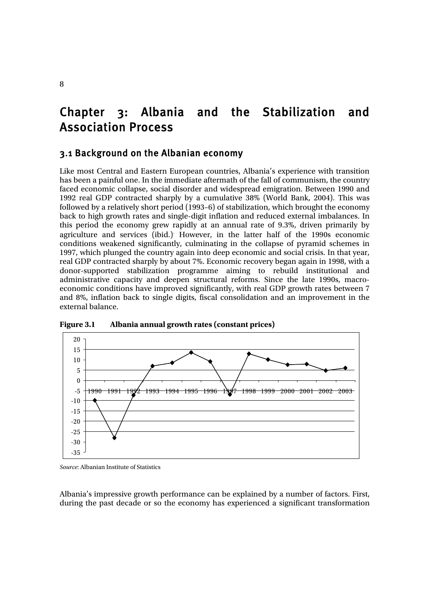# Chapter 3: Albania and the Stabilization and Association Process

### 3.1 Background on the Albanian economy

Like most Central and Eastern European countries, Albania's experience with transition has been a painful one. In the immediate aftermath of the fall of communism, the country faced economic collapse, social disorder and widespread emigration. Between 1990 and 1992 real GDP contracted sharply by a cumulative 38% (World Bank, 2004). This was followed by a relatively short period (1993–6) of stabilization, which brought the economy back to high growth rates and single-digit inflation and reduced external imbalances. In this period the economy grew rapidly at an annual rate of 9.3%, driven primarily by agriculture and services (ibid.) However, in the latter half of the 1990s economic conditions weakened significantly, culminating in the collapse of pyramid schemes in 1997, which plunged the country again into deep economic and social crisis. In that year, real GDP contracted sharply by about 7%. Economic recovery began again in 1998, with a donor-supported stabilization programme aiming to rebuild institutional and administrative capacity and deepen structural reforms. Since the late 1990s, macroeconomic conditions have improved significantly, with real GDP growth rates between 7 and 8%, inflation back to single digits, fiscal consolidation and an improvement in the external balance.



**Figure 3.1 Albania annual growth rates (constant prices)** 

*Source*: Albanian Institute of Statistics

Albania's impressive growth performance can be explained by a number of factors. First, during the past decade or so the economy has experienced a significant transformation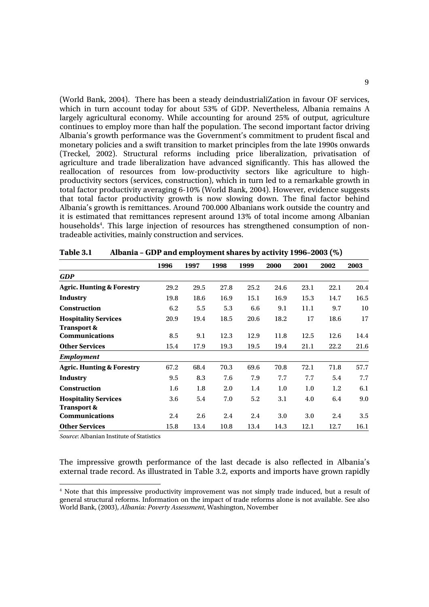(World Bank, 2004). There has been a steady deindustrialiZation in favour OF services, which in turn account today for about 53% of GDP. Nevertheless, Albania remains A largely agricultural economy. While accounting for around 25% of output, agriculture continues to employ more than half the population. The second important factor driving Albania's growth performance was the Government's commitment to prudent fiscal and monetary policies and a swift transition to market principles from the late 1990s onwards (Treckel, 2002). Structural reforms including price liberalization, privatisation of agriculture and trade liberalization have advanced significantly. This has allowed the reallocation of resources from low-productivity sectors like agriculture to highproductivity sectors (services, construction), which in turn led to a remarkable growth in total factor productivity averaging 6-10% (World Bank, 2004). However, evidence suggests that total factor productivity growth is now slowing down. The final factor behind Albania's growth is remittances. Around 700.000 Albanians work outside the country and it is estimated that remittances represent around 13% of total income among Albanian households<sup>4</sup>. This large injection of resources has strengthened consumption of nontradeable activities, mainly construction and services.

|                                      | 1996 | 1997 | 1998 | 1999 | 2000 | 2001 | 2002 | 2003 |
|--------------------------------------|------|------|------|------|------|------|------|------|
| <b>GDP</b>                           |      |      |      |      |      |      |      |      |
| <b>Agric. Hunting &amp; Forestry</b> | 29.2 | 29.5 | 27.8 | 25.2 | 24.6 | 23.1 | 22.1 | 20.4 |
| Industry                             | 19.8 | 18.6 | 16.9 | 15.1 | 16.9 | 15.3 | 14.7 | 16.5 |
| <b>Construction</b>                  | 6.2  | 5.5  | 5.3  | 6.6  | 9.1  | 11.1 | 9.7  | 10   |
| <b>Hospitality Services</b>          | 20.9 | 19.4 | 18.5 | 20.6 | 18.2 | 17   | 18.6 | 17   |
| <b>Transport &amp;</b>               |      |      |      |      |      |      |      |      |
| <b>Communications</b>                | 8.5  | 9.1  | 12.3 | 12.9 | 11.8 | 12.5 | 12.6 | 14.4 |
| <b>Other Services</b>                | 15.4 | 17.9 | 19.3 | 19.5 | 19.4 | 21.1 | 22.2 | 21.6 |
| <b>Employment</b>                    |      |      |      |      |      |      |      |      |
| <b>Agric. Hunting &amp; Forestry</b> | 67.2 | 68.4 | 70.3 | 69.6 | 70.8 | 72.1 | 71.8 | 57.7 |
| Industry                             | 9.5  | 8.3  | 7.6  | 7.9  | 7.7  | 7.7  | 5.4  | 7.7  |
| <b>Construction</b>                  | 1.6  | 1.8  | 2.0  | 1.4  | 1.0  | 1.0  | 1.2  | 6.1  |
| <b>Hospitality Services</b>          | 3.6  | 5.4  | 7.0  | 5.2  | 3.1  | 4.0  | 6.4  | 9.0  |
| <b>Transport &amp;</b>               |      |      |      |      |      |      |      |      |
| <b>Communications</b>                | 2.4  | 2.6  | 2.4  | 2.4  | 3.0  | 3.0  | 2.4  | 3.5  |
| <b>Other Services</b>                | 15.8 | 13.4 | 10.8 | 13.4 | 14.3 | 12.1 | 12.7 | 16.1 |

**Table 3.1 Albania – GDP and employment shares by activity 1996–2003 (%)** 

*Source*: Albanian Institute of Statistics

The impressive growth performance of the last decade is also reflected in Albania's external trade record. As illustrated in Table 3.2, exports and imports have grown rapidly

<sup>&</sup>lt;sup>4</sup> Note that this impressive productivity improvement was not simply trade induced, but a result of general structural reforms. Information on the impact of trade reforms alone is not available. See also World Bank, (2003), *Albania: Poverty Assessment*, Washington, November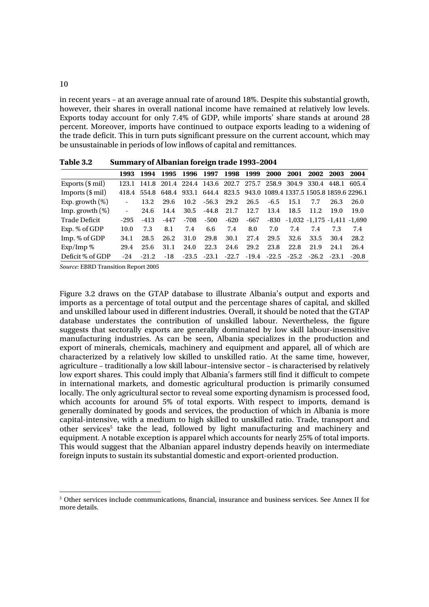in recent years – at an average annual rate of around 18%. Despite this substantial growth, however, their shares in overall national income have remained at relatively low levels. Exports today account for only 7.4% of GDP, while imports' share stands at around 28 percent. Moreover, imports have continued to outpace exports leading to a widening of the trade deficit. This in turn puts significant pressure on the current account, which may be unsustainable in periods of low inflows of capital and remittances.

|                           | 1993              |         | 1994 1995 1996 1997 |      |                               |         | 1998 1999 |      | 2000 2001   |                                                                              | 2002 2003 | 2004    |
|---------------------------|-------------------|---------|---------------------|------|-------------------------------|---------|-----------|------|-------------|------------------------------------------------------------------------------|-----------|---------|
| Exports $(\$ \text{mil})$ |                   |         |                     |      |                               |         |           |      |             | 123.1 141.8 201.4 224.4 143.6 202.7 275.7 258.9 304.9 330.4 448.1 605.4      |           |         |
| Imports $(\$ \text{mil})$ |                   |         |                     |      |                               |         |           |      |             | 418.4 554.8 648.4 933.1 644.4 823.5 943.0 1089.4 1337.5 1505.8 1859.6 2296.1 |           |         |
| Exp. growth $(\%)$        |                   | 13.2    | 29.6                |      | $10.2 \quad -56.3 \quad 29.2$ |         | 26.5      |      | $-6.5$ 15.1 | 7.7                                                                          | 26.3      | 26.0    |
| Imp. growth $(\%)$        | $\Delta \sim 100$ | 24.6    | 14.4                |      | $30.5$ $-44.8$ $21.7$         |         | 12.7      | 13.4 | 18.5        | 11.2                                                                         | 19.0      | 19.0    |
| Trade Deficit             | -295              | -413    | -447                |      | -708 -500                     | -620    | -667      |      |             | $-830$ $-1,032$ $-1,175$ $-1,411$ $-1,690$                                   |           |         |
| Exp. % of GDP             | 10.0              | 7.3     | 8.1                 | 7.4  |                               | 6.6 7.4 | 8.0       | 7.0  | 7.4         | 7.4                                                                          | 7.3       | 7.4     |
| Imp. % of GDP             | 34.1              | 28.5    | 26.2                | 31.0 | 29.8                          | 30.1    | 27.4      | 29.5 | 32.6        | 33.5                                                                         | 30.4      | 28.2    |
| $Exp/Imp$ %               | 29.4              | 25.6    | 31.1                | 24.0 | 22.3                          | 24.6    | 29.2      | 23.8 | 22.8        | 21.9                                                                         | 24.1      | 26.4    |
| Deficit % of GDP          | $-24$             | $-21.2$ | -18                 |      |                               |         |           |      |             | $-23.5$ $-23.1$ $-22.7$ $-19.4$ $-22.5$ $-25.2$ $-26.2$ $-23.1$              |           | $-20.8$ |
|                           |                   |         |                     |      |                               |         |           |      |             |                                                                              |           |         |

**Table 3.2 Summary of Albanian foreign trade 1993–2004** 

*Source*: EBRD Transition Report 2005

Figure 3.2 draws on the GTAP database to illustrate Albania's output and exports and imports as a percentage of total output and the percentage shares of capital, and skilled and unskilled labour used in different industries. Overall, it should be noted that the GTAP database understates the contribution of unskilled labour. Nevertheless, the figure suggests that sectorally exports are generally dominated by low skill labour-insensitive manufacturing industries. As can be seen, Albania specializes in the production and export of minerals, chemicals, machinery and equipment and apparel, all of which are characterized by a relatively low skilled to unskilled ratio. At the same time, however, agriculture – traditionally a low skill labour–intensive sector – is characterised by relatively low export shares. This could imply that Albania's farmers still find it difficult to compete in international markets, and domestic agricultural production is primarily consumed locally. The only agricultural sector to reveal some exporting dynamism is processed food, which accounts for around 5% of total exports. With respect to imports, demand is generally dominated by goods and services, the production of which in Albania is more capital-intensive, with a medium to high skilled to unskilled ratio. Trade, transport and other services<sup>5</sup> take the lead, followed by light manufacturing and machinery and equipment. A notable exception is apparel which accounts for nearly 25% of total imports. This would suggest that the Albanian apparel industry depends heavily on intermediate foreign inputs to sustain its substantial domestic and export-oriented production.

<sup>5</sup> Other services include communications, financial, insurance and business services. See Annex II for more details.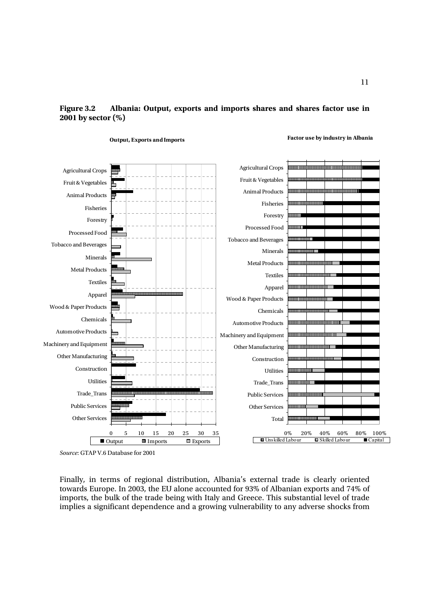### **Figure 3.2 Albania: Output, exports and imports shares and shares factor use in 2001 by sector (%)**



**Output, Exports and Imports**

**Factor use by industry in Albania**

Finally, in terms of regional distribution, Albania's external trade is clearly oriented towards Europe. In 2003, the EU alone accounted for 93% of Albanian exports and 74% of imports, the bulk of the trade being with Italy and Greece. This substantial level of trade implies a significant dependence and a growing vulnerability to any adverse shocks from

*Source*: GTAP V.6 Database for 2001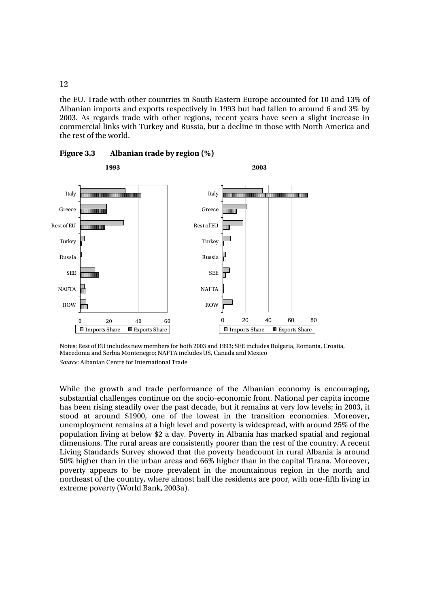the EU. Trade with other countries in South Eastern Europe accounted for 10 and 13% of Albanian imports and exports respectively in 1993 but had fallen to around 6 and 3% by 2003. As regards trade with other regions, recent years have seen a slight increase in commercial links with Turkey and Russia, but a decline in those with North America and the rest of the world.



**Figure 3.3 Albanian trade by region (%)** 

Notes: Rest of EU includes new members for both 2003 and 1993; SEE includes Bulgaria, Romania, Croatia, Macedonia and Serbia Montenegro; NAFTA includes US, Canada and Mexico *Source*: Albanian Centre for International Trade

While the growth and trade performance of the Albanian economy is encouraging, substantial challenges continue on the socio-economic front. National per capita income has been rising steadily over the past decade, but it remains at very low levels; in 2003, it stood at around \$1900, one of the lowest in the transition economies. Moreover, unemployment remains at a high level and poverty is widespread, with around 25% of the population living at below \$2 a day. Poverty in Albania has marked spatial and regional dimensions. The rural areas are consistently poorer than the rest of the country. A recent Living Standards Survey showed that the poverty headcount in rural Albania is around 50% higher than in the urban areas and 66% higher than in the capital Tirana. Moreover, poverty appears to be more prevalent in the mountainous region in the north and northeast of the country, where almost half the residents are poor, with one-fifth living in extreme poverty (World Bank, 2003a).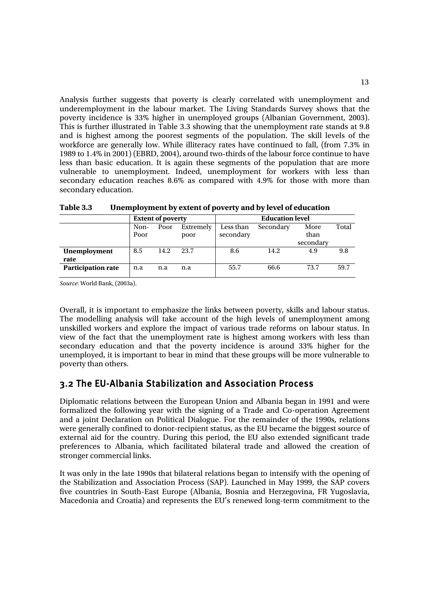Analysis further suggests that poverty is clearly correlated with unemployment and underemployment in the labour market. The Living Standards Survey shows that the poverty incidence is 33% higher in unemployed groups (Albanian Government, 2003). This is further illustrated in Table 3.3 showing that the unemployment rate stands at 9.8 and is highest among the poorest segments of the population. The skill levels of the workforce are generally low. While illiteracy rates have continued to fall, (from 7.3% in 1989 to 1.4% in 2001) (EBRD, 2004), around two-thirds of the labour force continue to have less than basic education. It is again these segments of the population that are more vulnerable to unemployment. Indeed, unemployment for workers with less than secondary education reaches 8.6% as compared with 4.9% for those with more than secondary education.

|                           |                           | <b>Extent of poverty</b> |           | <b>Education level</b> |      |       |     |  |  |
|---------------------------|---------------------------|--------------------------|-----------|------------------------|------|-------|-----|--|--|
|                           | Extremely<br>Non-<br>Poor |                          | Less than | Secondary              | More | Total |     |  |  |
|                           | Poor<br>poor              |                          | secondary |                        | than |       |     |  |  |
|                           |                           |                          |           | secondary              |      |       |     |  |  |
| <b>Unemployment</b>       | 8.5                       | 14.2                     | 23.7      | 14.2<br>8.6<br>4.9     |      |       | 9.8 |  |  |
| rate                      |                           |                          |           |                        |      |       |     |  |  |
| <b>Participation rate</b> | n.a<br>n.a<br>n.a         |                          | 55.7      | 66.6                   | 73.7 | 59.7  |     |  |  |
|                           |                           |                          |           |                        |      |       |     |  |  |

**Table 3.3 Unemployment by extent of poverty and by level of education** 

*Source*: World Bank, (2003a).

Overall, it is important to emphasize the links between poverty, skills and labour status. The modelling analysis will take account of the high levels of unemployment among unskilled workers and explore the impact of various trade reforms on labour status. In view of the fact that the unemployment rate is highest among workers with less than secondary education and that the poverty incidence is around 33% higher for the unemployed, it is important to bear in mind that these groups will be more vulnerable to poverty than others.

## 3.2 The EU-Albania Stabilization and Association Process

Diplomatic relations between the European Union and Albania began in 1991 and were formalized the following year with the signing of a Trade and Co-operation Agreement and a joint Declaration on Political Dialogue. For the remainder of the 1990s, relations were generally confined to donor-recipient status, as the EU became the biggest source of external aid for the country. During this period, the EU also extended significant trade preferences to Albania, which facilitated bilateral trade and allowed the creation of stronger commercial links.

It was only in the late 1990s that bilateral relations began to intensify with the opening of the Stabilization and Association Process (SAP). Launched in May 1999, the SAP covers five countries in South-East Europe (Albania, Bosnia and Herzegovina, FR Yugoslavia, Macedonia and Croatia) and represents the EU's renewed long-term commitment to the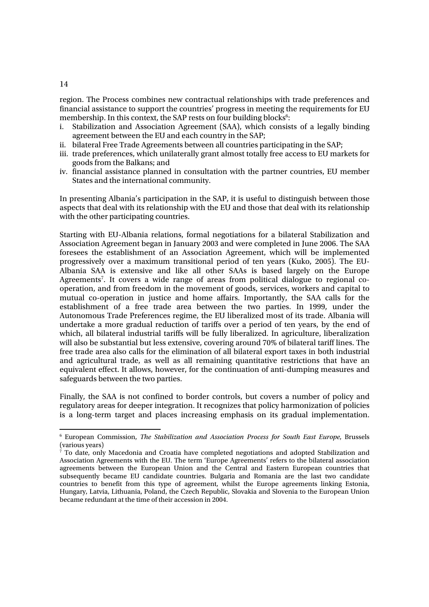region. The Process combines new contractual relationships with trade preferences and financial assistance to support the countries' progress in meeting the requirements for EU membership. In this context, the SAP rests on four building blocks<sup>6</sup>:

- i. Stabilization and Association Agreement (SAA), which consists of a legally binding agreement between the EU and each country in the SAP;
- ii. bilateral Free Trade Agreements between all countries participating in the SAP;
- iii. trade preferences, which unilaterally grant almost totally free access to EU markets for goods from the Balkans; and
- iv. financial assistance planned in consultation with the partner countries, EU member States and the international community.

In presenting Albania's participation in the SAP, it is useful to distinguish between those aspects that deal with its relationship with the EU and those that deal with its relationship with the other participating countries.

Starting with EU-Albania relations, formal negotiations for a bilateral Stabilization and Association Agreement began in January 2003 and were completed in June 2006. The SAA foresees the establishment of an Association Agreement, which will be implemented progressively over a maximum transitional period of ten years (Kuko, 2005). The EU-Albania SAA is extensive and like all other SAAs is based largely on the Europe Agreements<sup>7</sup>. It covers a wide range of areas from political dialogue to regional cooperation, and from freedom in the movement of goods, services, workers and capital to mutual co-operation in justice and home affairs. Importantly, the SAA calls for the establishment of a free trade area between the two parties. In 1999, under the Autonomous Trade Preferences regime, the EU liberalized most of its trade. Albania will undertake a more gradual reduction of tariffs over a period of ten years, by the end of which, all bilateral industrial tariffs will be fully liberalized. In agriculture, liberalization will also be substantial but less extensive, covering around 70% of bilateral tariff lines. The free trade area also calls for the elimination of all bilateral export taxes in both industrial and agricultural trade, as well as all remaining quantitative restrictions that have an equivalent effect. It allows, however, for the continuation of anti-dumping measures and safeguards between the two parties.

Finally, the SAA is not confined to border controls, but covers a number of policy and regulatory areas for deeper integration. It recognizes that policy harmonization of policies is a long-term target and places increasing emphasis on its gradual implementation.

14

 $\overline{a}$ 

<sup>6</sup> European Commission, *The Stabilization and Association Process for South East Europe*, Brussels (various years)

<sup>7</sup> To date, only Macedonia and Croatia have completed negotiations and adopted Stabilization and Association Agreements with the EU. The term 'Europe Agreements' refers to the bilateral association agreements between the European Union and the Central and Eastern European countries that subsequently became EU candidate countries. Bulgaria and Romania are the last two candidate countries to benefit from this type of agreement, whilst the Europe agreements linking Estonia, Hungary, Latvia, Lithuania, Poland, the Czech Republic, Slovakia and Slovenia to the European Union became redundant at the time of their accession in 2004.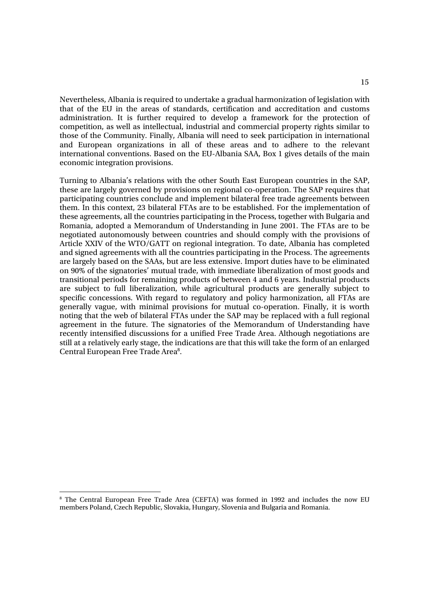Nevertheless, Albania is required to undertake a gradual harmonization of legislation with that of the EU in the areas of standards, certification and accreditation and customs administration. It is further required to develop a framework for the protection of competition, as well as intellectual, industrial and commercial property rights similar to those of the Community. Finally, Albania will need to seek participation in international and European organizations in all of these areas and to adhere to the relevant international conventions. Based on the EU-Albania SAA, Box 1 gives details of the main economic integration provisions.

Turning to Albania's relations with the other South East European countries in the SAP, these are largely governed by provisions on regional co-operation. The SAP requires that participating countries conclude and implement bilateral free trade agreements between them. In this context, 23 bilateral FTAs are to be established. For the implementation of these agreements, all the countries participating in the Process, together with Bulgaria and Romania, adopted a Memorandum of Understanding in June 2001. The FTAs are to be negotiated autonomously between countries and should comply with the provisions of Article XXIV of the WTO/GATT on regional integration. To date, Albania has completed and signed agreements with all the countries participating in the Process. The agreements are largely based on the SAAs, but are less extensive. Import duties have to be eliminated on 90% of the signatories' mutual trade, with immediate liberalization of most goods and transitional periods for remaining products of between 4 and 6 years. Industrial products are subject to full liberalization, while agricultural products are generally subject to specific concessions. With regard to regulatory and policy harmonization, all FTAs are generally vague, with minimal provisions for mutual co-operation. Finally, it is worth noting that the web of bilateral FTAs under the SAP may be replaced with a full regional agreement in the future. The signatories of the Memorandum of Understanding have recently intensified discussions for a unified Free Trade Area. Although negotiations are still at a relatively early stage, the indications are that this will take the form of an enlarged Central European Free Trade Area<sup>8</sup>.

<sup>8</sup> The Central European Free Trade Area (CEFTA) was formed in 1992 and includes the now EU members Poland, Czech Republic, Slovakia, Hungary, Slovenia and Bulgaria and Romania.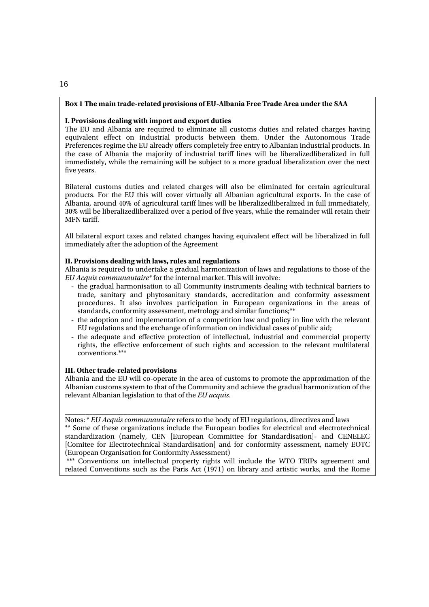#### **Box 1 The main trade-related provisions of EU-Albania Free Trade Area under the SAA**

#### **I. Provisions dealing with import and export duties**

The EU and Albania are required to eliminate all customs duties and related charges having equivalent effect on industrial products between them. Under the Autonomous Trade Preferences regime the EU already offers completely free entry to Albanian industrial products. In the case of Albania the majority of industrial tariff lines will be liberalizedliberalized in full immediately, while the remaining will be subject to a more gradual liberalization over the next five years.

Bilateral customs duties and related charges will also be eliminated for certain agricultural products. For the EU this will cover virtually all Albanian agricultural exports. In the case of Albania, around 40% of agricultural tariff lines will be liberalizedliberalized in full immediately, 30% will be liberalizedliberalized over a period of five years, while the remainder will retain their MFN tariff.

All bilateral export taxes and related changes having equivalent effect will be liberalized in full immediately after the adoption of the Agreement

#### **II. Provisions dealing with laws, rules and regulations**

Albania is required to undertake a gradual harmonization of laws and regulations to those of the *EU Acquis communautaire\** for the internal market. This will involve:

- the gradual harmonisation to all Community instruments dealing with technical barriers to trade, sanitary and phytosanitary standards, accreditation and conformity assessment procedures. It also involves participation in European organizations in the areas of standards, conformity assessment, metrology and similar functions;\*\*
- the adoption and implementation of a competition law and policy in line with the relevant EU regulations and the exchange of information on individual cases of public aid;
- the adequate and effective protection of intellectual, industrial and commercial property rights, the effective enforcement of such rights and accession to the relevant multilateral conventions.\*\*\*

#### **III. Other trade-related provisions**

Albania and the EU will co-operate in the area of customs to promote the approximation of the Albanian customs system to that of the Community and achieve the gradual harmonization of the relevant Albanian legislation to that of the *EU acquis*.

\_\_\_\_\_\_\_\_\_\_\_\_\_\_\_\_\_\_\_\_\_\_\_\_\_\_\_\_\_\_\_\_\_\_\_\_\_\_\_\_\_\_\_\_\_\_\_\_\_\_\_\_\_\_\_\_\_\_\_\_\_\_\_\_\_\_\_\_\_\_\_\_\_\_\_\_\_\_ Notes: \* *EU Acquis communautaire* refers to the body of EU regulations, directives and laws \*\* Some of these organizations include the European bodies for electrical and electrotechnical standardization (namely, CEN [European Committee for Standardisation]- and CENELEC [Comitee for Electrotechnical Standardisation] and for conformity assessment, namely EOTC (European Organisation for Conformity Assessment)

\*\*\* Conventions on intellectual property rights will include the WTO TRIPs agreement and related Conventions such as the Paris Act (1971) on library and artistic works, and the Rome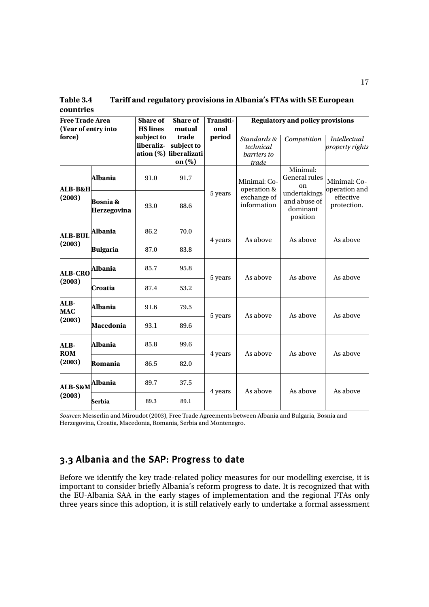**Table 3.4 Tariff and regulatory provisions in Albania's FTAs with SE European countries** 

| <b>Free Trade Area</b> |                                    | Share of        | <b>Share of</b> | Transiti- | <b>Regulatory and policy provisions</b>                   |                                                                                         |                                                           |  |  |
|------------------------|------------------------------------|-----------------|-----------------|-----------|-----------------------------------------------------------|-----------------------------------------------------------------------------------------|-----------------------------------------------------------|--|--|
| (Year of entry into    |                                    | <b>HS</b> lines | mutual          | onal      |                                                           |                                                                                         |                                                           |  |  |
| force)                 |                                    | subject to      | trade           | period    | Standards &                                               | Competition                                                                             | <b>Intellectual</b>                                       |  |  |
|                        |                                    | liberaliz-      | subject to      |           | technical                                                 |                                                                                         | <i>property rights</i>                                    |  |  |
|                        |                                    | ation (%)       | liberalizati    |           | barriers to                                               |                                                                                         |                                                           |  |  |
|                        |                                    |                 | on $(\%)$       |           | trade                                                     |                                                                                         |                                                           |  |  |
| <b>ALB-B&amp;H</b>     | <b>Albania</b>                     | 91.0            | 91.7            |           | Minimal: Co-<br>operation &<br>exchange of<br>information | Minimal:<br>General rules<br>on<br>undertakings<br>and abuse of<br>dominant<br>position | Minimal: Co-<br>operation and<br>effective<br>protection. |  |  |
| (2003)                 | <b>Bosnia &amp;</b><br>Herzegovina | 93.0            | 88.6            | 5 years   |                                                           |                                                                                         |                                                           |  |  |
| <b>ALB-BUL</b>         | Albania                            | 86.2            | 70.0            | 4 years   | As above                                                  | As above                                                                                | As above                                                  |  |  |
| (2003)                 | <b>Bulgaria</b>                    | 87.0            | 83.8            |           |                                                           |                                                                                         |                                                           |  |  |
| <b>ALB-CRO</b>         | Albania                            | 85.7            | 95.8            | 5 years   | As above                                                  | As above                                                                                | As above                                                  |  |  |
| (2003)                 | Croatia                            | 87.4            | 53.2            |           |                                                           |                                                                                         |                                                           |  |  |
| ALB-<br><b>MAC</b>     | Albania                            | 91.6            | 79.5            | 5 years   | As above                                                  | As above                                                                                | As above                                                  |  |  |
| (2003)                 | Macedonia                          | 93.1            | 89.6            |           |                                                           |                                                                                         |                                                           |  |  |
| ALB-<br><b>ROM</b>     | Albania                            | 85.8            | 99.6            | 4 years   | As above                                                  | As above                                                                                | As above                                                  |  |  |
| (2003)                 | Romania                            | 86.5            | 82.0            |           |                                                           |                                                                                         |                                                           |  |  |
| ALB-S&M                | Albania                            | 89.7            | 37.5            | 4 years   | As above                                                  | As above                                                                                | As above                                                  |  |  |
| (2003)                 | <b>Serbia</b>                      | 89.3            | 89.1            |           |                                                           |                                                                                         |                                                           |  |  |

*Sources*: Messerlin and Miroudot (2003), Free Trade Agreements between Albania and Bulgaria, Bosnia and Herzegovina, Croatia, Macedonia, Romania, Serbia and Montenegro.

## 3.3 Albania and the SAP: Progress to date

Before we identify the key trade-related policy measures for our modelling exercise, it is important to consider briefly Albania's reform progress to date. It is recognized that with the EU-Albania SAA in the early stages of implementation and the regional FTAs only three years since this adoption, it is still relatively early to undertake a formal assessment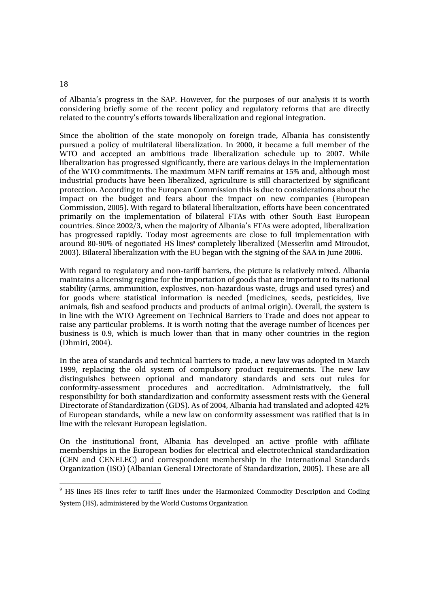### of Albania's progress in the SAP. However, for the purposes of our analysis it is worth considering briefly some of the recent policy and regulatory reforms that are directly related to the country's efforts towards liberalization and regional integration.

Since the abolition of the state monopoly on foreign trade, Albania has consistently pursued a policy of multilateral liberalization. In 2000, it became a full member of the WTO and accepted an ambitious trade liberalization schedule up to 2007. While liberalization has progressed significantly, there are various delays in the implementation of the WTO commitments. The maximum MFN tariff remains at 15% and, although most industrial products have been liberalized, agriculture is still characterized by significant protection. According to the European Commission this is due to considerations about the impact on the budget and fears about the impact on new companies (European Commission, 2005). With regard to bilateral liberalization, efforts have been concentrated primarily on the implementation of bilateral FTAs with other South East European countries. Since 2002/3, when the majority of Albania's FTAs were adopted, liberalization has progressed rapidly. Today most agreements are close to full implementation with around 80-90% of negotiated HS lines<sup>9</sup> completely liberalized (Messerlin amd Miroudot, 2003). Bilateral liberalization with the EU began with the signing of the SAA in June 2006.

With regard to regulatory and non-tariff barriers, the picture is relatively mixed. Albania maintains a licensing regime for the importation of goods that are important to its national stability (arms, ammunition, explosives, non-hazardous waste, drugs and used tyres) and for goods where statistical information is needed (medicines, seeds, pesticides, live animals, fish and seafood products and products of animal origin). Overall, the system is in line with the WTO Agreement on Technical Barriers to Trade and does not appear to raise any particular problems. It is worth noting that the average number of licences per business is 0.9, which is much lower than that in many other countries in the region (Dhmiri, 2004).

In the area of standards and technical barriers to trade, a new law was adopted in March 1999, replacing the old system of compulsory product requirements. The new law distinguishes between optional and mandatory standards and sets out rules for conformity-assessment procedures and accreditation. Administratively, the full responsibility for both standardization and conformity assessment rests with the General Directorate of Standardization (GDS). As of 2004, Albania had translated and adopted 42% of European standards, while a new law on conformity assessment was ratified that is in line with the relevant European legislation.

On the institutional front, Albania has developed an active profile with affiliate memberships in the European bodies for electrical and electrotechnical standardization (CEN and CENELEC) and correspondent membership in the International Standards Organization (ISO) (Albanian General Directorate of Standardization, 2005). These are all

#### 18

l

<sup>&</sup>lt;sup>9</sup> HS lines HS lines refer to tariff lines under the Harmonized Commodity Description and Coding System (HS), administered by the World Customs Organization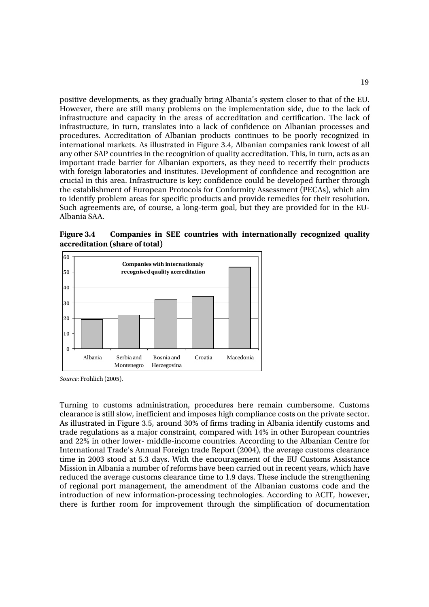positive developments, as they gradually bring Albania's system closer to that of the EU. However, there are still many problems on the implementation side, due to the lack of infrastructure and capacity in the areas of accreditation and certification. The lack of infrastructure, in turn, translates into a lack of confidence on Albanian processes and procedures. Accreditation of Albanian products continues to be poorly recognized in international markets. As illustrated in Figure 3.4, Albanian companies rank lowest of all any other SAP countries in the recognition of quality accreditation. This, in turn, acts as an important trade barrier for Albanian exporters, as they need to recertify their products with foreign laboratories and institutes. Development of confidence and recognition are crucial in this area. Infrastructure is key; confidence could be developed further through the establishment of European Protocols for Conformity Assessment (PECAs), which aim to identify problem areas for specific products and provide remedies for their resolution. Such agreements are, of course, a long-term goal, but they are provided for in the EU-Albania SAA.

**Figure 3.4 Companies in SEE countries with internationally recognized quality accreditation (share of total)** 



*Source*: Frohlich (2005).

Turning to customs administration, procedures here remain cumbersome. Customs clearance is still slow, inefficient and imposes high compliance costs on the private sector. As illustrated in Figure 3.5, around 30% of firms trading in Albania identify customs and trade regulations as a major constraint, compared with 14% in other European countries and 22% in other lower- middle-income countries. According to the Albanian Centre for International Trade's Annual Foreign trade Report (2004), the average customs clearance time in 2003 stood at 5.3 days. With the encouragement of the EU Customs Assistance Mission in Albania a number of reforms have been carried out in recent years, which have reduced the average customs clearance time to 1.9 days. These include the strengthening of regional port management, the amendment of the Albanian customs code and the introduction of new information-processing technologies. According to ACIT, however, there is further room for improvement through the simplification of documentation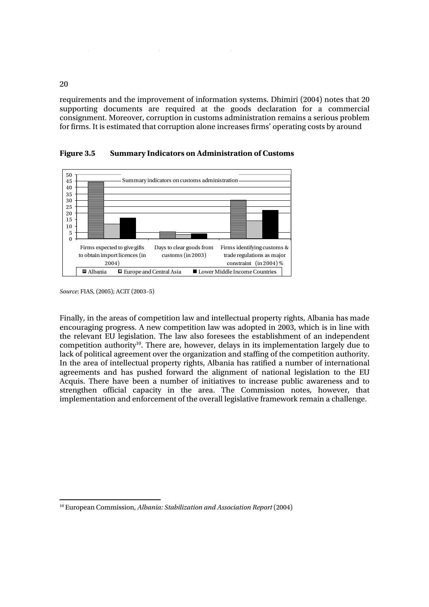requirements and the improvement of information systems. Dhimiri (2004) notes that 20 supporting documents are required at the goods declaration for a commercial consignment. Moreover, corruption in customs administration remains a serious problem for firms. It is estimated that corruption alone increases firms' operating costs by around



**Figure 3.5 Summary Indicators on Administration of Customs** 

Finally, in the areas of competition law and intellectual property rights, Albania has made encouraging progress. A new competition law was adopted in 2003, which is in line with the relevant EU legislation. The law also foresees the establishment of an independent competition authority<sup>10</sup>. There are, however, delays in its implementation largely due to lack of political agreement over the organization and staffing of the competition authority. In the area of intellectual property rights, Albania has ratified a number of international agreements and has pushed forward the alignment of national legislation to the EU Acquis. There have been a number of initiatives to increase public awareness and to strengthen official capacity in the area. The Commission notes, however, that implementation and enforcement of the overall legislative framework remain a challenge.

20

 $\bar{1}$ 

*Source*: FIAS, (2005); ACIT (2003–5)

 10 European Commission, *Albania: Stabilization and Association Report* (2004)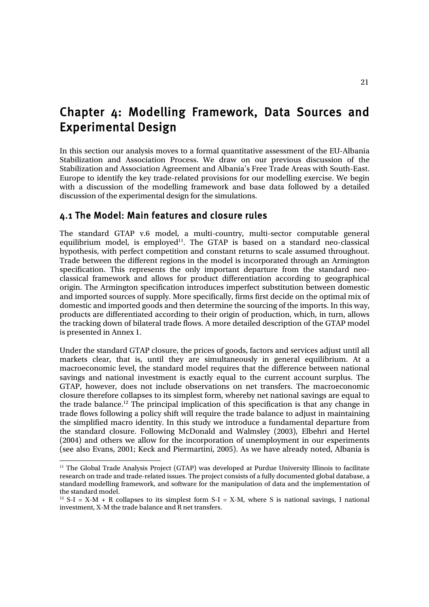## Chapter 4: Modelling Framework, Data Sources and Experimental Design

In this section our analysis moves to a formal quantitative assessment of the EU-Albania Stabilization and Association Process. We draw on our previous discussion of the Stabilization and Association Agreement and Albania's Free Trade Areas with South-East. Europe to identify the key trade-related provisions for our modelling exercise. We begin with a discussion of the modelling framework and base data followed by a detailed discussion of the experimental design for the simulations.

## 4.1 The Model: Main features and closure rules

l

The standard GTAP v.6 model, a multi-country, multi-sector computable general equilibrium model, is employed<sup>11</sup>. The GTAP is based on a standard neo-classical hypothesis, with perfect competition and constant returns to scale assumed throughout. Trade between the different regions in the model is incorporated through an Armington specification. This represents the only important departure from the standard neoclassical framework and allows for product differentiation according to geographical origin. The Armington specification introduces imperfect substitution between domestic and imported sources of supply. More specifically, firms first decide on the optimal mix of domestic and imported goods and then determine the sourcing of the imports. In this way, products are differentiated according to their origin of production, which, in turn, allows the tracking down of bilateral trade flows. A more detailed description of the GTAP model is presented in Annex 1.

Under the standard GTAP closure, the prices of goods, factors and services adjust until all markets clear, that is, until they are simultaneously in general equilibrium. At a macroeconomic level, the standard model requires that the difference between national savings and national investment is exactly equal to the current account surplus. The GTAP, however, does not include observations on net transfers. The macroeconomic closure therefore collapses to its simplest form, whereby net national savings are equal to the trade balance.12 The principal implication of this specification is that any change in trade flows following a policy shift will require the trade balance to adjust in maintaining the simplified macro identity. In this study we introduce a fundamental departure from the standard closure. Following McDonald and Walmsley (2003), Elbehri and Hertel (2004) and others we allow for the incorporation of unemployment in our experiments (see also Evans, 2001; Keck and Piermartini, 2005). As we have already noted, Albania is

<sup>&</sup>lt;sup>11</sup> The Global Trade Analysis Project (GTAP) was developed at Purdue University Illinois to facilitate research on trade and trade-related issues. The project consists of a fully documented global database, a standard modelling framework, and software for the manipulation of data and the implementation of the standard model.

 $12$  S-I = X-M + R collapses to its simplest form S-I = X-M, where S is national savings, I national investment, X-M the trade balance and R net transfers.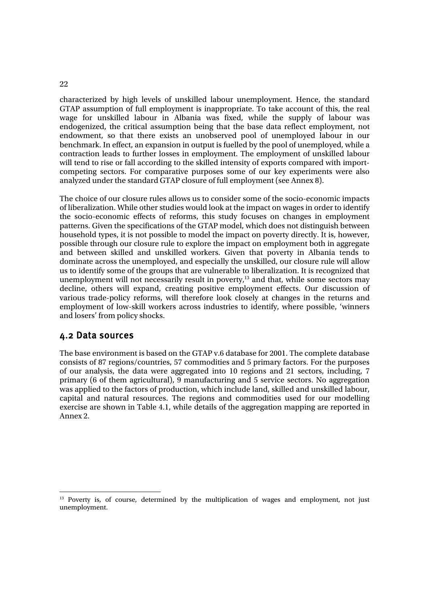characterized by high levels of unskilled labour unemployment. Hence, the standard GTAP assumption of full employment is inappropriate. To take account of this, the real wage for unskilled labour in Albania was fixed, while the supply of labour was endogenized, the critical assumption being that the base data reflect employment, not endowment, so that there exists an unobserved pool of unemployed labour in our benchmark. In effect, an expansion in output is fuelled by the pool of unemployed, while a contraction leads to further losses in employment. The employment of unskilled labour will tend to rise or fall according to the skilled intensity of exports compared with importcompeting sectors. For comparative purposes some of our key experiments were also analyzed under the standard GTAP closure of full employment (see Annex 8).

The choice of our closure rules allows us to consider some of the socio-economic impacts of liberalization. While other studies would look at the impact on wages in order to identify the socio-economic effects of reforms, this study focuses on changes in employment patterns. Given the specifications of the GTAP model, which does not distinguish between household types, it is not possible to model the impact on poverty directly. It is, however, possible through our closure rule to explore the impact on employment both in aggregate and between skilled and unskilled workers. Given that poverty in Albania tends to dominate across the unemployed, and especially the unskilled, our closure rule will allow us to identify some of the groups that are vulnerable to liberalization. It is recognized that unemployment will not necessarily result in poverty,<sup>13</sup> and that, while some sectors may decline, others will expand, creating positive employment effects. Our discussion of various trade-policy reforms, will therefore look closely at changes in the returns and employment of low-skill workers across industries to identify, where possible, 'winners and losers' from policy shocks.

## 4.2 Data sources

The base environment is based on the GTAP v.6 database for 2001. The complete database consists of 87 regions/countries, 57 commodities and 5 primary factors. For the purposes of our analysis, the data were aggregated into 10 regions and 21 sectors, including, 7 primary (6 of them agricultural), 9 manufacturing and 5 service sectors. No aggregation was applied to the factors of production, which include land, skilled and unskilled labour, capital and natural resources. The regions and commodities used for our modelling exercise are shown in Table 4.1, while details of the aggregation mapping are reported in Annex 2.

<sup>&</sup>lt;sup>13</sup> Poverty is, of course, determined by the multiplication of wages and employment, not just unemployment.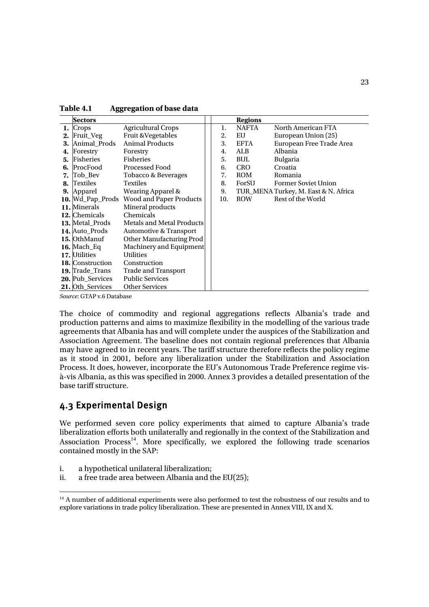| Table 4.1 | <b>Aggregation of base data</b> |
|-----------|---------------------------------|
|-----------|---------------------------------|

|    | <b>Sectors</b>          |                                          |     | <b>Regions</b> |                                      |
|----|-------------------------|------------------------------------------|-----|----------------|--------------------------------------|
|    | Crops                   | <b>Agricultural Crops</b>                | 1.  | <b>NAFTA</b>   | North American FTA                   |
| 2. | Fruit_Veg               | Fruit & Vegetables                       | 2.  | EU             | European Union (25)                  |
| 3. | Animal_Prods            | <b>Animal Products</b>                   | 3.  | <b>EFTA</b>    | European Free Trade Area             |
| 4. | Forestry                | Forestry                                 | 4.  | ALB            | Albania                              |
| 5. | Fisheries               | Fisheries                                | 5.  | <b>BUL</b>     | <b>Bulgaria</b>                      |
| 6. | ProcFood                | <b>Processed Food</b>                    | 6.  | <b>CRO</b>     | Croatia                              |
| 7. | Tob Bev                 | Tobacco & Beverages                      | 7.  | ROM            | Romania                              |
| 8. | Textiles                | <b>Textiles</b>                          | 8.  | ForSU          | <b>Former Soviet Union</b>           |
|    | 9. Apparel              | Wearing Apparel &                        | 9.  |                | TUR_MENA Turkey, M. East & N. Africa |
|    |                         | 10. Wd_Pap_Prods Wood and Paper Products | 10. | ROW            | Rest of the World                    |
|    | 11. Minerals            | Mineral products                         |     |                |                                      |
|    | 12. Chemicals           | Chemicals                                |     |                |                                      |
|    | 13. Metal Prods         | Metals and Metal Products                |     |                |                                      |
|    | 14. Auto Prods          | <b>Automotive &amp; Transport</b>        |     |                |                                      |
|    | 15. OthManuf            | Other Manufacturing Prod                 |     |                |                                      |
|    | $16.$ Mach_Eq           | Machinery and Equipment                  |     |                |                                      |
|    | 17. Utilities           | <b>Utilities</b>                         |     |                |                                      |
|    | 18. Construction        | Construction                             |     |                |                                      |
|    | 19. Trade_Trans         | <b>Trade and Transport</b>               |     |                |                                      |
|    | <b>20.</b> Pub Services | <b>Public Services</b>                   |     |                |                                      |
|    | 21. Oth_Services        | <b>Other Services</b>                    |     |                |                                      |

*Source*: GTAP v.6 Database

The choice of commodity and regional aggregations reflects Albania's trade and production patterns and aims to maximize flexibility in the modelling of the various trade agreements that Albania has and will complete under the auspices of the Stabilization and Association Agreement. The baseline does not contain regional preferences that Albania may have agreed to in recent years. The tariff structure therefore reflects the policy regime as it stood in 2001, before any liberalization under the Stabilization and Association Process. It does, however, incorporate the EU's Autonomous Trade Preference regime visà-vis Albania, as this was specified in 2000. Annex 3 provides a detailed presentation of the base tariff structure.

### 4.3 Experimental Design

We performed seven core policy experiments that aimed to capture Albania's trade liberalization efforts both unilaterally and regionally in the context of the Stabilization and Association Process<sup>14</sup>. More specifically, we explored the following trade scenarios contained mostly in the SAP:

- i. a hypothetical unilateral liberalization;
- ii. a free trade area between Albania and the EU(25);

<sup>&</sup>lt;sup>14</sup> A number of additional experiments were also performed to test the robustness of our results and to explore variations in trade policy liberalization. These are presented in Annex VIII, IX and X.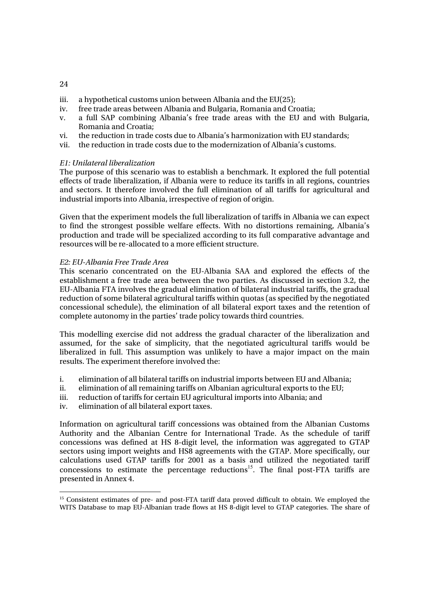- iii. a hypothetical customs union between Albania and the EU(25);
- iv. free trade areas between Albania and Bulgaria, Romania and Croatia;
- v. a full SAP combining Albania's free trade areas with the EU and with Bulgaria, Romania and Croatia;
- vi. the reduction in trade costs due to Albania's harmonization with EU standards;
- vii. the reduction in trade costs due to the modernization of Albania's customs.

### *E1: Unilateral liberalization*

The purpose of this scenario was to establish a benchmark. It explored the full potential effects of trade liberalization, if Albania were to reduce its tariffs in all regions, countries and sectors. It therefore involved the full elimination of all tariffs for agricultural and industrial imports into Albania, irrespective of region of origin.

Given that the experiment models the full liberalization of tariffs in Albania we can expect to find the strongest possible welfare effects. With no distortions remaining, Albania's production and trade will be specialized according to its full comparative advantage and resources will be re-allocated to a more efficient structure.

### *E2: EU-Albania Free Trade Area*

This scenario concentrated on the EU-Albania SAA and explored the effects of the establishment a free trade area between the two parties. As discussed in section 3.2, the EU-Albania FTA involves the gradual elimination of bilateral industrial tariffs, the gradual reduction of some bilateral agricultural tariffs within quotas (as specified by the negotiated concessional schedule), the elimination of all bilateral export taxes and the retention of complete autonomy in the parties' trade policy towards third countries.

This modelling exercise did not address the gradual character of the liberalization and assumed, for the sake of simplicity, that the negotiated agricultural tariffs would be liberalized in full. This assumption was unlikely to have a major impact on the main results. The experiment therefore involved the:

- i. elimination of all bilateral tariffs on industrial imports between EU and Albania;
- ii. elimination of all remaining tariffs on Albanian agricultural exports to the EU;
- iii. reduction of tariffs for certain EU agricultural imports into Albania; and
- iv. elimination of all bilateral export taxes.

Information on agricultural tariff concessions was obtained from the Albanian Customs Authority and the Albanian Centre for International Trade. As the schedule of tariff concessions was defined at HS 8-digit level, the information was aggregated to GTAP sectors using import weights and HS8 agreements with the GTAP. More specifically, our calculations used GTAP tariffs for 2001 as a basis and utilized the negotiated tariff concessions to estimate the percentage reductions<sup>15</sup>. The final post-FTA tariffs are presented in Annex 4.

 <sup>15</sup> Consistent estimates of pre- and post-FTA tariff data proved difficult to obtain. We employed the WITS Database to map EU-Albanian trade flows at HS 8-digit level to GTAP categories. The share of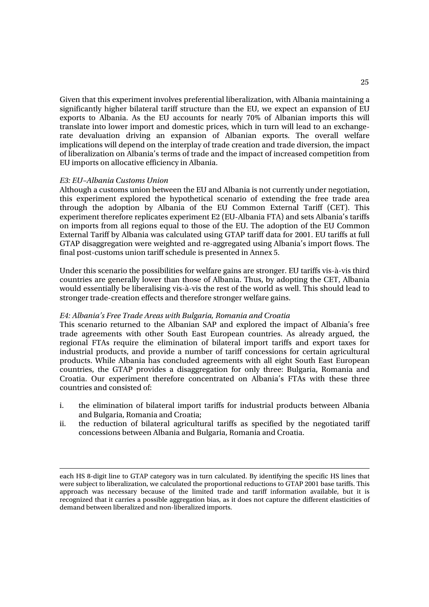Given that this experiment involves preferential liberalization, with Albania maintaining a significantly higher bilateral tariff structure than the EU, we expect an expansion of EU exports to Albania. As the EU accounts for nearly 70% of Albanian imports this will translate into lower import and domestic prices, which in turn will lead to an exchangerate devaluation driving an expansion of Albanian exports. The overall welfare implications will depend on the interplay of trade creation and trade diversion, the impact of liberalization on Albania's terms of trade and the impact of increased competition from EU imports on allocative efficiency in Albania.

#### *E3: EU–Albania Customs Union*

l

Although a customs union between the EU and Albania is not currently under negotiation, this experiment explored the hypothetical scenario of extending the free trade area through the adoption by Albania of the EU Common External Tariff (CET). This experiment therefore replicates experiment E2 (EU-Albania FTA) and sets Albania's tariffs on imports from all regions equal to those of the EU. The adoption of the EU Common External Tariff by Albania was calculated using GTAP tariff data for 2001. EU tariffs at full GTAP disaggregation were weighted and re-aggregated using Albania's import flows. The final post-customs union tariff schedule is presented in Annex 5.

Under this scenario the possibilities for welfare gains are stronger. EU tariffs vis-à-vis third countries are generally lower than those of Albania. Thus, by adopting the CET, Albania would essentially be liberalising vis-à-vis the rest of the world as well. This should lead to stronger trade-creation effects and therefore stronger welfare gains.

#### *E4: Albania's Free Trade Areas with Bulgaria, Romania and Croatia*

This scenario returned to the Albanian SAP and explored the impact of Albania's free trade agreements with other South East European countries. As already argued, the regional FTAs require the elimination of bilateral import tariffs and export taxes for industrial products, and provide a number of tariff concessions for certain agricultural products. While Albania has concluded agreements with all eight South East European countries, the GTAP provides a disaggregation for only three: Bulgaria, Romania and Croatia. Our experiment therefore concentrated on Albania's FTAs with these three countries and consisted of:

- i. the elimination of bilateral import tariffs for industrial products between Albania and Bulgaria, Romania and Croatia;
- ii. the reduction of bilateral agricultural tariffs as specified by the negotiated tariff concessions between Albania and Bulgaria, Romania and Croatia.

each HS 8-digit line to GTAP category was in turn calculated. By identifying the specific HS lines that were subject to liberalization, we calculated the proportional reductions to GTAP 2001 base tariffs. This approach was necessary because of the limited trade and tariff information available, but it is recognized that it carries a possible aggregation bias, as it does not capture the different elasticities of demand between liberalized and non-liberalized imports.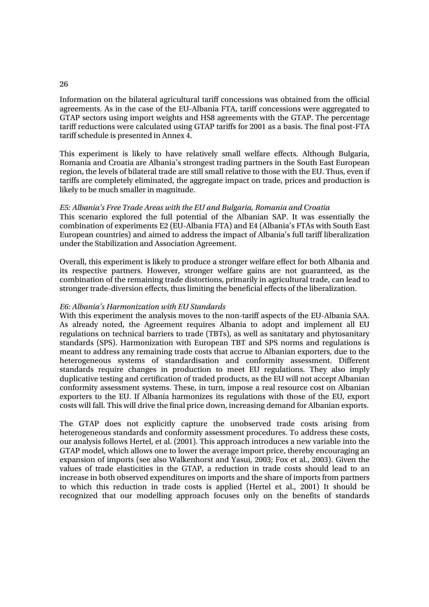#### 26

Information on the bilateral agricultural tariff concessions was obtained from the official agreements. As in the case of the EU-Albania FTA, tariff concessions were aggregated to GTAP sectors using import weights and HS8 agreements with the GTAP. The percentage tariff reductions were calculated using GTAP tariffs for 2001 as a basis. The final post-FTA tariff schedule is presented in Annex 4.

This experiment is likely to have relatively small welfare effects. Although Bulgaria, Romania and Croatia are Albania's strongest trading partners in the South East European region, the levels of bilateral trade are still small relative to those with the EU. Thus, even if tariffs are completely eliminated, the aggregate impact on trade, prices and production is likely to be much smaller in magnitude.

#### *E5: Albania's Free Trade Areas with the EU and Bulgaria, Romania and Croatia*

This scenario explored the full potential of the Albanian SAP. It was essentially the combination of experiments E2 (EU-Albania FTA) and E4 (Albania's FTAs with South East European countries) and aimed to address the impact of Albania's full tariff liberalization under the Stabilization and Association Agreement.

Overall, this experiment is likely to produce a stronger welfare effect for both Albania and its respective partners. However, stronger welfare gains are not guaranteed, as the combination of the remaining trade distortions, primarily in agricultural trade, can lead to stronger trade-diversion effects, thus limiting the beneficial effects of the liberalization.

#### *E6: Albania's Harmonization with EU Standards*

With this experiment the analysis moves to the non-tariff aspects of the EU-Albania SAA. As already noted, the Agreement requires Albania to adopt and implement all EU regulations on technical barriers to trade (TBTs), as well as sanitatary and phytosanitary standards (SPS). Harmonization with European TBT and SPS norms and regulations is meant to address any remaining trade costs that accrue to Albanian exporters, due to the heterogeneous systems of standardisation and conformity assessment. Different standards require changes in production to meet EU regulations. They also imply duplicative testing and certification of traded products, as the EU will not accept Albanian conformity assessment systems. These, in turn, impose a real resource cost on Albanian exporters to the EU. If Albania harmonizes its regulations with those of the EU, export costs will fall. This will drive the final price down, increasing demand for Albanian exports.

The GTAP does not explicitly capture the unobserved trade costs arising from heterogeneous standards and conformity assessment procedures. To address these costs, our analysis follows Hertel, et al. (2001). This approach introduces a new variable into the GTAP model, which allows one to lower the average import price, thereby encouraging an expansion of imports (see also Walkenhorst and Yasui, 2003; Fox et al., 2003). Given the values of trade elasticities in the GTAP, a reduction in trade costs should lead to an increase in both observed expenditures on imports and the share of imports from partners to which this reduction in trade costs is applied (Hertel et al., 2001) It should be recognized that our modelling approach focuses only on the benefits of standards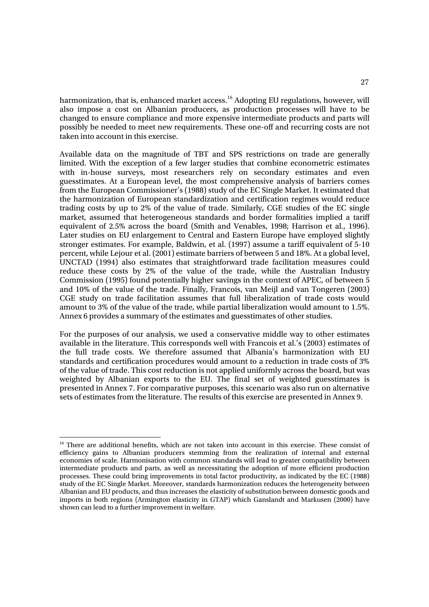harmonization, that is, enhanced market access.<sup>16</sup> Adopting EU regulations, however, will also impose a cost on Albanian producers, as production processes will have to be changed to ensure compliance and more expensive intermediate products and parts will possibly be needed to meet new requirements. These one-off and recurring costs are not taken into account in this exercise.

Available data on the magnitude of TBT and SPS restrictions on trade are generally limited. With the exception of a few larger studies that combine econometric estimates with in-house surveys, most researchers rely on secondary estimates and even guesstimates. At a European level, the most comprehensive analysis of barriers comes from the European Commissioner's (1988) study of the EC Single Market. It estimated that the harmonization of European standardization and certification regimes would reduce trading costs by up to 2% of the value of trade. Similarly, CGE studies of the EC single market, assumed that heterogeneous standards and border formalities implied a tariff equivalent of 2.5% across the board (Smith and Venables, 1998; Harrison et al., 1996). Later studies on EU enlargement to Central and Eastern Europe have employed slightly stronger estimates. For example, Baldwin, et al. (1997) assume a tariff equivalent of 5-10 percent, while Lejour et al. (2001) estimate barriers of between 5 and 18%. At a global level, UNCTAD (1994) also estimates that straightforward trade facilitation measures could reduce these costs by 2% of the value of the trade, while the Australian Industry Commission (1995) found potentially higher savings in the context of APEC, of between 5 and 10% of the value of the trade. Finally, Francois, van Meijl and van Tongeren (2003) CGE study on trade facilitation assumes that full liberalization of trade costs would amount to 3% of the value of the trade, while partial liberalization would amount to 1.5%. Annex 6 provides a summary of the estimates and guesstimates of other studies.

For the purposes of our analysis, we used a conservative middle way to other estimates available in the literature. This corresponds well with Francois et al.'s (2003) estimates of the full trade costs. We therefore assumed that Albania's harmonization with EU standards and certification procedures would amount to a reduction in trade costs of 3% of the value of trade. This cost reduction is not applied uniformly across the board, but was weighted by Albanian exports to the EU. The final set of weighted guesstimates is presented in Annex 7. For comparative purposes, this scenario was also run on alternative sets of estimates from the literature. The results of this exercise are presented in Annex 9.

 <sup>16</sup> There are additional benefits, which are not taken into account in this exercise. These consist of efficiency gains to Albanian producers stemming from the realization of internal and external economies of scale. Harmonisation with common standards will lead to greater compatibility between intermediate products and parts, as well as necessitating the adoption of more efficient production processes. These could bring improvements in total factor productivity, as indicated by the EC (1988) study of the EC Single Market. Moreover, standards harmonization reduces the heterogeneity between Albanian and EU products, and thus increases the elasticity of substitution between domestic goods and imports in both regions (Armington elasticity in GTAP) which Ganslandt and Markusen (2000) have shown can lead to a further improvement in welfare.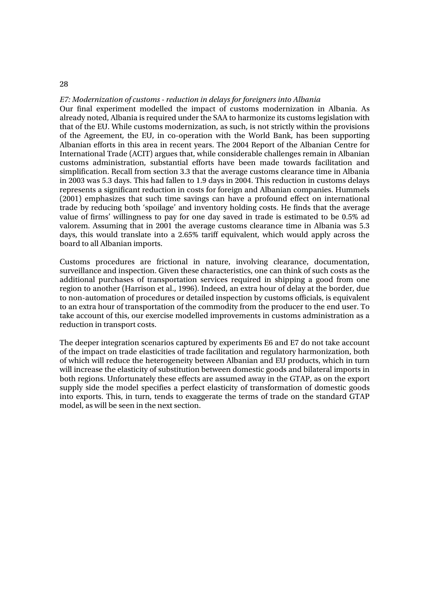### *E7: Modernization of customs - reduction in delays for foreigners into Albania*

28

Our final experiment modelled the impact of customs modernization in Albania. As already noted, Albania is required under the SAA to harmonize its customs legislation with that of the EU. While customs modernization, as such, is not strictly within the provisions of the Agreement, the EU, in co-operation with the World Bank, has been supporting Albanian efforts in this area in recent years. The 2004 Report of the Albanian Centre for International Trade (ACIT) argues that, while considerable challenges remain in Albanian customs administration, substantial efforts have been made towards facilitation and simplification. Recall from section 3.3 that the average customs clearance time in Albania in 2003 was 5.3 days. This had fallen to 1.9 days in 2004. This reduction in customs delays represents a significant reduction in costs for foreign and Albanian companies. Hummels (2001) emphasizes that such time savings can have a profound effect on international trade by reducing both 'spoilage' and inventory holding costs. He finds that the average value of firms' willingness to pay for one day saved in trade is estimated to be 0.5% ad valorem. Assuming that in 2001 the average customs clearance time in Albania was 5.3 days, this would translate into a 2.65% tariff equivalent, which would apply across the board to all Albanian imports.

Customs procedures are frictional in nature, involving clearance, documentation, surveillance and inspection. Given these characteristics, one can think of such costs as the additional purchases of transportation services required in shipping a good from one region to another (Harrison et al., 1996). Indeed, an extra hour of delay at the border, due to non-automation of procedures or detailed inspection by customs officials, is equivalent to an extra hour of transportation of the commodity from the producer to the end user. To take account of this, our exercise modelled improvements in customs administration as a reduction in transport costs.

The deeper integration scenarios captured by experiments E6 and E7 do not take account of the impact on trade elasticities of trade facilitation and regulatory harmonization, both of which will reduce the heterogeneity between Albanian and EU products, which in turn will increase the elasticity of substitution between domestic goods and bilateral imports in both regions. Unfortunately these effects are assumed away in the GTAP, as on the export supply side the model specifies a perfect elasticity of transformation of domestic goods into exports. This, in turn, tends to exaggerate the terms of trade on the standard GTAP model, as will be seen in the next section.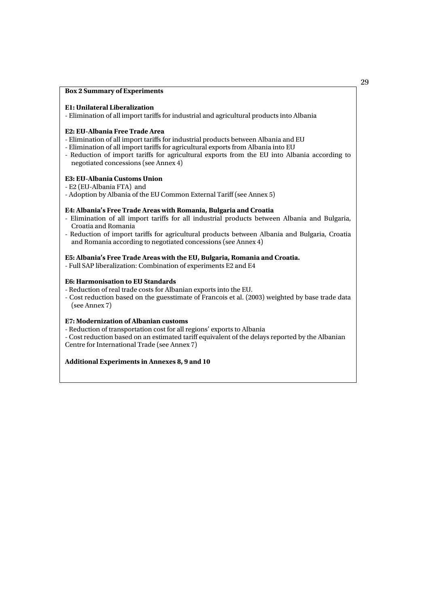#### **Box 2 Summary of Experiments**

#### **E1: Unilateral Liberalization**

- Elimination of all import tariffs for industrial and agricultural products into Albania

#### **E2: EU-Albania Free Trade Area**

- Elimination of all import tariffs for industrial products between Albania and EU
- Elimination of all import tariffs for agricultural exports from Albania into EU
- Reduction of import tariffs for agricultural exports from the EU into Albania according to negotiated concessions (see Annex 4)

### **E3: EU-Albania Customs Union**

- E2 (EU-Albania FTA) and
- Adoption by Albania of the EU Common External Tariff (see Annex 5)

#### **E4: Albania's Free Trade Areas with Romania, Bulgaria and Croatia**

- Elimination of all import tariffs for all industrial products between Albania and Bulgaria, Croatia and Romania
- Reduction of import tariffs for agricultural products between Albania and Bulgaria, Croatia and Romania according to negotiated concessions (see Annex 4)

### **E5: Albania's Free Trade Areas with the EU, Bulgaria, Romania and Croatia.**

- Full SAP liberalization: Combination of experiments E2 and E4

### **E6: Harmonisation to EU Standards**

- Reduction of real trade costs for Albanian exports into the EU.
- Cost reduction based on the guesstimate of Francois et al. (2003) weighted by base trade data (see Annex 7)

### **E7: Modernization of Albanian customs**

- Reduction of transportation cost for all regions' exports to Albania
- Cost reduction based on an estimated tariff equivalent of the delays reported by the Albanian Centre for International Trade (see Annex 7)

#### **Additional Experiments in Annexes 8, 9 and 10**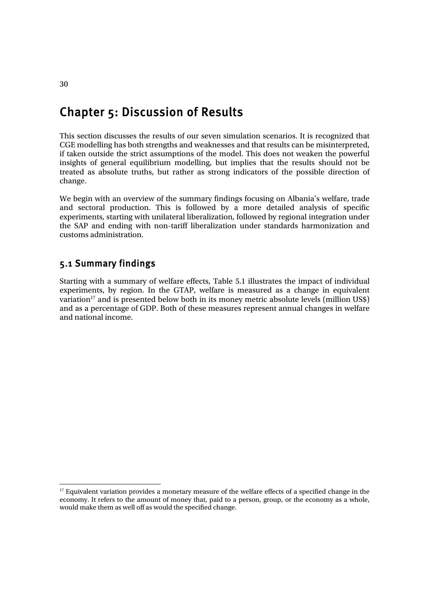# Chapter 5: Discussion of Results

This section discusses the results of our seven simulation scenarios. It is recognized that CGE modelling has both strengths and weaknesses and that results can be misinterpreted, if taken outside the strict assumptions of the model. This does not weaken the powerful insights of general equilibrium modelling, but implies that the results should not be treated as absolute truths, but rather as strong indicators of the possible direction of change.

We begin with an overview of the summary findings focusing on Albania's welfare, trade and sectoral production. This is followed by a more detailed analysis of specific experiments, starting with unilateral liberalization, followed by regional integration under the SAP and ending with non-tariff liberalization under standards harmonization and customs administration.

## 5.1 Summary findings

Starting with a summary of welfare effects, Table 5.1 illustrates the impact of individual experiments, by region. In the GTAP, welfare is measured as a change in equivalent variation<sup>17</sup> and is presented below both in its money metric absolute levels (million US\$) and as a percentage of GDP. Both of these measures represent annual changes in welfare and national income.

<sup>&</sup>lt;sup>17</sup> Equivalent variation provides a monetary measure of the welfare effects of a specified change in the economy. It refers to the amount of money that, paid to a person, group, or the economy as a whole, would make them as well off as would the specified change.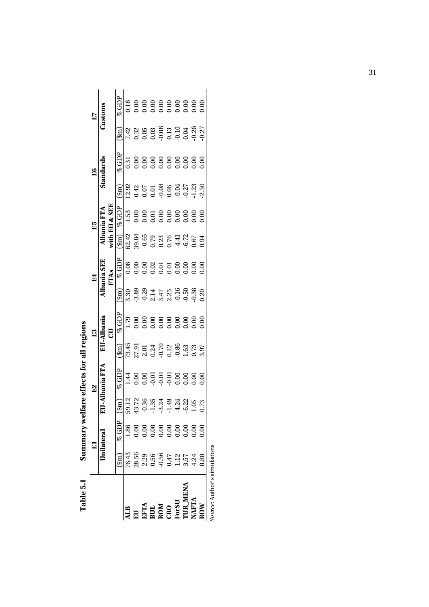|                                                                       |                                                                                                             | F          |                                                                                                                                                                                                                                         | E    |                                                                                                                                             | E3         |                                                                                                                                                                                                                                                                                      | $E_4$        |                                                                                                                       | E5            |                       | E6       |                                                                                                                                                                                                                                | 23      |
|-----------------------------------------------------------------------|-------------------------------------------------------------------------------------------------------------|------------|-----------------------------------------------------------------------------------------------------------------------------------------------------------------------------------------------------------------------------------------|------|---------------------------------------------------------------------------------------------------------------------------------------------|------------|--------------------------------------------------------------------------------------------------------------------------------------------------------------------------------------------------------------------------------------------------------------------------------------|--------------|-----------------------------------------------------------------------------------------------------------------------|---------------|-----------------------|----------|--------------------------------------------------------------------------------------------------------------------------------------------------------------------------------------------------------------------------------|---------|
|                                                                       |                                                                                                             | Inilateral | <b>BiuBullA-II</b>                                                                                                                                                                                                                      |      |                                                                                                                                             | EU-Albania |                                                                                                                                                                                                                                                                                      | Albania SEE  |                                                                                                                       | Albania FTA   |                       | Standard |                                                                                                                                                                                                                                | Customs |
|                                                                       |                                                                                                             |            |                                                                                                                                                                                                                                         |      |                                                                                                                                             | B          |                                                                                                                                                                                                                                                                                      | FTAs         |                                                                                                                       | with EU & SEE |                       |          |                                                                                                                                                                                                                                |         |
|                                                                       |                                                                                                             | % GDP      | $\left(\frac{\sin x}{\sin x}\right)$                                                                                                                                                                                                    | 9GDP | $\left( \min \right)$                                                                                                                       | % GDP      | $\left( \min_{i} \right)$                                                                                                                                                                                                                                                            | % GDP        | $(\mathfrak{f}\mathfrak{m})$                                                                                          | $\%$ GDP      | $\left( \min \right)$ | $\%$ GDP | $\mathrm{(\mathrm{sim})}$                                                                                                                                                                                                      | % GDP   |
| ALB<br>EU<br>EFTA<br>EUL<br>EUR<br>CRO<br>CRO<br>TUR_MENA<br>TUR_MENA | 76.43                                                                                                       |            |                                                                                                                                                                                                                                         |      |                                                                                                                                             |            |                                                                                                                                                                                                                                                                                      |              |                                                                                                                       |               |                       |          |                                                                                                                                                                                                                                |         |
|                                                                       |                                                                                                             |            |                                                                                                                                                                                                                                         |      |                                                                                                                                             |            |                                                                                                                                                                                                                                                                                      |              |                                                                                                                       |               |                       |          |                                                                                                                                                                                                                                |         |
|                                                                       |                                                                                                             |            |                                                                                                                                                                                                                                         |      |                                                                                                                                             |            |                                                                                                                                                                                                                                                                                      |              |                                                                                                                       |               |                       |          |                                                                                                                                                                                                                                |         |
|                                                                       | $28.59$<br>$2.29$<br>$0.56$<br>$0.47$<br>$0.57$<br>$0.57$<br>$0.57$<br>$0.58$<br>$0.47$<br>$0.57$<br>$0.58$ |            | $\begin{array}{l} 21\ 22\ 23\ 24\ 25\ 26\ 27\ 28\ 27\ 28\ 29\ 27\ 28\ 29\ 21\ 21\ 22\ 23\ 24\ 26\ 27\ 28\ 29\ 21\ 21\ 22\ 23\ 24\ 26\ 27\ 28\ 29\ 21\ 21\ 22\ 23\ 23\ 24\ 25\ 27\ 28\ 29\ 21\ 21\ 22\ 23\ 23\ 24\ 25\ 28\ 29\ 21\ 21\ $ |      | $73.45$<br>$75.91$<br>$75.01$<br>$75.01$<br>$75.01$<br>$75.01$<br>$75.01$<br>$75.01$<br>$75.01$<br>$75.01$<br>$75.01$<br>$75.01$<br>$75.01$ |            | $3,80$<br>$3,81$<br>$3,82$<br>$4,72$<br>$5,80$<br>$5,80$<br>$6,80$<br>$6,80$<br>$6,80$<br>$6,80$<br>$6,80$<br>$6,80$<br>$6,80$<br>$6,80$<br>$6,80$<br>$6,80$<br>$6,80$<br>$6,80$<br>$6,80$<br>$6,80$<br>$6,80$<br>$6,80$<br>$6,80$<br>$6,80$<br>$6,80$<br>$6,80$<br>$6,80$<br>$6,80$ | 888885588888 | $-22.3$<br>$-3.3$<br>$-3.5$<br>$-3.7$<br>$-3.7$<br>$-3.7$<br>$-3.7$<br>$-3.7$<br>$-3.7$<br>$-3.7$<br>$-3.7$<br>$-3.7$ |               |                       |          | $7.38$ $8.3$ $8.3$ $8.3$ $8.3$ $8.3$ $8.3$ $8.3$ $8.3$ $8.3$ $8.3$ $8.3$ $8.3$ $8.3$ $8.3$ $8.3$ $8.3$ $8.3$ $8.3$ $8.3$ $8.3$ $8.3$ $8.3$ $8.3$ $8.3$ $8.3$ $8.3$ $8.3$ $8.3$ $8.3$ $8.3$ $8.3$ $8.3$ $8.3$ $8.3$ $8.3$ $8.3$ |         |
|                                                                       |                                                                                                             |            |                                                                                                                                                                                                                                         |      |                                                                                                                                             |            |                                                                                                                                                                                                                                                                                      |              |                                                                                                                       |               |                       |          |                                                                                                                                                                                                                                |         |
|                                                                       |                                                                                                             |            |                                                                                                                                                                                                                                         |      |                                                                                                                                             |            |                                                                                                                                                                                                                                                                                      |              |                                                                                                                       |               |                       |          |                                                                                                                                                                                                                                |         |
|                                                                       |                                                                                                             |            |                                                                                                                                                                                                                                         |      |                                                                                                                                             |            |                                                                                                                                                                                                                                                                                      |              |                                                                                                                       |               |                       |          |                                                                                                                                                                                                                                |         |
|                                                                       |                                                                                                             |            |                                                                                                                                                                                                                                         |      |                                                                                                                                             |            |                                                                                                                                                                                                                                                                                      |              |                                                                                                                       |               |                       |          |                                                                                                                                                                                                                                |         |
|                                                                       |                                                                                                             |            |                                                                                                                                                                                                                                         |      |                                                                                                                                             |            |                                                                                                                                                                                                                                                                                      |              |                                                                                                                       |               |                       |          |                                                                                                                                                                                                                                |         |
|                                                                       |                                                                                                             |            |                                                                                                                                                                                                                                         |      |                                                                                                                                             |            |                                                                                                                                                                                                                                                                                      |              |                                                                                                                       |               |                       |          |                                                                                                                                                                                                                                |         |
| ource: Author's simulations                                           |                                                                                                             |            |                                                                                                                                                                                                                                         |      |                                                                                                                                             |            |                                                                                                                                                                                                                                                                                      |              |                                                                                                                       |               |                       |          |                                                                                                                                                                                                                                |         |

Summary welfare effects for all regions **Table 5.1 Summary welfare effects for all regions**  Table 5.1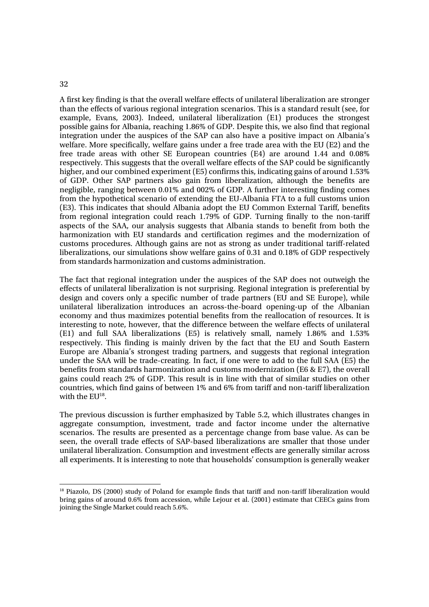### 32

A first key finding is that the overall welfare effects of unilateral liberalization are stronger than the effects of various regional integration scenarios. This is a standard result (see, for example, Evans, 2003). Indeed, unilateral liberalization (E1) produces the strongest possible gains for Albania, reaching 1.86% of GDP. Despite this, we also find that regional integration under the auspices of the SAP can also have a positive impact on Albania's welfare. More specifically, welfare gains under a free trade area with the EU (E2) and the free trade areas with other SE European countries (E4) are around 1.44 and 0.08% respectively. This suggests that the overall welfare effects of the SAP could be significantly higher, and our combined experiment (E5) confirms this, indicating gains of around 1.53% of GDP. Other SAP partners also gain from liberalization, although the benefits are negligible, ranging between 0.01% and 002% of GDP. A further interesting finding comes from the hypothetical scenario of extending the EU-Albania FTA to a full customs union (E3). This indicates that should Albania adopt the EU Common External Tariff, benefits from regional integration could reach 1.79% of GDP. Turning finally to the non-tariff aspects of the SAA, our analysis suggests that Albania stands to benefit from both the harmonization with EU standards and certification regimes and the modernization of customs procedures. Although gains are not as strong as under traditional tariff-related liberalizations, our simulations show welfare gains of 0.31 and 0.18% of GDP respectively from standards harmonization and customs administration.

The fact that regional integration under the auspices of the SAP does not outweigh the effects of unilateral liberalization is not surprising. Regional integration is preferential by design and covers only a specific number of trade partners (EU and SE Europe), while unilateral liberalization introduces an across-the-board opening-up of the Albanian economy and thus maximizes potential benefits from the reallocation of resources. It is interesting to note, however, that the difference between the welfare effects of unilateral (E1) and full SAA liberalizations (E5) is relatively small, namely 1.86% and 1.53% respectively. This finding is mainly driven by the fact that the EU and South Eastern Europe are Albania's strongest trading partners, and suggests that regional integration under the SAA will be trade-creating. In fact, if one were to add to the full SAA (E5) the benefits from standards harmonization and customs modernization (E6 & E7), the overall gains could reach 2% of GDP. This result is in line with that of similar studies on other countries, which find gains of between 1% and 6% from tariff and non-tariff liberalization with the  $EU^{18}$ .

The previous discussion is further emphasized by Table 5.2, which illustrates changes in aggregate consumption, investment, trade and factor income under the alternative scenarios. The results are presented as a percentage change from base value. As can be seen, the overall trade effects of SAP-based liberalizations are smaller that those under unilateral liberalization. Consumption and investment effects are generally similar across all experiments. It is interesting to note that households' consumption is generally weaker

<sup>&</sup>lt;sup>18</sup> Piazolo, DS (2000) study of Poland for example finds that tariff and non-tariff liberalization would bring gains of around 0.6% from accession, while Lejour et al. (2001) estimate that CEECs gains from joining the Single Market could reach 5.6%.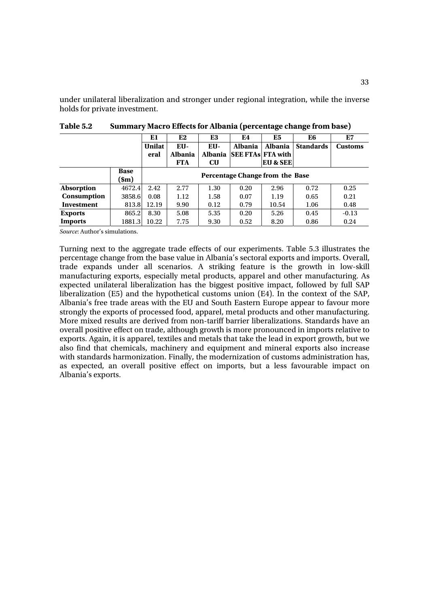under unilateral liberalization and stronger under regional integration, while the inverse holds for private investment.

|                    |             | E1            | E2             | E3             | E4                              | E5       | E6               | E7             |
|--------------------|-------------|---------------|----------------|----------------|---------------------------------|----------|------------------|----------------|
|                    |             | <b>Unilat</b> | EU-            | EU-            | <b>Albania</b>                  | Albania  | <b>Standards</b> | <b>Customs</b> |
|                    |             | eral          | <b>Albania</b> | <b>Albania</b> | <b>SEE FTAS FTA with</b>        |          |                  |                |
|                    |             |               | <b>FTA</b>     | $\bf{C}$       |                                 | EU & SEE |                  |                |
|                    | <b>Base</b> |               |                |                |                                 |          |                  |                |
|                    | sm)         |               |                |                | Percentage Change from the Base |          |                  |                |
| <b>Absorption</b>  | 4672.4      | 2.42          | 2.77           | 1.30           | 0.20                            | 2.96     | 0.72             | 0.25           |
| <b>Consumption</b> | 3858.6      | 0.08          | 1.12           | 1.58           | 0.07                            | 1.19     | 0.65             | 0.21           |
| Investment         | 813.8       | 12.19         | 9.90           | 0.12           | 0.79                            | 10.54    | 1.06             | 0.48           |
| <b>Exports</b>     | 865.2       | 8.30          | 5.08           | 5.35           | 0.20                            | 5.26     | 0.45             | $-0.13$        |
| <b>Imports</b>     | 1881.31     | 10.22         | 7.75           | 9.30           | 0.52                            | 8.20     | 0.86             | 0.24           |

**Table 5.2 Summary Macro Effects for Albania (percentage change from base)** 

*Source*: Author's simulations.

Turning next to the aggregate trade effects of our experiments. Table 5.3 illustrates the percentage change from the base value in Albania's sectoral exports and imports. Overall, trade expands under all scenarios. A striking feature is the growth in low-skill manufacturing exports, especially metal products, apparel and other manufacturing. As expected unilateral liberalization has the biggest positive impact, followed by full SAP liberalization (E5) and the hypothetical customs union (E4). In the context of the SAP, Albania's free trade areas with the EU and South Eastern Europe appear to favour more strongly the exports of processed food, apparel, metal products and other manufacturing. More mixed results are derived from non-tariff barrier liberalizations. Standards have an overall positive effect on trade, although growth is more pronounced in imports relative to exports. Again, it is apparel, textiles and metals that take the lead in export growth, but we also find that chemicals, machinery and equipment and mineral exports also increase with standards harmonization. Finally, the modernization of customs administration has, as expected, an overall positive effect on imports, but a less favourable impact on Albania's exports.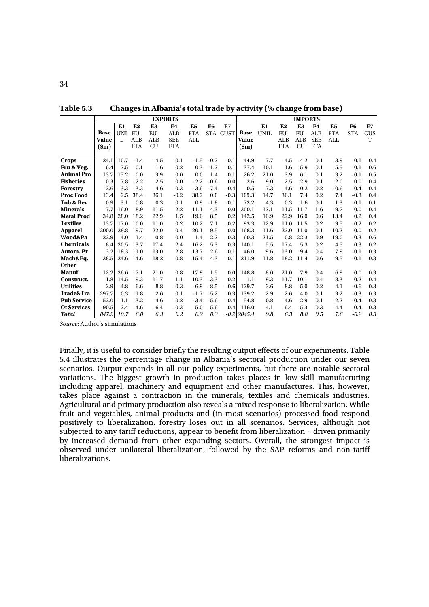|                    |               |        |            | <b>EXPORTS</b> |                |                |                |             |                 |      |            | <b>IMPORTS</b> |                |                |                |            |
|--------------------|---------------|--------|------------|----------------|----------------|----------------|----------------|-------------|-----------------|------|------------|----------------|----------------|----------------|----------------|------------|
|                    |               | El     | E2         | E <sub>3</sub> | E <sub>4</sub> | E <sub>5</sub> | E <sub>6</sub> | E7          |                 | E1   | E2         | E <sub>3</sub> | E <sub>4</sub> | E <sub>5</sub> | E <sub>6</sub> | E7         |
|                    | <b>Base</b>   | UNI    | EU-        | EU-            | <b>ALB</b>     | <b>FTA</b>     | <b>STA</b>     | <b>CUST</b> | <b>Base</b>     | UNIL | EU-        | EU-            | <b>ALB</b>     | <b>FTA</b>     | <b>STA</b>     | <b>CUS</b> |
|                    | <b>Value</b>  | L      | <b>ALB</b> | ALB            | <b>SEE</b>     | ALL            |                |             | Value           |      | ALB        | <b>ALB</b>     | <b>SEE</b>     | <b>ALL</b>     |                | T          |
|                    | $(\text{sm})$ |        | <b>FTA</b> | <b>CU</b>      | <b>FTA</b>     |                |                |             | $(\mathbf{Sm})$ |      | <b>FTA</b> | <b>CU</b>      | <b>FTA</b>     |                |                |            |
|                    |               |        |            |                |                |                |                |             |                 |      |            |                |                |                |                |            |
| <b>Crops</b>       | 24.1          | 10.7   | $-1.4$     | $-4.5$         | $-0.1$         | $-1.5$         | $-0.2$         | $-0.1$      | 44.9            | 7.7  | $-4.5$     | 4.2            | 0.1            | 3.9            | $-0.1$         | 0.4        |
| Fru & Veg.         | 6.4           | 7.5    | 0.1        | $-1.6$         | 0.2            | 0.3            | $-1.2$         | $-0.1$      | 37.4            | 10.1 | $-1.6$     | 5.9            | 0.1            | 5.5            | $-0.1$         | 0.6        |
| <b>Animal Pro</b>  | 13.7          | 15.2   | 0.0        | $-3.9$         | 0.0            | 0.0            | 1.4            | $-0.1$      | 26.2            | 21.0 | $-3.9$     | $-6.1$         | 0.1            | 3.2            | $-0.1$         | 0.5        |
| <b>Fisheries</b>   | 0.3           | 7.8    | $-2.2$     | $-2.5$         | 0.0            | $-2.2$         | $-0.6$         | 0.0         | 2.6             | 9.0  | $-2.5$     | 2.9            | 0.1            | 2.0            | 0.0            | 0.4        |
| Forestry           | 2.6           | $-3.3$ | $-3.3$     | $-4.6$         | $-0.3$         | $-3.6$         | $-7.4$         | $-0.4$      | 0.5             | 7.3  | $-4.6$     | 0.2            | 0.2            | $-0.6$         | $-0.4$         | 0.4        |
| <b>Proc Food</b>   | 13.4          | 2.5    | 38.4       | 36.1           | $-0.2$         | 38.2           | 0.0            | $-0.3$      | 109.3           | 14.7 | 36.1       | 7.4            | 0.2            | 7.4            | $-0.3$         | 0.4        |
| Tob & Bev          | 0.9           | 3.1    | 0.8        | 0.3            | 0.1            | 0.9            | $-1.8$         | $-0.1$      | 72.2            | 4.3  | 0.3        | 1.6            | 0.1            | 1.3            | $-0.1$         | 0.1        |
| <b>Minerals</b>    | 7.7           | 16.0   | 8.9        | 11.5           | 2.2            | 11.1           | 4.3            | 0.0         | 300.1           | 12.1 | 11.5       | 11.7           | 1.6            | 9.7            | 0.0            | 0.4        |
| <b>Metal Prod</b>  | 34.8          | 28.0   | 18.2       | 22.9           | 1.5            | 19.6           | 8.5            | 0.2         | 142.5           | 16.9 | 22.9       | 16.0           | 0.6            | 13.4           | 0.2            | 0.4        |
| <b>Textiles</b>    | 13.7          | 17.0   | 10.0       | 11.0           | 0.2            | 10.2           | 7.1            | $-0.2$      | 93.3            | 12.9 | 11.0       | 11.5           | 0.2            | 9.5            | $-0.2$         | 0.2        |
| <b>Apparel</b>     | 200.0         | 28.8   | 19.7       | 22.0           | 0.4            | 20.1           | 9.5            | 0.0         | 168.3           | 11.6 | 22.0       | 11.0           | 0.1            | 10.2           | 0.0            | 0.2        |
| Wood&Pa            | 22.9          | 4.0    | 1.4        | 0.8            | 0.0            | 1.4            | 2.2            | $-0.3$      | 60.3            | 21.5 | 0.8        | 22.3           | 0.9            | 19.0           | $-0.3$         | 0.6        |
| <b>Chemicals</b>   | 8.4           | 20.5   | 13.7       | 17.4           | 2.4            | 16.2           | 5.3            | 0.3         | 140.1           | 5.5  | 17.4       | 5.3            | 0.2            | 4.5            | 0.3            | 0.2        |
| Autom. Pr          | 3.2           |        | 18.3 11.0  | 13.0           | 2.8            | 13.7           | 2.6            | $-0.1$      | 46.0            | 9.6  | 13.0       | 9.4            | 0.4            | 7.9            | $-0.1$         | 0.3        |
| Mach&Eq.           | 38.5          |        | 24.6 14.6  | 18.2           | 0.8            | 15.4           | 4.3            | $-0.1$      | 211.9           | 11.8 | 18.2       | 11.4           | 0.6            | 9.5            | $-0.1$         | 0.3        |
| <b>Other</b>       |               |        |            |                |                |                |                |             |                 |      |            |                |                |                |                |            |
| <b>Manuf</b>       | 12.2          | 26.6   | 17.1       | 21.0           | 0.8            | 17.9           | 1.5            | 0.0         | 148.8           | 8.0  | 21.0       | 7.9            | 0.4            | 6.9            | 0.0            | 0.3        |
| Construct.         | 1.8           | 14.5   | 9.3        | 11.7           | 1.1            | 10.3           | $-3.3$         | 0.2         | 1.1             | 9.3  | 11.7       | 10.1           | 0.4            | 8.3            | 0.2            | 0.4        |
| <b>Utilities</b>   | 2.9           | $-4.8$ | $-6.6$     | $-8.8$         | $-0.3$         | $-6.9$         | $-8.5$         | $-0.6$      | 129.7           | 3.6  | $-8.8$     | 5.0            | 0.2            | 4.1            | $-0.6$         | 0.3        |
| Trade&Tra          | 297.7         | 0.3    | $-1.8$     | $-2.6$         | 0.1            | $-1.7$         | $-5.2$         | $-0.3$      | 139.2           | 2.9  | $-2.6$     | 4.0            | 0.1            | 3.2            | $-0.3$         | 0.3        |
| <b>Pub Service</b> | 52.0          | $-1.1$ | $-3.2$     | $-4.6$         | $-0.2$         | $-3.4$         | $-5.6$         | $-0.4$      | 54.8            | 0.8  | $-4.6$     | 2.9            | 0.1            | 2.2            | $-0.4$         | 0.3        |
| <b>Ot Services</b> | 90.5          | $-2.4$ | $-4.6$     | $-6.4$         | $-0.3$         | $-5.0$         | $-5.6$         | $-0.4$      | 116.0           | 4.1  | $-6.4$     | 5.3            | 0.3            | 4.4            | $-0.4$         | 0.3        |
| <b>Total</b>       | 847.9         | 10.7   | 6.0        | 6.3            | 0.2            | 6.2            | 0.3            |             | $-0.2$ 2045.4   | 9.8  | 6.3        | 8.8            | 0.5            | 7.6            | $-0.2$         | 0.3        |

**Table 5.3 Changes in Albania's total trade by activity (% change from base)** 

*Source*: Author's simulations

Finally, it is useful to consider briefly the resulting output effects of our experiments. Table 5.4 illustrates the percentage change in Albania's sectoral production under our seven scenarios. Output expands in all our policy experiments, but there are notable sectoral variations. The biggest growth in production takes places in low-skill manufacturing including apparel, machinery and equipment and other manufactures. This, however, takes place against a contraction in the minerals, textiles and chemicals industries. Agricultural and primary production also reveals a mixed response to liberalization. While fruit and vegetables, animal products and (in most scenarios) processed food respond positively to liberalization, forestry loses out in all scenarios. Services, although not subjected to any tariff reductions, appear to benefit from liberalization – driven primarily by increased demand from other expanding sectors. Overall, the strongest impact is observed under unilateral liberalization, followed by the SAP reforms and non-tariff liberalizations.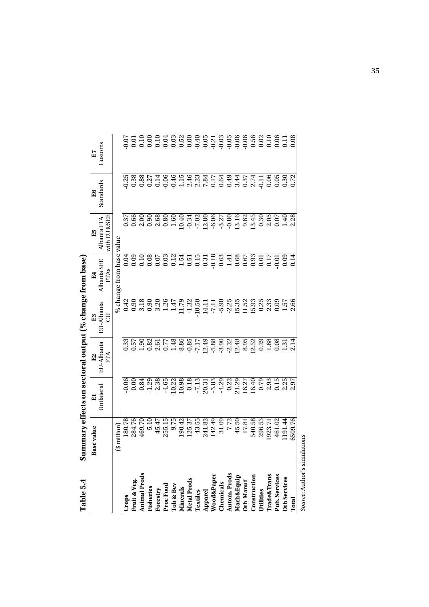| labit J.T                                                                                  | <b>Contrary Actional Section of the Section of the Section of the Section Contrary Section of the Section Contrary Section Contrary Section Contrary Section Contrary Section Contrary Section Contrary Section Contrary Section</b> |            |                                                              |                       |                                  |                   |                                                                                                          |         |
|--------------------------------------------------------------------------------------------|--------------------------------------------------------------------------------------------------------------------------------------------------------------------------------------------------------------------------------------|------------|--------------------------------------------------------------|-----------------------|----------------------------------|-------------------|----------------------------------------------------------------------------------------------------------|---------|
|                                                                                            | Base value                                                                                                                                                                                                                           | $\Xi$      |                                                              |                       |                                  | E5<br>Albania FTA | E6                                                                                                       | E7      |
|                                                                                            |                                                                                                                                                                                                                                      | Unilateral | E2<br>EU-Albania<br>FTA                                      | E3<br>EU-Albania<br>5 | E4<br>Albania SEE<br><b>FTAs</b> | with EU &SEE      | Standards                                                                                                | Customs |
|                                                                                            | $$\text{million}$$                                                                                                                                                                                                                   |            |                                                              |                       | % change from base value         |                   |                                                                                                          |         |
| Crops                                                                                      | 180.78                                                                                                                                                                                                                               |            |                                                              |                       |                                  |                   |                                                                                                          |         |
|                                                                                            | 284.76                                                                                                                                                                                                                               |            |                                                              |                       |                                  |                   |                                                                                                          |         |
| Fruit & Veg.<br>Animal Prods<br>Fisheries                                                  | 469.70                                                                                                                                                                                                                               |            |                                                              |                       |                                  |                   |                                                                                                          |         |
|                                                                                            | 5.10                                                                                                                                                                                                                                 |            |                                                              |                       |                                  |                   |                                                                                                          |         |
| <b>Forestry</b><br>Proc Food<br>Tob & Bev<br>Minerals<br>Mietal Prods                      | 45.47                                                                                                                                                                                                                                |            |                                                              |                       |                                  |                   | s a a z a e e n e a a r a a a r a n e n e a o o z<br>s a a s z a e e n e a a r a e a a s z a d e o o o o |         |
|                                                                                            | 255.15                                                                                                                                                                                                                               |            |                                                              |                       |                                  |                   |                                                                                                          |         |
|                                                                                            |                                                                                                                                                                                                                                      |            |                                                              |                       |                                  |                   |                                                                                                          |         |
|                                                                                            |                                                                                                                                                                                                                                      |            |                                                              |                       |                                  |                   |                                                                                                          |         |
|                                                                                            | 9.75<br>190.42<br>125.37                                                                                                                                                                                                             |            |                                                              |                       |                                  |                   |                                                                                                          |         |
| Textiles                                                                                   | 43.55                                                                                                                                                                                                                                |            |                                                              |                       |                                  |                   |                                                                                                          |         |
| Apparel<br>Wood&Paper<br>Chemicals<br>Chemicals<br>Autom. Prods<br>Mach&Equip<br>Oth Manuf | 241.82<br>142.49<br>31.09<br>7.72                                                                                                                                                                                                    |            |                                                              |                       |                                  |                   |                                                                                                          |         |
|                                                                                            |                                                                                                                                                                                                                                      |            |                                                              |                       |                                  |                   |                                                                                                          |         |
|                                                                                            |                                                                                                                                                                                                                                      |            |                                                              |                       |                                  |                   |                                                                                                          |         |
|                                                                                            |                                                                                                                                                                                                                                      |            |                                                              |                       |                                  |                   |                                                                                                          |         |
|                                                                                            | 45.50                                                                                                                                                                                                                                |            |                                                              |                       |                                  |                   |                                                                                                          |         |
|                                                                                            | 17.81                                                                                                                                                                                                                                |            |                                                              |                       |                                  |                   |                                                                                                          |         |
| Construction                                                                               | 540.58<br>296.55                                                                                                                                                                                                                     |            |                                                              |                       |                                  |                   |                                                                                                          |         |
| Utilities                                                                                  |                                                                                                                                                                                                                                      |            | $\begin{array}{c} 8.95 \\ 12.52 \\ 0.29 \\ 1.88 \end{array}$ |                       |                                  |                   |                                                                                                          |         |
| <b>Trade&amp;Trans</b>                                                                     | 1923.71                                                                                                                                                                                                                              |            |                                                              |                       |                                  |                   |                                                                                                          |         |
| Pub. Services                                                                              | 461.02                                                                                                                                                                                                                               |            | $0.31$<br>$1.31$<br>$2.14$                                   |                       |                                  |                   |                                                                                                          |         |
| <b>Oth Services</b>                                                                        | 1191.44                                                                                                                                                                                                                              |            |                                                              |                       |                                  |                   |                                                                                                          |         |
| Total                                                                                      | 6509.76                                                                                                                                                                                                                              |            |                                                              |                       |                                  |                   |                                                                                                          |         |

Summary effects on sectoral output  $(\%$  change from base) **Table 5.4 Summary effects on sectoral output (% change from base)**  Table 5.4

Source: Author's simulations *Source*: Author's simulations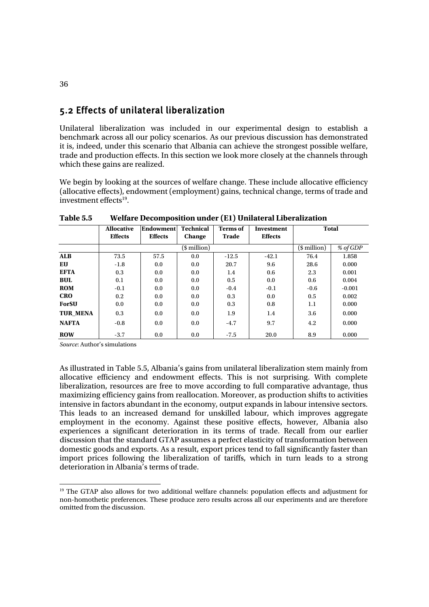## 5.2 Effects of unilateral liberalization

Unilateral liberalization was included in our experimental design to establish a benchmark across all our policy scenarios. As our previous discussion has demonstrated it is, indeed, under this scenario that Albania can achieve the strongest possible welfare, trade and production effects. In this section we look more closely at the channels through which these gains are realized.

We begin by looking at the sources of welfare change. These include allocative efficiency (allocative effects), endowment (employment) gains, technical change, terms of trade and investment effects<sup>19</sup>.

|                 | <b>Allocative</b><br><b>Effects</b> | Endowment<br><b>Effects</b> | <b>Technical</b><br>Change | <b>Terms</b> of<br>Trade | <b>Investment</b><br><b>Effects</b> | <b>Total</b>    |          |
|-----------------|-------------------------------------|-----------------------------|----------------------------|--------------------------|-------------------------------------|-----------------|----------|
|                 |                                     |                             | (\$ million)               |                          |                                     | $$$ million $)$ | % of GDP |
| <b>ALB</b>      | 73.5                                | 57.5                        | 0.0                        | $-12.5$                  | $-42.1$                             | 76.4            | 1.858    |
| EU              | $-1.8$                              | 0.0                         | 0.0                        | 20.7                     | 9.6                                 | 28.6            | 0.000    |
| <b>EFTA</b>     | 0.3                                 | 0.0                         | 0.0                        | 1.4                      | 0.6                                 | 2.3             | 0.001    |
| <b>BUL</b>      | 0.1                                 | 0.0                         | 0.0                        | 0.5                      | 0.0                                 | 0.6             | 0.004    |
| <b>ROM</b>      | $-0.1$                              | 0.0                         | 0.0                        | $-0.4$                   | $-0.1$                              | $-0.6$          | $-0.001$ |
| <b>CRO</b>      | 0.2                                 | 0.0                         | 0.0                        | 0.3                      | 0.0                                 | 0.5             | 0.002    |
| <b>ForSU</b>    | 0.0                                 | 0.0                         | 0.0                        | 0.3                      | 0.8                                 | 1.1             | 0.000    |
| <b>TUR MENA</b> | 0.3                                 | 0.0                         | 0.0                        | 1.9                      | 1.4                                 | 3.6             | 0.000    |
| <b>NAFTA</b>    | $-0.8$                              | 0.0                         | 0.0                        | $-4.7$                   | 9.7                                 | 4.2             | 0.000    |
| <b>ROW</b>      | $-3.7$                              | 0.0                         | 0.0                        | $-7.5$                   | 20.0                                | 8.9             | 0.000    |

**Table 5.5 Welfare Decomposition under (E1) Unilateral Liberalization** 

*Source*: Author's simulations

As illustrated in Table 5.5, Albania's gains from unilateral liberalization stem mainly from allocative efficiency and endowment effects. This is not surprising. With complete liberalization, resources are free to move according to full comparative advantage, thus maximizing efficiency gains from reallocation. Moreover, as production shifts to activities intensive in factors abundant in the economy, output expands in labour intensive sectors. This leads to an increased demand for unskilled labour, which improves aggregate employment in the economy. Against these positive effects, however, Albania also experiences a significant deterioration in its terms of trade. Recall from our earlier discussion that the standard GTAP assumes a perfect elasticity of transformation between domestic goods and exports. As a result, export prices tend to fall significantly faster than import prices following the liberalization of tariffs, which in turn leads to a strong deterioration in Albania's terms of trade.

<sup>&</sup>lt;sup>19</sup> The GTAP also allows for two additional welfare channels: population effects and adjustment for non-homothetic preferences. These produce zero results across all our experiments and are therefore omitted from the discussion.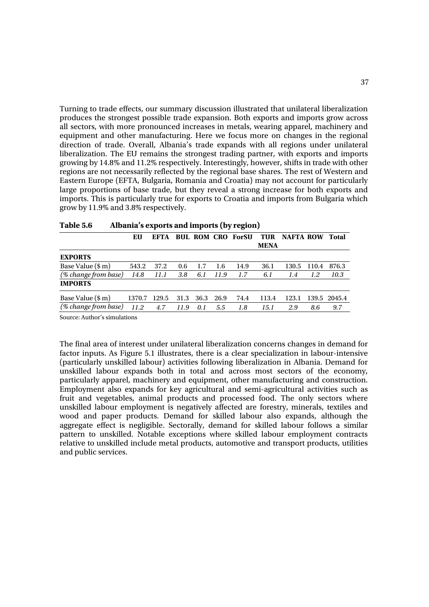Turning to trade effects, our summary discussion illustrated that unilateral liberalization produces the strongest possible trade expansion. Both exports and imports grow across all sectors, with more pronounced increases in metals, wearing apparel, machinery and equipment and other manufacturing. Here we focus more on changes in the regional direction of trade. Overall, Albania's trade expands with all regions under unilateral liberalization. The EU remains the strongest trading partner, with exports and imports growing by 14.8% and 11.2% respectively. Interestingly, however, shifts in trade with other regions are not necessarily reflected by the regional base shares. The rest of Western and Eastern Europe (EFTA, Bulgaria, Romania and Croatia) may not account for particularly large proportions of base trade, but they reveal a strong increase for both exports and imports. This is particularly true for exports to Croatia and imports from Bulgaria which grow by 11.9% and 3.8% respectively.

|                      | EU     | EFTA  |      |           |      | <b>BUL ROM CRO ForSU</b> | TUR<br><b>MENA</b> | <b>NAFTA ROW</b> |       | Total        |
|----------------------|--------|-------|------|-----------|------|--------------------------|--------------------|------------------|-------|--------------|
| <b>EXPORTS</b>       |        |       |      |           |      |                          |                    |                  |       |              |
| Base Value (\$ m)    | 543.2  | 37.2  | 0.6  | 1.7       | 1.6  | 14.9                     | 36.1               | 130.5            | 110.4 | 876.3        |
| (% change from base) | 14.8   | 11.1  | 3.8  | 6.1       | 11.9 | 1.7                      | 6.1                | 1.4              | 1.2   | 10.3         |
| <b>IMPORTS</b>       |        |       |      |           |      |                          |                    |                  |       |              |
| Base Value (\$ m)    | 1370.7 | 129.5 | 31.3 | 36.3 26.9 |      | 74.4                     | 113.4              | 123.1            |       | 139.5 2045.4 |
| (% change from base) | 11.2   | 4.7   | 11.9 | 0.1       | 5.5  | 1.8                      | 15.1               | 2.9              | 8.6   | 9.7          |

| Table 5.6 |  |  | Albania's exports and imports (by region) |
|-----------|--|--|-------------------------------------------|
|-----------|--|--|-------------------------------------------|

Source: Author's simulations

The final area of interest under unilateral liberalization concerns changes in demand for factor inputs. As Figure 5.1 illustrates, there is a clear specialization in labour-intensive (particularly unskilled labour) activities following liberalization in Albania. Demand for unskilled labour expands both in total and across most sectors of the economy, particularly apparel, machinery and equipment, other manufacturing and construction. Employment also expands for key agricultural and semi-agricultural activities such as fruit and vegetables, animal products and processed food. The only sectors where unskilled labour employment is negatively affected are forestry, minerals, textiles and wood and paper products. Demand for skilled labour also expands, although the aggregate effect is negligible. Sectorally, demand for skilled labour follows a similar pattern to unskilled. Notable exceptions where skilled labour employment contracts relative to unskilled include metal products, automotive and transport products, utilities and public services.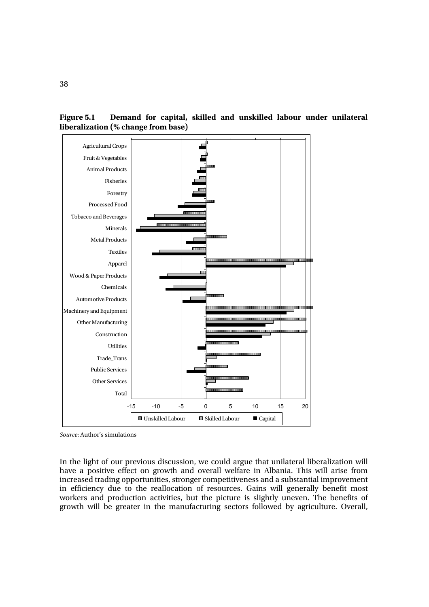**Figure 5.1 Demand for capital, skilled and unskilled labour under unilateral liberalization (% change from base)** 



*Source*: Author's simulations

In the light of our previous discussion, we could argue that unilateral liberalization will have a positive effect on growth and overall welfare in Albania. This will arise from increased trading opportunities, stronger competitiveness and a substantial improvement in efficiency due to the reallocation of resources. Gains will generally benefit most workers and production activities, but the picture is slightly uneven. The benefits of growth will be greater in the manufacturing sectors followed by agriculture. Overall,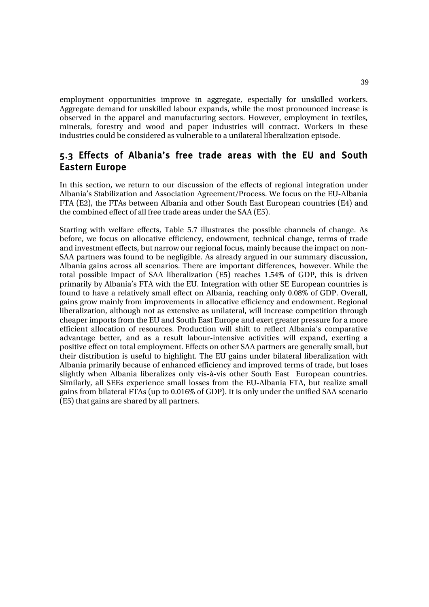employment opportunities improve in aggregate, especially for unskilled workers. Aggregate demand for unskilled labour expands, while the most pronounced increase is observed in the apparel and manufacturing sectors. However, employment in textiles, minerals, forestry and wood and paper industries will contract. Workers in these industries could be considered as vulnerable to a unilateral liberalization episode.

## 5.3 Effects of Albania's free trade areas with the EU and South Eastern Europe

In this section, we return to our discussion of the effects of regional integration under Albania's Stabilization and Association Agreement/Process. We focus on the EU-Albania FTA (E2), the FTAs between Albania and other South East European countries (E4) and the combined effect of all free trade areas under the SAA (E5).

Starting with welfare effects, Table 5.7 illustrates the possible channels of change. As before, we focus on allocative efficiency, endowment, technical change, terms of trade and investment effects, but narrow our regional focus, mainly because the impact on non-SAA partners was found to be negligible. As already argued in our summary discussion, Albania gains across all scenarios. There are important differences, however. While the total possible impact of SAA liberalization (E5) reaches 1.54% of GDP, this is driven primarily by Albania's FTA with the EU. Integration with other SE European countries is found to have a relatively small effect on Albania, reaching only 0.08% of GDP. Overall, gains grow mainly from improvements in allocative efficiency and endowment. Regional liberalization, although not as extensive as unilateral, will increase competition through cheaper imports from the EU and South East Europe and exert greater pressure for a more efficient allocation of resources. Production will shift to reflect Albania's comparative advantage better, and as a result labour-intensive activities will expand, exerting a positive effect on total employment. Effects on other SAA partners are generally small, but their distribution is useful to highlight. The EU gains under bilateral liberalization with Albania primarily because of enhanced efficiency and improved terms of trade, but loses slightly when Albania liberalizes only vis-à-vis other South East European countries. Similarly, all SEEs experience small losses from the EU-Albania FTA, but realize small gains from bilateral FTAs (up to 0.016% of GDP). It is only under the unified SAA scenario (E5) that gains are shared by all partners.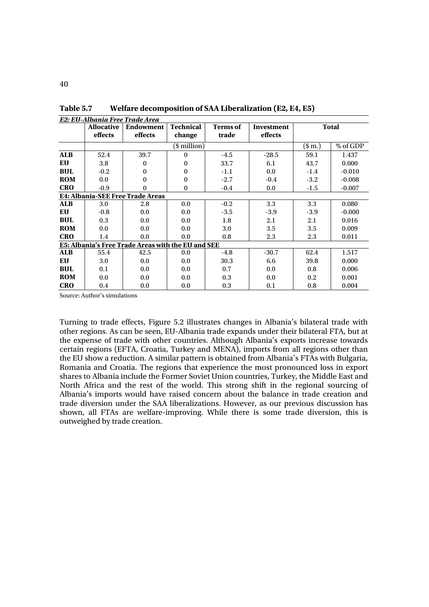|            |                   | E2: EU-Albania Free Trade Area                     |                  |                 |            |          |              |
|------------|-------------------|----------------------------------------------------|------------------|-----------------|------------|----------|--------------|
|            | <b>Allocative</b> | <b>Endowment</b>                                   | <b>Technical</b> | <b>Terms</b> of | Investment |          | <b>Total</b> |
|            | effects           | effects                                            | change           | trade           | effects    |          |              |
|            |                   |                                                    | (\$ million)     |                 |            | $(\$m.)$ | % of GDP     |
| <b>ALB</b> | 52.4              | 39.7                                               | $\Omega$         | $-4.5$          | $-28.5$    | 59.1     | 1.437        |
| EU         | 3.8               | $\Omega$                                           | 0                | 33.7            | 6.1        | 43.7     | 0.000        |
| <b>BUL</b> | $-0.2$            | $\Omega$                                           | 0                | $-1.1$          | 0.0        | $-1.4$   | $-0.010$     |
| <b>ROM</b> | 0.0               | $\Omega$                                           | $\theta$         | $-2.7$          | $-0.4$     | $-3.2$   | $-0.008$     |
| <b>CRO</b> | $-0.9$            | $\Omega$                                           | $\mathbf{0}$     | $-0.4$          | 0.0        | $-1.5$   | $-0.007$     |
|            |                   | <b>E4: Albania-SEE Free Trade Areas</b>            |                  |                 |            |          |              |
| <b>ALB</b> | 3.0               | 2.8                                                | 0.0              | $-0.2$          | 3.3        | 3.3      | 0.080        |
| EU         | $-0.8$            | 0.0                                                | 0.0              | $-3.5$          | $-3.9$     | $-3.9$   | $-0.000$     |
| <b>BUL</b> | 0.3               | 0.0                                                | 0.0              | 1.8             | 2.1        | 2.1      | 0.016        |
| <b>ROM</b> | 0.0               | 0.0                                                | 0.0              | 3.0             | 3.5        | 3.5      | 0.009        |
| <b>CRO</b> | 1.4               | 0.0                                                | 0.0              | 0.8             | 2.3        | 2.3      | 0.011        |
|            |                   | E5: Albania's Free Trade Areas with the EU and SEE |                  |                 |            |          |              |
| <b>ALB</b> | 55.4              | 42.5                                               | 0.0              | $-4.8$          | $-30.7$    | 62.4     | 1.517        |
| EU         | 3.0               | 0.0                                                | 0.0              | 30.3            | 6.6        | 39.8     | 0.000        |
| <b>BUL</b> | 0.1               | 0.0                                                | 0.0              | 0.7             | 0.0        | 0.8      | 0.006        |
| <b>ROM</b> | 0.0               | 0.0                                                | 0.0              | 0.3             | 0.0        | 0.2      | 0.001        |
| <b>CRO</b> | 0.4               | 0.0                                                | 0.0              | 0.3             | 0.1        | 0.8      | 0.004        |

**Table 5.7 Welfare decomposition of SAA Liberalization (E2, E4, E5)** 

Source: Author's simulations

Turning to trade effects, Figure 5.2 illustrates changes in Albania's bilateral trade with other regions. As can be seen, EU-Albania trade expands under their bilateral FTA, but at the expense of trade with other countries. Although Albania's exports increase towards certain regions (EFTA, Croatia, Turkey and MENA), imports from all regions other than the EU show a reduction. A similar pattern is obtained from Albania's FTAs with Bulgaria, Romania and Croatia. The regions that experience the most pronounced loss in export shares to Albania include the Former Soviet Union countries, Turkey, the Middle East and North Africa and the rest of the world. This strong shift in the regional sourcing of Albania's imports would have raised concern about the balance in trade creation and trade diversion under the SAA liberalizations. However, as our previous discussion has shown, all FTAs are welfare-improving. While there is some trade diversion, this is outweighed by trade creation.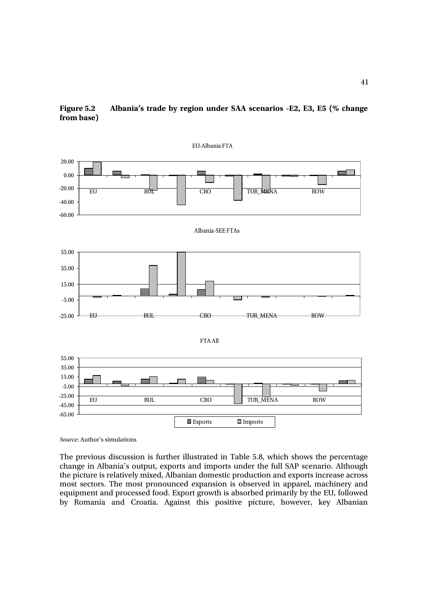



*Source*: Author's simulations

The previous discussion is further illustrated in Table 5.8, which shows the percentage change in Albania's output, exports and imports under the full SAP scenario. Although the picture is relatively mixed, Albanian domestic production and exports increase across most sectors. The most pronounced expansion is observed in apparel, machinery and equipment and processed food. Export growth is absorbed primarily by the EU, followed by Romania and Croatia. Against this positive picture, however, key Albanian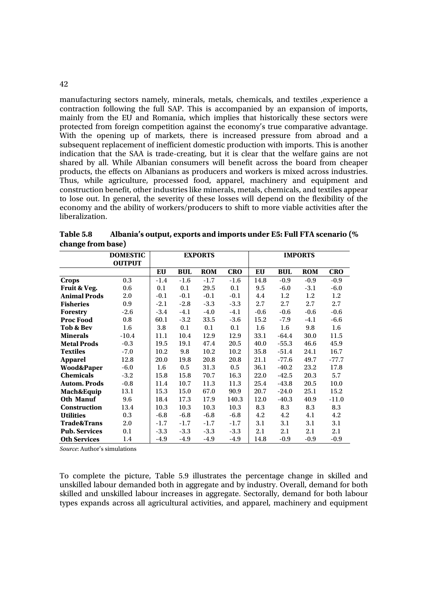manufacturing sectors namely, minerals, metals, chemicals, and textiles ,experience a contraction following the full SAP. This is accompanied by an expansion of imports, mainly from the EU and Romania, which implies that historically these sectors were protected from foreign competition against the economy's true comparative advantage. With the opening up of markets, there is increased pressure from abroad and a subsequent replacement of inefficient domestic production with imports. This is another indication that the SAA is trade-creating, but it is clear that the welfare gains are not shared by all. While Albanian consumers will benefit across the board from cheaper products, the effects on Albanians as producers and workers is mixed across industries. Thus, while agriculture, processed food, apparel, machinery and equipment and construction benefit, other industries like minerals, metals, chemicals, and textiles appear to lose out. In general, the severity of these losses will depend on the flexibility of the economy and the ability of workers/producers to shift to more viable activities after the liberalization.

|                        | <b>DOMESTIC</b> |        |            | <b>EXPORTS</b> |            |        |         | <b>IMPORTS</b> |            |
|------------------------|-----------------|--------|------------|----------------|------------|--------|---------|----------------|------------|
|                        | <b>OUTPUT</b>   |        |            |                |            |        |         |                |            |
|                        |                 | EU     | <b>BUL</b> | <b>ROM</b>     | <b>CRO</b> | EU     | BUL     | <b>ROM</b>     | <b>CRO</b> |
| <b>Crops</b>           | 0.3             | $-1.4$ | $-1.6$     | $-1.7$         | $-1.6$     | 14.8   | $-0.9$  | $-0.9$         | $-0.9$     |
| Fruit & Veg.           | 0.6             | 0.1    | 0.1        | 29.5           | 0.1        | 9.5    | $-6.0$  | $-3.1$         | $-6.0$     |
| <b>Animal Prods</b>    | 2.0             | $-0.1$ | $-0.1$     | $-0.1$         | $-0.1$     | 4.4    | 1.2     | 1.2            | 1.2        |
| <b>Fisheries</b>       | 0.9             | $-2.1$ | $-2.8$     | $-3.3$         | $-3.3$     | 2.7    | 2.7     | 2.7            | 2.7        |
| <b>Forestry</b>        | $-2.6$          | $-3.4$ | $-4.1$     | $-4.0$         | $-4.1$     | $-0.6$ | $-0.6$  | $-0.6$         | $-0.6$     |
| <b>Proc Food</b>       | 0.8             | 60.1   | $-3.2$     | 33.5           | $-3.6$     | 15.2   | $-7.9$  | $-4.1$         | $-6.6$     |
| Tob & Bev              | 1.6             | 3.8    | 0.1        | 0.1            | 0.1        | 1.6    | 1.6     | 9.8            | 1.6        |
| <b>Minerals</b>        | $-10.4$         | 11.1   | 10.4       | 12.9           | 12.9       | 33.1   | $-64.4$ | 30.0           | 11.5       |
| <b>Metal Prods</b>     | $-0.3$          | 19.5   | 19.1       | 47.4           | 20.5       | 40.0   | $-55.3$ | 46.6           | 45.9       |
| <b>Textiles</b>        | $-7.0$          | 10.2   | 9.8        | 10.2           | 10.2       | 35.8   | $-51.4$ | 24.1           | 16.7       |
| <b>Apparel</b>         | 12.8            | 20.0   | 19.8       | 20.8           | 20.8       | 21.1   | $-77.6$ | 49.7           | $-77.7$    |
| <b>Wood&amp;Paper</b>  | $-6.0$          | 1.6    | 0.5        | 31.3           | 0.5        | 36.1   | $-40.2$ | 23.2           | 17.8       |
| <b>Chemicals</b>       | $-3.2$          | 15.8   | 15.8       | 70.7           | 16.3       | 22.0   | $-42.5$ | 20.3           | 5.7        |
| <b>Autom. Prods</b>    | $-0.8$          | 11.4   | 10.7       | 11.3           | 11.3       | 25.4   | $-43.8$ | 20.5           | 10.0       |
| Mach&Equip             | 13.1            | 15.3   | 15.0       | 67.0           | 90.9       | 20.7   | $-24.0$ | 25.1           | 15.2       |
| <b>Oth Manuf</b>       | 9.6             | 18.4   | 17.3       | 17.9           | 140.3      | 12.0   | $-40.3$ | 40.9           | $-11.0$    |
| <b>Construction</b>    | 13.4            | 10.3   | 10.3       | 10.3           | 10.3       | 8.3    | 8.3     | 8.3            | 8.3        |
| <b>Utilities</b>       | 0.3             | $-6.8$ | $-6.8$     | $-6.8$         | $-6.8$     | 4.2    | 4.2     | 4.1            | 4.2        |
| <b>Trade&amp;Trans</b> | 2.0             | $-1.7$ | $-1.7$     | $-1.7$         | $-1.7$     | 3.1    | 3.1     | 3.1            | 3.1        |
| <b>Pub. Services</b>   | 0.1             | $-3.3$ | $-3.3$     | $-3.3$         | $-3.3$     | 2.1    | 2.1     | 2.1            | 2.1        |
| <b>Oth Services</b>    | 1.4             | $-4.9$ | $-4.9$     | $-4.9$         | $-4.9$     | 14.8   | $-0.9$  | $-0.9$         | $-0.9$     |

**Table 5.8 Albania's output, exports and imports under E5: Full FTA scenario (% change from base)** 

*Source*: Author's simulations

To complete the picture, Table 5.9 illustrates the percentage change in skilled and unskilled labour demanded both in aggregate and by industry. Overall, demand for both skilled and unskilled labour increases in aggregate. Sectorally, demand for both labour types expands across all agricultural activities, and apparel, machinery and equipment

42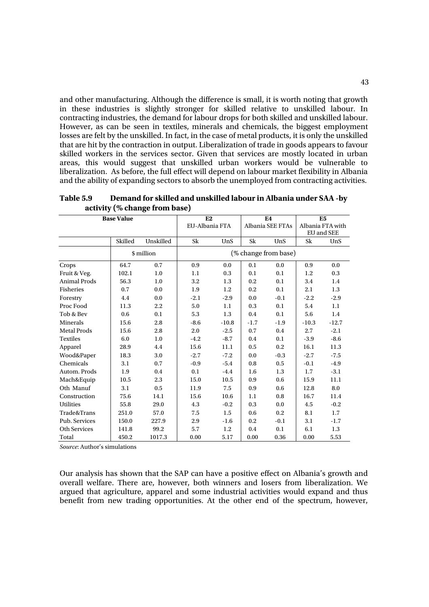and other manufacturing. Although the difference is small, it is worth noting that growth in these industries is slightly stronger for skilled relative to unskilled labour. In contracting industries, the demand for labour drops for both skilled and unskilled labour. However, as can be seen in textiles, minerals and chemicals, the biggest employment losses are felt by the unskilled. In fact, in the case of metal products, it is only the unskilled that are hit by the contraction in output. Liberalization of trade in goods appears to favour skilled workers in the services sector. Given that services are mostly located in urban areas, this would suggest that unskilled urban workers would be vulnerable to liberalization. As before, the full effect will depend on labour market flexibility in Albania and the ability of expanding sectors to absorb the unemployed from contracting activities.

|                     | <b>Base Value</b> |            | E2             |         |        | E <sub>4</sub>       |         | E <sub>5</sub>   |
|---------------------|-------------------|------------|----------------|---------|--------|----------------------|---------|------------------|
|                     |                   |            | EU-Albania FTA |         |        | Albania SEE FTAs     |         | Albania FTA with |
|                     |                   |            |                |         |        |                      |         | EU and SEE       |
|                     | Skilled           | Unskilled  | Sk             | UnS     | Sk     | UnS                  | Sk      | UnS              |
|                     |                   | \$ million |                |         |        | (% change from base) |         |                  |
| Crops               | 64.7              | 0.7        | 0.9            | 0.0     | 0.1    | 0.0                  | 0.9     | 0.0              |
| Fruit & Veg.        | 102.1             | 1.0        | 1.1            | 0.3     | 0.1    | 0.1                  | 1.2     | 0.3              |
| <b>Animal Prods</b> | 56.3              | 1.0        | 3.2            | 1.3     | 0.2    | 0.1                  | 3.4     | 1.4              |
| Fisheries           | 0.7               | 0.0        | 1.9            | 1.2     | 0.2    | 0.1                  | 2.1     | 1.3              |
| Forestry            | 4.4               | 0.0        | $-2.1$         | $-2.9$  | 0.0    | $-0.1$               | $-2.2$  | $-2.9$           |
| Proc Food           | 11.3              | 2.2        | 5.0            | 1.1     | 0.3    | 0.1                  | 5.4     | 1.1              |
| Tob & Bev           | 0.6               | 0.1        | 5.3            | 1.3     | 0.4    | 0.1                  | 5.6     | 1.4              |
| Minerals            | 15.6              | 2.8        | $-8.6$         | $-10.8$ | $-1.7$ | $-1.9$               | $-10.3$ | $-12.7$          |
| <b>Metal Prods</b>  | 15.6              | 2.8        | 2.0            | $-2.5$  | 0.7    | 0.4                  | 2.7     | $-2.1$           |
| <b>Textiles</b>     | 6.0               | 1.0        | $-4.2$         | $-8.7$  | 0.4    | 0.1                  | $-3.9$  | $-8.6$           |
| Apparel             | 28.9              | 4.4        | 15.6           | 11.1    | 0.5    | 0.2                  | 16.1    | 11.3             |
| Wood&Paper          | 18.3              | 3.0        | $-2.7$         | $-7.2$  | 0.0    | $-0.3$               | $-2.7$  | $-7.5$           |
| Chemicals           | 3.1               | 0.7        | $-0.9$         | $-5.4$  | 0.8    | 0.5                  | $-0.1$  | $-4.9$           |
| Autom. Prods        | 1.9               | 0.4        | 0.1            | $-4.4$  | 1.6    | 1.3                  | 1.7     | $-3.1$           |
| Mach&Equip          | 10.5              | 2.3        | 15.0           | 10.5    | 0.9    | 0.6                  | 15.9    | 11.1             |
| Oth Manuf           | 3.1               | 0.5        | 11.9           | 7.5     | 0.9    | 0.6                  | 12.8    | 8.0              |
| Construction        | 75.6              | 14.1       | 15.6           | 10.6    | 1.1    | 0.8                  | 16.7    | 11.4             |
| <b>Utilities</b>    | 55.8              | 29.0       | 4.3            | $-0.2$  | 0.3    | 0.0                  | 4.5     | $-0.2$           |
| Trade&Trans         | 251.0             | 57.0       | 7.5            | 1.5     | 0.6    | 0.2                  | 8.1     | $1.7\phantom{0}$ |
| Pub. Services       | 150.0             | 227.9      | 2.9            | $-1.6$  | 0.2    | $-0.1$               | 3.1     | $-1.7$           |
| <b>Oth Services</b> | 141.8             | 99.2       | 5.7            | 1.2     | 0.4    | 0.1                  | 6.1     | 1.3              |
| Total               | 450.2             | 1017.3     | 0.00           | 5.17    | 0.00   | 0.36                 | 0.00    | 5.53             |

**Table 5.9 Demand for skilled and unskilled labour in Albania under SAA -by activity (% change from base)** 

*Source*: Author's simulations

Our analysis has shown that the SAP can have a positive effect on Albania's growth and overall welfare. There are, however, both winners and losers from liberalization. We argued that agriculture, apparel and some industrial activities would expand and thus benefit from new trading opportunities. At the other end of the spectrum, however,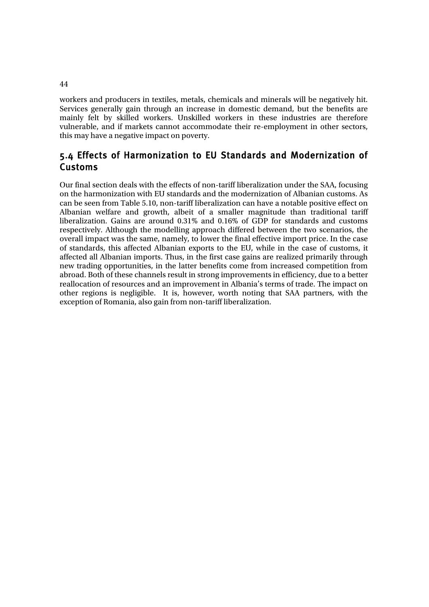workers and producers in textiles, metals, chemicals and minerals will be negatively hit. Services generally gain through an increase in domestic demand, but the benefits are mainly felt by skilled workers. Unskilled workers in these industries are therefore vulnerable, and if markets cannot accommodate their re-employment in other sectors, this may have a negative impact on poverty.

## 5.4 Effects of Harmonization to EU Standards and Modernization of Customs

Our final section deals with the effects of non-tariff liberalization under the SAA, focusing on the harmonization with EU standards and the modernization of Albanian customs. As can be seen from Table 5.10, non-tariff liberalization can have a notable positive effect on Albanian welfare and growth, albeit of a smaller magnitude than traditional tariff liberalization. Gains are around 0.31% and 0.16% of GDP for standards and customs respectively. Although the modelling approach differed between the two scenarios, the overall impact was the same, namely, to lower the final effective import price. In the case of standards, this affected Albanian exports to the EU, while in the case of customs, it affected all Albanian imports. Thus, in the first case gains are realized primarily through new trading opportunities, in the latter benefits come from increased competition from abroad. Both of these channels result in strong improvements in efficiency, due to a better reallocation of resources and an improvement in Albania's terms of trade. The impact on other regions is negligible. It is, however, worth noting that SAA partners, with the exception of Romania, also gain from non-tariff liberalization.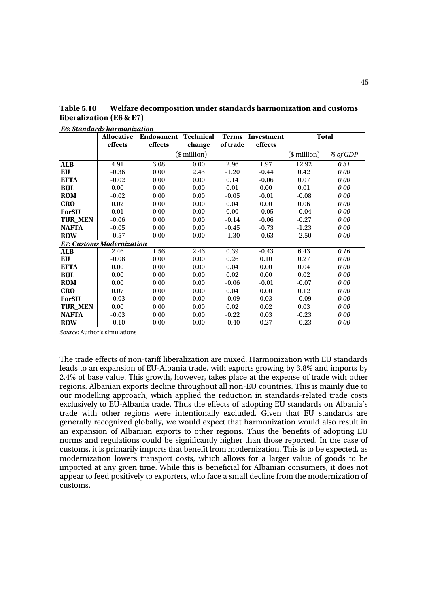|                | E6: Standards harmonization      |                  |                  |              |            |                  |                       |
|----------------|----------------------------------|------------------|------------------|--------------|------------|------------------|-----------------------|
|                | <b>Allocative</b>                | <b>Endowment</b> | <b>Technical</b> | <b>Terms</b> | Investment |                  | <b>Total</b>          |
|                | effects                          | effects          | change           | of trade     | effects    |                  |                       |
|                |                                  |                  | $$$ million)     |              |            | $($$ million $)$ | % of $G\overline{DP}$ |
| <b>ALB</b>     | 4.91                             | 3.08             | 0.00             | 2.96         | 1.97       | 12.92            | 0.31                  |
| EU             | $-0.36$                          | 0.00             | 2.43             | $-1.20$      | $-0.44$    | 0.42             | 0.00                  |
| <b>EFTA</b>    | $-0.02$                          | 0.00             | 0.00             | 0.14         | $-0.06$    | 0.07             | 0.00                  |
| <b>BUL</b>     | 0.00                             | 0.00             | 0.00             | 0.01         | 0.00       | 0.01             | 0.00                  |
| <b>ROM</b>     | $-0.02$                          | 0.00             | 0.00             | $-0.05$      | $-0.01$    | $-0.08$          | 0.00                  |
| <b>CRO</b>     | 0.02                             | 0.00             | 0.00             | 0.04         | 0.00       | 0.06             | 0.00                  |
| <b>ForSU</b>   | 0.01                             | 0.00             | 0.00             | 0.00         | $-0.05$    | $-0.04$          | 0.00                  |
| <b>TUR MEN</b> | $-0.06$                          | 0.00             | 0.00             | $-0.14$      | $-0.06$    | $-0.27$          | 0.00                  |
| <b>NAFTA</b>   | $-0.05$                          | 0.00             | 0.00             | $-0.45$      | $-0.73$    | $-1.23$          | 0.00                  |
| <b>ROW</b>     | $-0.57$                          | 0.00             | 0.00             | $-1.30$      | $-0.63$    | $-2.50$          | 0.00                  |
|                | <b>E7: Customs Modernization</b> |                  |                  |              |            |                  |                       |
| <b>ALB</b>     | 2.46                             | 1.56             | 2.46             | 0.39         | $-0.43$    | 6.43             | 0.16                  |
| EU             | $-0.08$                          | 0.00             | 0.00             | 0.26         | 0.10       | 0.27             | 0.00                  |
| <b>EFTA</b>    | 0.00                             | 0.00             | 0.00             | 0.04         | 0.00       | 0.04             | 0.00                  |
| <b>BUL</b>     | 0.00                             | 0.00             | 0.00             | 0.02         | 0.00       | 0.02             | 0.00                  |
| <b>ROM</b>     | 0.00                             | 0.00             | 0.00             | $-0.06$      | $-0.01$    | $-0.07$          | 0.00                  |
| <b>CRO</b>     | 0.07                             | 0.00             | 0.00             | 0.04         | 0.00       | 0.12             | 0.00                  |
| <b>ForSU</b>   | $-0.03$                          | 0.00             | 0.00             | $-0.09$      | 0.03       | $-0.09$          | 0.00                  |
| <b>TUR MEN</b> | 0.00                             | 0.00             | 0.00             | 0.02         | 0.02       | 0.03             | 0.00                  |
| <b>NAFTA</b>   | $-0.03$                          | 0.00             | 0.00             | $-0.22$      | 0.03       | $-0.23$          | 0.00                  |
| <b>ROW</b>     | $-0.10$                          | 0.00             | 0.00             | $-0.40$      | 0.27       | $-0.23$          | 0.00                  |

**Table 5.10 Welfare decomposition under standards harmonization and customs liberalization (E6 & E7)** 

*Source*: Author's simulations

The trade effects of non-tariff liberalization are mixed. Harmonization with EU standards leads to an expansion of EU-Albania trade, with exports growing by 3.8% and imports by 2.4% of base value. This growth, however, takes place at the expense of trade with other regions. Albanian exports decline throughout all non-EU countries. This is mainly due to our modelling approach, which applied the reduction in standards-related trade costs exclusively to EU-Albania trade. Thus the effects of adopting EU standards on Albania's trade with other regions were intentionally excluded. Given that EU standards are generally recognized globally, we would expect that harmonization would also result in an expansion of Albanian exports to other regions. Thus the benefits of adopting EU norms and regulations could be significantly higher than those reported. In the case of customs, it is primarily imports that benefit from modernization. This is to be expected, as modernization lowers transport costs, which allows for a larger value of goods to be imported at any given time. While this is beneficial for Albanian consumers, it does not appear to feed positively to exporters, who face a small decline from the modernization of customs.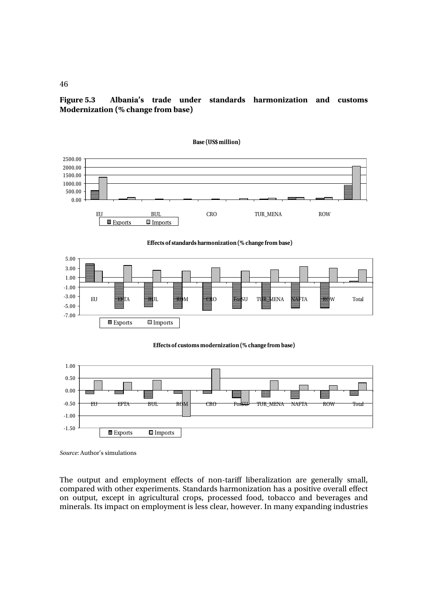**Figure 5.3 Albania's trade under standards harmonization and customs Modernization (% change from base)** 



*Source*: Author's simulations

The output and employment effects of non-tariff liberalization are generally small, compared with other experiments. Standards harmonization has a positive overall effect on output, except in agricultural crops, processed food, tobacco and beverages and minerals. Its impact on employment is less clear, however. In many expanding industries

46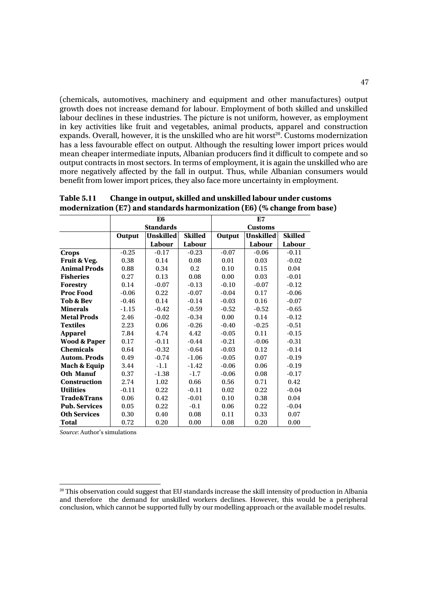(chemicals, automotives, machinery and equipment and other manufactures) output growth does not increase demand for labour. Employment of both skilled and unskilled labour declines in these industries. The picture is not uniform, however, as employment in key activities like fruit and vegetables, animal products, apparel and construction expands. Overall, however, it is the unskilled who are hit worst<sup>20</sup>. Customs modernization has a less favourable effect on output. Although the resulting lower import prices would mean cheaper intermediate inputs, Albanian producers find it difficult to compete and so output contracts in most sectors. In terms of employment, it is again the unskilled who are more negatively affected by the fall in output. Thus, while Albanian consumers would benefit from lower import prices, they also face more uncertainty in employment.

|                         |               | E <sub>6</sub>   |                |               | E7               |                |
|-------------------------|---------------|------------------|----------------|---------------|------------------|----------------|
|                         |               | <b>Standards</b> |                |               | <b>Customs</b>   |                |
|                         | <b>Output</b> | <b>Unskilled</b> | <b>Skilled</b> | <b>Output</b> | <b>Unskilled</b> | <b>Skilled</b> |
|                         |               | Labour           | Labour         |               | Labour           | Labour         |
| <b>Crops</b>            | $-0.25$       | $-0.17$          | $-0.23$        | $-0.07$       | $-0.06$          | $-0.11$        |
| Fruit & Veg.            | 0.38          | 0.14             | 0.08           | 0.01          | 0.03             | $-0.02$        |
| <b>Animal Prods</b>     | 0.88          | 0.34             | 0.2            | 0.10          | 0.15             | 0.04           |
| <b>Fisheries</b>        | 0.27          | 0.13             | 0.08           | 0.00          | 0.03             | $-0.01$        |
| <b>Forestry</b>         | 0.14          | $-0.07$          | $-0.13$        | $-0.10$       | $-0.07$          | $-0.12$        |
| <b>Proc Food</b>        | $-0.06$       | 0.22             | $-0.07$        | $-0.04$       | 0.17             | $-0.06$        |
| Tob & Bev               | $-0.46$       | 0.14             | $-0.14$        | $-0.03$       | 0.16             | $-0.07$        |
| <b>Minerals</b>         | $-1.15$       | $-0.42$          | $-0.59$        | $-0.52$       | $-0.52$          | $-0.65$        |
| <b>Metal Prods</b>      | 2.46          | $-0.02$          | $-0.34$        | 0.00          | 0.14             | $-0.12$        |
| <b>Textiles</b>         | 2.23          | 0.06             | $-0.26$        | $-0.40$       | $-0.25$          | $-0.51$        |
| <b>Apparel</b>          | 7.84          | 4.74             | 4.42           | $-0.05$       | 0.11             | $-0.15$        |
| <b>Wood &amp; Paper</b> | 0.17          | $-0.11$          | $-0.44$        | $-0.21$       | $-0.06$          | $-0.31$        |
| <b>Chemicals</b>        | 0.64          | $-0.32$          | $-0.64$        | $-0.03$       | 0.12             | $-0.14$        |
| <b>Autom. Prods</b>     | 0.49          | $-0.74$          | $-1.06$        | $-0.05$       | 0.07             | $-0.19$        |
| Mach & Equip            | 3.44          | $-1.1$           | $-1.42$        | $-0.06$       | 0.06             | $-0.19$        |
| <b>Oth Manuf</b>        | 0.37          | $-1.38$          | $-1.7$         | $-0.06$       | 0.08             | $-0.17$        |
| Construction            | 2.74          | 1.02             | 0.66           | 0.56          | 0.71             | 0.42           |
| <b>Utilities</b>        | $-0.11$       | 0.22             | $-0.11$        | 0.02          | 0.22             | $-0.04$        |
| <b>Trade&amp;Trans</b>  | 0.06          | 0.42             | $-0.01$        | 0.10          | 0.38             | 0.04           |
| <b>Pub. Services</b>    | 0.05          | 0.22             | $-0.1$         | 0.06          | 0.22             | $-0.04$        |
| <b>Oth Services</b>     | 0.30          | 0.40             | 0.08           | 0.11          | 0.33             | 0.07           |
| Total                   | 0.72          | 0.20             | 0.00           | 0.08          | 0.20             | 0.00           |

**Table 5.11 Change in output, skilled and unskilled labour under customs modernization (E7) and standards harmonization (E6) (% change from base)** 

*Source*: Author's simulations

 $20$  This observation could suggest that EU standards increase the skill intensity of production in Albania and therefore the demand for unskilled workers declines. However, this would be a peripheral conclusion, which cannot be supported fully by our modelling approach or the available model results.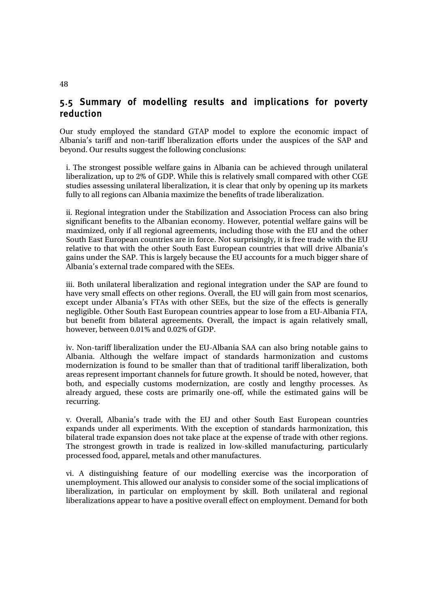## 5.5 Summary of modelling results and implications for poverty reduction

Our study employed the standard GTAP model to explore the economic impact of Albania's tariff and non-tariff liberalization efforts under the auspices of the SAP and beyond. Our results suggest the following conclusions:

i. The strongest possible welfare gains in Albania can be achieved through unilateral liberalization, up to 2% of GDP. While this is relatively small compared with other CGE studies assessing unilateral liberalization, it is clear that only by opening up its markets fully to all regions can Albania maximize the benefits of trade liberalization.

ii. Regional integration under the Stabilization and Association Process can also bring significant benefits to the Albanian economy. However, potential welfare gains will be maximized, only if all regional agreements, including those with the EU and the other South East European countries are in force. Not surprisingly, it is free trade with the EU relative to that with the other South East European countries that will drive Albania's gains under the SAP. This is largely because the EU accounts for a much bigger share of Albania's external trade compared with the SEEs.

iii. Both unilateral liberalization and regional integration under the SAP are found to have very small effects on other regions. Overall, the EU will gain from most scenarios, except under Albania's FTAs with other SEEs, but the size of the effects is generally negligible. Other South East European countries appear to lose from a EU-Albania FTA, but benefit from bilateral agreements. Overall, the impact is again relatively small, however, between 0.01% and 0.02% of GDP.

iv. Non-tariff liberalization under the EU-Albania SAA can also bring notable gains to Albania. Although the welfare impact of standards harmonization and customs modernization is found to be smaller than that of traditional tariff liberalization, both areas represent important channels for future growth. It should be noted, however, that both, and especially customs modernization, are costly and lengthy processes. As already argued, these costs are primarily one-off, while the estimated gains will be recurring.

v. Overall, Albania's trade with the EU and other South East European countries expands under all experiments. With the exception of standards harmonization, this bilateral trade expansion does not take place at the expense of trade with other regions. The strongest growth in trade is realized in low-skilled manufacturing, particularly processed food, apparel, metals and other manufactures.

vi. A distinguishing feature of our modelling exercise was the incorporation of unemployment. This allowed our analysis to consider some of the social implications of liberalization, in particular on employment by skill. Both unilateral and regional liberalizations appear to have a positive overall effect on employment. Demand for both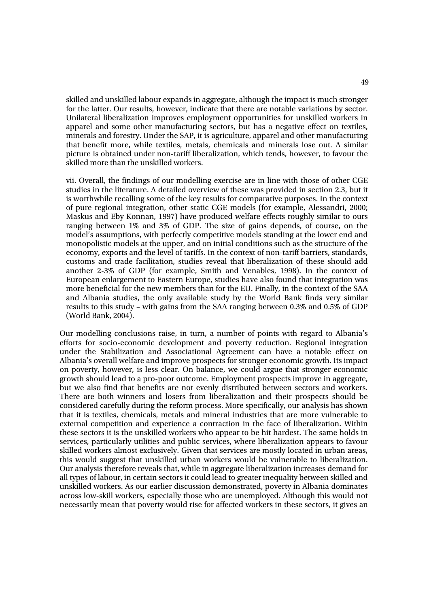skilled and unskilled labour expands in aggregate, although the impact is much stronger for the latter. Our results, however, indicate that there are notable variations by sector. Unilateral liberalization improves employment opportunities for unskilled workers in apparel and some other manufacturing sectors, but has a negative effect on textiles, minerals and forestry. Under the SAP, it is agriculture, apparel and other manufacturing that benefit more, while textiles, metals, chemicals and minerals lose out. A similar picture is obtained under non-tariff liberalization, which tends, however, to favour the skilled more than the unskilled workers.

vii. Overall, the findings of our modelling exercise are in line with those of other CGE studies in the literature. A detailed overview of these was provided in section 2.3, but it is worthwhile recalling some of the key results for comparative purposes. In the context of pure regional integration, other static CGE models (for example, Alessandri, 2000; Maskus and Eby Konnan, 1997) have produced welfare effects roughly similar to ours ranging between 1% and 3% of GDP. The size of gains depends, of course, on the model's assumptions, with perfectly competitive models standing at the lower end and monopolistic models at the upper, and on initial conditions such as the structure of the economy, exports and the level of tariffs. In the context of non-tariff barriers, standards, customs and trade facilitation, studies reveal that liberalization of these should add another 2-3% of GDP (for example, Smith and Venables, 1998). In the context of European enlargement to Eastern Europe, studies have also found that integration was more beneficial for the new members than for the EU. Finally, in the context of the SAA and Albania studies, the only available study by the World Bank finds very similar results to this study – with gains from the SAA ranging between 0.3% and 0.5% of GDP (World Bank, 2004).

Our modelling conclusions raise, in turn, a number of points with regard to Albania's efforts for socio-economic development and poverty reduction. Regional integration under the Stabilization and Associational Agreement can have a notable effect on Albania's overall welfare and improve prospects for stronger economic growth. Its impact on poverty, however, is less clear. On balance, we could argue that stronger economic growth should lead to a pro-poor outcome. Employment prospects improve in aggregate, but we also find that benefits are not evenly distributed between sectors and workers. There are both winners and losers from liberalization and their prospects should be considered carefully during the reform process. More specifically, our analysis has shown that it is textiles, chemicals, metals and mineral industries that are more vulnerable to external competition and experience a contraction in the face of liberalization. Within these sectors it is the unskilled workers who appear to be hit hardest. The same holds in services, particularly utilities and public services, where liberalization appears to favour skilled workers almost exclusively. Given that services are mostly located in urban areas, this would suggest that unskilled urban workers would be vulnerable to liberalization. Our analysis therefore reveals that, while in aggregate liberalization increases demand for all types of labour, in certain sectors it could lead to greater inequality between skilled and unskilled workers. As our earlier discussion demonstrated, poverty in Albania dominates across low-skill workers, especially those who are unemployed. Although this would not necessarily mean that poverty would rise for affected workers in these sectors, it gives an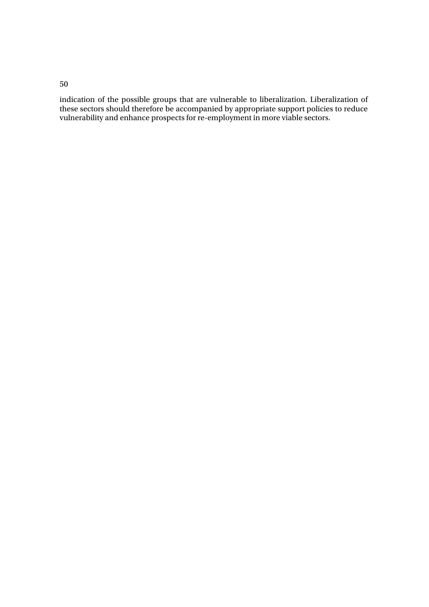### 50

indication of the possible groups that are vulnerable to liberalization. Liberalization of these sectors should therefore be accompanied by appropriate support policies to reduce vulnerability and enhance prospects for re-employment in more viable sectors.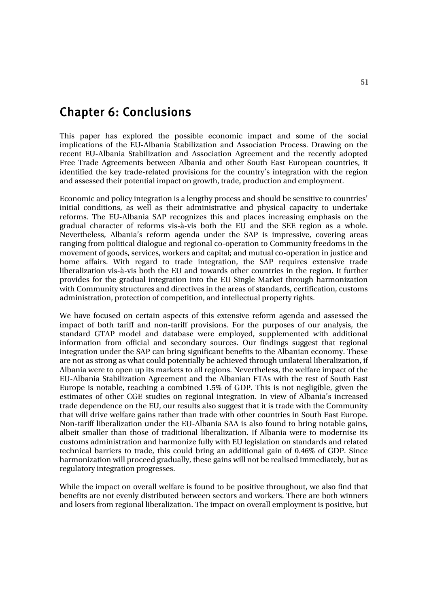# Chapter 6: Conclusions

This paper has explored the possible economic impact and some of the social implications of the EU-Albania Stabilization and Association Process. Drawing on the recent EU-Albania Stabilization and Association Agreement and the recently adopted Free Trade Agreements between Albania and other South East European countries, it identified the key trade-related provisions for the country's integration with the region and assessed their potential impact on growth, trade, production and employment.

Economic and policy integration is a lengthy process and should be sensitive to countries' initial conditions, as well as their administrative and physical capacity to undertake reforms. The EU-Albania SAP recognizes this and places increasing emphasis on the gradual character of reforms vis-à-vis both the  $E\overline{U}$  and the SEE region as a whole. Nevertheless, Albania's reform agenda under the SAP is impressive, covering areas ranging from political dialogue and regional co-operation to Community freedoms in the movement of goods, services, workers and capital; and mutual co-operation in justice and home affairs. With regard to trade integration, the SAP requires extensive trade liberalization vis-à-vis both the EU and towards other countries in the region. It further provides for the gradual integration into the EU Single Market through harmonization with Community structures and directives in the areas of standards, certification, customs administration, protection of competition, and intellectual property rights.

We have focused on certain aspects of this extensive reform agenda and assessed the impact of both tariff and non-tariff provisions. For the purposes of our analysis, the standard GTAP model and database were employed, supplemented with additional information from official and secondary sources. Our findings suggest that regional integration under the SAP can bring significant benefits to the Albanian economy. These are not as strong as what could potentially be achieved through unilateral liberalization, if Albania were to open up its markets to all regions. Nevertheless, the welfare impact of the EU-Albania Stabilization Agreement and the Albanian FTAs with the rest of South East Europe is notable, reaching a combined 1.5% of GDP. This is not negligible, given the estimates of other CGE studies on regional integration. In view of Albania's increased trade dependence on the EU, our results also suggest that it is trade with the Community that will drive welfare gains rather than trade with other countries in South East Europe. Non-tariff liberalization under the EU-Albania SAA is also found to bring notable gains, albeit smaller than those of traditional liberalization. If Albania were to modernise its customs administration and harmonize fully with EU legislation on standards and related technical barriers to trade, this could bring an additional gain of 0.46% of GDP. Since harmonization will proceed gradually, these gains will not be realised immediately, but as regulatory integration progresses.

While the impact on overall welfare is found to be positive throughout, we also find that benefits are not evenly distributed between sectors and workers. There are both winners and losers from regional liberalization. The impact on overall employment is positive, but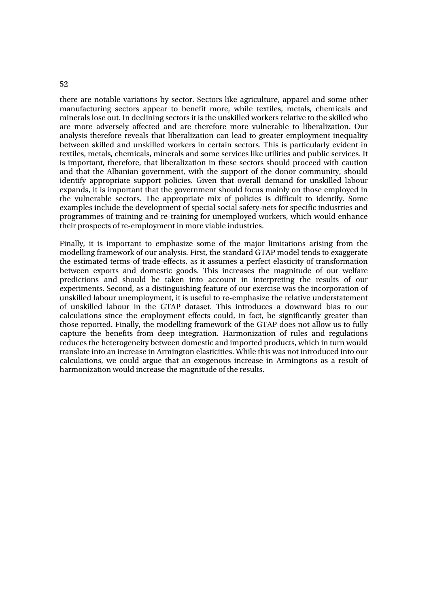there are notable variations by sector. Sectors like agriculture, apparel and some other manufacturing sectors appear to benefit more, while textiles, metals, chemicals and minerals lose out. In declining sectors it is the unskilled workers relative to the skilled who are more adversely affected and are therefore more vulnerable to liberalization. Our analysis therefore reveals that liberalization can lead to greater employment inequality between skilled and unskilled workers in certain sectors. This is particularly evident in textiles, metals, chemicals, minerals and some services like utilities and public services. It is important, therefore, that liberalization in these sectors should proceed with caution and that the Albanian government, with the support of the donor community, should identify appropriate support policies. Given that overall demand for unskilled labour expands, it is important that the government should focus mainly on those employed in the vulnerable sectors. The appropriate mix of policies is difficult to identify. Some examples include the development of special social safety-nets for specific industries and programmes of training and re-training for unemployed workers, which would enhance their prospects of re-employment in more viable industries.

Finally, it is important to emphasize some of the major limitations arising from the modelling framework of our analysis. First, the standard GTAP model tends to exaggerate the estimated terms-of trade-effects, as it assumes a perfect elasticity of transformation between exports and domestic goods. This increases the magnitude of our welfare predictions and should be taken into account in interpreting the results of our experiments. Second, as a distinguishing feature of our exercise was the incorporation of unskilled labour unemployment, it is useful to re-emphasize the relative understatement of unskilled labour in the GTAP dataset. This introduces a downward bias to our calculations since the employment effects could, in fact, be significantly greater than those reported. Finally, the modelling framework of the GTAP does not allow us to fully capture the benefits from deep integration. Harmonization of rules and regulations reduces the heterogeneity between domestic and imported products, which in turn would translate into an increase in Armington elasticities. While this was not introduced into our calculations, we could argue that an exogenous increase in Armingtons as a result of harmonization would increase the magnitude of the results.

52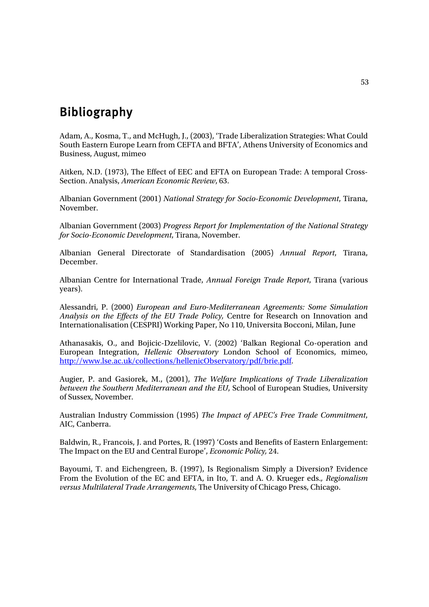# Bibliography

Adam, A., Kosma, T., and McHugh, J., (2003), 'Trade Liberalization Strategies: What Could South Eastern Europe Learn from CEFTA and BFTA', Athens University of Economics and Business, August, mimeo

Aitken, N.D. (1973), The Effect of EEC and EFTA on European Trade: A temporal Cross-Section. Analysis, *American Economic Review*, 63.

Albanian Government (2001) *National Strategy for Socio-Economic Development*, Tirana, November.

Albanian Government (2003) *Progress Report for Implementation of the National Strategy for Socio-Economic Development*, Tirana, November.

Albanian General Directorate of Standardisation (2005) *Annual Report*, Tirana, December.

Albanian Centre for International Trade, *Annual Foreign Trade Report*, Tirana (various years).

Alessandri, P. (2000) *European and Euro-Mediterranean Agreements: Some Simulation Analysis on the Effects of the EU Trade Policy,* Centre for Research on Innovation and Internationalisation (CESPRI) Working Paper, No 110, Universita Bocconi, Milan, June

Athanasakis, O., and Bojicic-Dzelilovic, V. (2002) 'Balkan Regional Co-operation and European Integration, *Hellenic Observatory* London School of Economics, mimeo, http://www.lse.ac.uk/collections/hellenicObservatory/pdf/brie.pdf.

Augier, P. and Gasiorek, M., (2001), *The Welfare Implications of Trade Liberalization between the Southern Mediterranean and the EU*, School of European Studies, University of Sussex, November.

Australian Industry Commission (1995) *The Impact of APEC's Free Trade Commitment*, AIC, Canberra.

Baldwin, R., Francois, J. and Portes, R. (1997) 'Costs and Benefits of Eastern Enlargement: The Impact on the EU and Central Europe', *Economic Policy,* 24.

Bayoumi, T. and Eichengreen, B. (1997), Is Regionalism Simply a Diversion? Evidence From the Evolution of the EC and EFTA, in Ito, T. and A. O. Krueger eds.*, Regionalism versus Multilateral Trade Arrangements*, The University of Chicago Press, Chicago.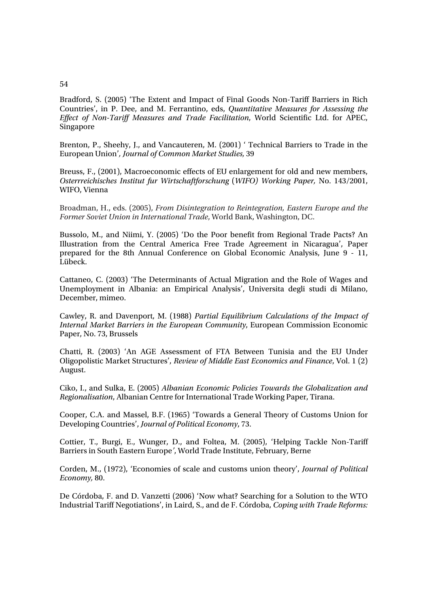### 54

Bradford, S. (2005) 'The Extent and Impact of Final Goods Non-Tariff Barriers in Rich Countries', in P. Dee, and M. Ferrantino, eds, *Quantitative Measures for Assessing the Effect of Non-Tariff Measures and Trade Facilitation*, World Scientific Ltd. for APEC, Singapore

Brenton, P., Sheehy, J., and Vancauteren, M. (2001) ' Technical Barriers to Trade in the European Union'*, Journal of Common Market Studies,* 39

Breuss, F., (2001), Macroeconomic effects of EU enlargement for old and new members, *Osterrreichisches Institut fur Wirtschaftforschung* (*WIFO) Working Paper,* No. 143/2001, WIFO, Vienna

Broadman, H., eds. (2005), *From Disintegration to Reintegration, Eastern Europe and the Former Soviet Union in International Trade*, World Bank, Washington, DC.

Bussolo, M., and Niimi, Y. (2005) 'Do the Poor benefit from Regional Trade Pacts? An Illustration from the Central America Free Trade Agreement in Nicaragua', Paper prepared for the 8th Annual Conference on Global Economic Analysis, June 9 - 11, Lübeck.

Cattaneo, C. (2003) 'The Determinants of Actual Migration and the Role of Wages and Unemployment in Albania: an Empirical Analysis', Universita degli studi di Milano, December, mimeo.

Cawley, R. and Davenport, M. (1988) *Partial Equilibrium Calculations of the Impact of Internal Market Barriers in the European Community*, European Commission Economic Paper, No. 73, Brussels

Chatti, R. (2003) 'An AGE Assessment of FTA Between Tunisia and the EU Under Oligopolistic Market Structures', *Review of Middle East Economics and Finance*, Vol. 1 (2) August.

Ciko, I., and Sulka, E. (2005) *Albanian Economic Policies Towards the Globalization and Regionalisation*, Albanian Centre for International Trade Working Paper, Tirana.

Cooper, C.A. and Massel, B.F. (1965) 'Towards a General Theory of Customs Union for Developing Countries', *Journal of Political Economy*, 73.

Cottier, T., Burgi, E., Wunger, D., and Foltea, M. (2005), 'Helping Tackle Non-Tariff Barriers in South Eastern Europe*'*, World Trade Institute, February, Berne

Corden, M., (1972), 'Economies of scale and customs union theory', *Journal of Political Economy,* 80.

De Córdoba, F. and D. Vanzetti (2006) 'Now what? Searching for a Solution to the WTO Industrial Tariff Negotiations', in Laird, S., and de F. Córdoba, *Coping with Trade Reforms:*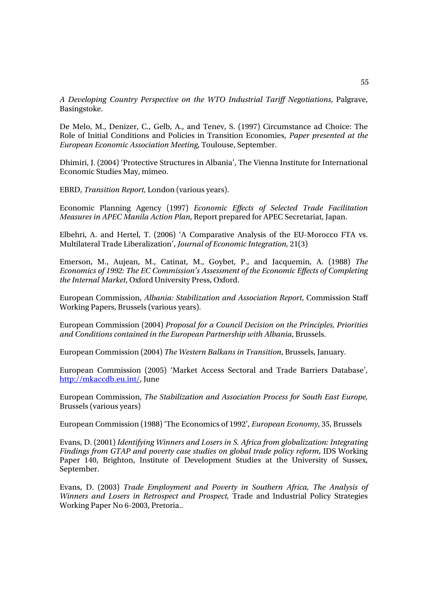*A Developing Country Perspective on the WTO Industrial Tariff Negotiations*, Palgrave, Basingstoke.

De Melo, M., Denizer, C., Gelb, A., and Tenev, S. (1997) Circumstance ad Choice: The Role of Initial Conditions and Policies in Transition Economies, *Paper presented at the European Economic Association Meeting*, Toulouse, September.

Dhimiri, J. (2004) 'Protective Structures in Albania', The Vienna Institute for International Economic Studies May, mimeo.

EBRD, *Transition Report,* London (various years).

Economic Planning Agency (1997) *Economic Effects of Selected Trade Facilitation Measures in APEC Manila Action Plan*, Report prepared for APEC Secretariat, Japan.

Elbehri, A. and Hertel, T. (2006) 'A Comparative Analysis of the EU-Morocco FTA vs. Multilateral Trade Liberalization', *Journal of Economic Integration,* 21(3)

Emerson, M., Aujean, M., Catinat, M., Goybet, P., and Jacquemin, A. (1988) *The Economics of 1992: The EC Commission's Assessment of the Economic Effects of Completing the Internal Market*, Oxford University Press, Oxford.

European Commission, *Albania: Stabilization and Association Report*, Commission Staff Working Papers, Brussels (various years).

European Commission (2004) *Proposal for a Council Decision on the Principles, Priorities and Conditions contained in the European Partnership with Albania*, Brussels.

European Commission (2004) *The Western Balkans in Transition*, Brussels, January.

European Commission (2005) 'Market Access Sectoral and Trade Barriers Database'*,*  http://mkaccdb.eu.int/, June

European Commission, *The Stabilization and Association Process for South East Europe,*  Brussels (various years)

European Commission (1988) 'The Economics of 1992', *European Economy*, 35, Brussels

Evans, D. (2001) *Identifying Winners and Losers in S. Africa from globalization: Integrating Findings from GTAP and poverty case studies on global trade policy reform*, IDS Working Paper 140, Brighton, Institute of Development Studies at the University of Sussex, September.

Evans, D. (2003) *Trade Employment and Poverty in Southern Africa, The Analysis of Winners and Losers in Retrospect and Prospect,* Trade and Industrial Policy Strategies Working Paper No 6-2003, Pretoria..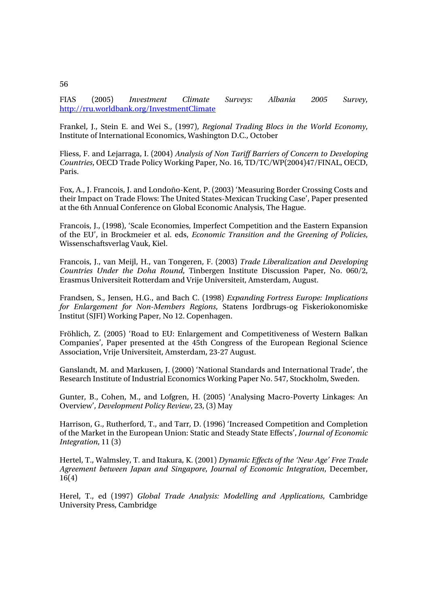FIAS (2005) *Investment Climate Surveys: Albania 2005 Survey*, http://rru.worldbank.org/InvestmentClimate

Frankel, J., Stein E. and Wei S., (1997), *Regional Trading Blocs in the World Economy*, Institute of International Economics, Washington D.C., October

Fliess, F. and Lejarraga, I. (2004) *Analysis of Non Tariff Barriers of Concern to Developing Countries*, OECD Trade Policy Working Paper, No. 16, TD/TC/WP(2004)47/FINAL, OECD, Paris.

Fox, A., J. Francois, J. and Londoño-Kent, P. (2003) 'Measuring Border Crossing Costs and their Impact on Trade Flows: The United States-Mexican Trucking Case', Paper presented at the 6th Annual Conference on Global Economic Analysis, The Hague.

Francois, J., (1998), 'Scale Economies, Imperfect Competition and the Eastern Expansion of the EU', in Brockmeier et al. eds, *Economic Transition and the Greening of Policies*, Wissenschaftsverlag Vauk, Kiel.

Francois, J., van Meijl, H., van Tongeren, F. (2003) *Trade Liberalization and Developing Countries Under the Doha Round*, Tinbergen Institute Discussion Paper, No. 060/2, Erasmus Universiteit Rotterdam and Vrije Universiteit, Amsterdam, August.

Frandsen, S., Jensen, H.G., and Bach C. (1998) *Expanding Fortress Europe: Implications for Enlargement for Non-Members Regions*, Statens Jordbrugs-og Fiskeriokonomiske Institut (SJFI) Working Paper, No 12. Copenhagen.

Fröhlich, Z. (2005) 'Road to EU: Enlargement and Competitiveness of Western Balkan Companies', Paper presented at the 45th Congress of the European Regional Science Association, Vrije Universiteit, Amsterdam, 23-27 August.

Ganslandt, M. and Markusen, J. (2000) 'National Standards and International Trade', the Research Institute of Industrial Economics Working Paper No. 547, Stockholm, Sweden.

Gunter, B., Cohen, M., and Lofgren, H. (2005) 'Analysing Macro-Poverty Linkages: An Overview', *Development Policy Review*, 23, (3) May

Harrison, G., Rutherford, T., and Tarr, D. (1996) 'Increased Competition and Completion of the Market in the European Union: Static and Steady State Effects', *Journal of Economic Integration*, 11 (3)

Hertel, T., Walmsley, T. and Itakura, K. (2001) *Dynamic Effects of the 'New Age' Free Trade Agreement between Japan and Singapore*, *Journal of Economic Integration*, December, 16(4)

Herel, T., ed (1997) *Global Trade Analysis: Modelling and Applications*, Cambridge University Press, Cambridge

56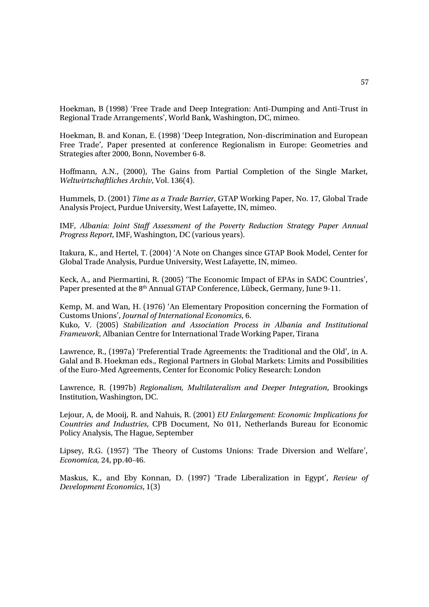Hoekman, B (1998) 'Free Trade and Deep Integration: Anti-Dumping and Anti-Trust in Regional Trade Arrangements', World Bank, Washington, DC, mimeo.

Hoekman, B. and Konan, E. (1998) 'Deep Integration, Non-discrimination and European Free Trade', Paper presented at conference Regionalism in Europe: Geometries and Strategies after 2000, Bonn, November 6-8.

Hoffmann, A.N., (2000), The Gains from Partial Completion of the Single Market, *Weltwirtschaftliches Archiv*, Vol. 136(4).

Hummels, D. (2001) *Time as a Trade Barrier*, GTAP Working Paper, No. 17, Global Trade Analysis Project, Purdue University, West Lafayette, IN, mimeo.

IMF, *Albania: Joint Staff Assessment of the Poverty Reduction Strategy Paper Annual Progress Report*, IMF, Washington, DC (various years).

Itakura, K., and Hertel, T. (2004) 'A Note on Changes since GTAP Book Model, Center for Global Trade Analysis, Purdue University, West Lafayette, IN, mimeo.

Keck, A., and Piermartini, R. (2005) 'The Economic Impact of EPAs in SADC Countries', Paper presented at the 8<sup>th</sup> Annual GTAP Conference, Lübeck, Germany, June 9-11.

Kemp, M. and Wan, H. (1976) 'An Elementary Proposition concerning the Formation of Customs Unions', *Journal of International Economics*, 6.

Kuko, V. (2005) *Stabilization and Association Process in Albania and Institutional Framework*, Albanian Centre for International Trade Working Paper, Tirana

Lawrence, R., (1997a) 'Preferential Trade Agreements: the Traditional and the Old', in A. Galal and B. Hoekman eds., Regional Partners in Global Markets: Limits and Possibilities of the Euro-Med Agreements, Center for Economic Policy Research: London

Lawrence, R. (1997b) *Regionalism, Multilateralism and Deeper Integration*, Brookings Institution, Washington, DC.

Lejour, A, de Mooij, R. and Nahuis, R. (2001) *EU Enlargement: Economic Implications for Countries and Industries*, CPB Document, No 011, Netherlands Bureau for Economic Policy Analysis, The Hague, September

Lipsey, R.G. (1957) 'The Theory of Customs Unions: Trade Diversion and Welfare', *Economica,* 24, pp.40-46.

Maskus, K., and Eby Konnan, D. (1997) 'Trade Liberalization in Egypt', *Review of Development Economics*, 1(3)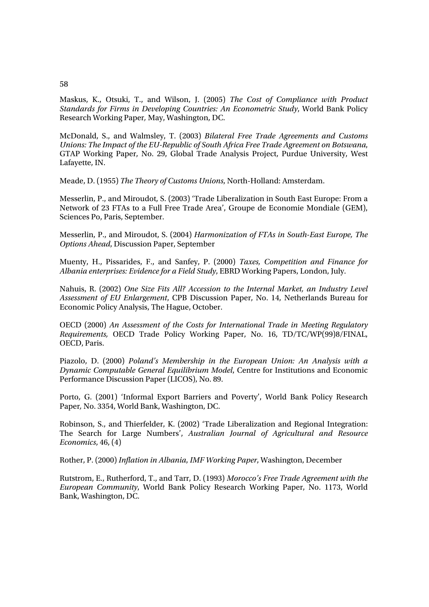### Maskus, K., Otsuki, T., and Wilson, J. (2005) *The Cost of Compliance with Product Standards for Firms in Developing Countries: An Econometric Study*, World Bank Policy Research Working Paper*,* May, Washington, DC.

McDonald, S., and Walmsley, T. (2003) *Bilateral Free Trade Agreements and Customs Unions: The Impact of the EU-Republic of South Africa Free Trade Agreement on Botswana*, GTAP Working Paper, No. 29, Global Trade Analysis Project, Purdue University, West Lafayette, IN.

Meade, D. (1955) *The Theory of Customs Unions*, North-Holland: Amsterdam.

Messerlin, P., and Miroudot, S. (2003) 'Trade Liberalization in South East Europe: From a Network of 23 FTAs to a Full Free Trade Area', Groupe de Economie Mondiale (GEM), Sciences Po, Paris, September.

Messerlin, P., and Miroudot, S. (2004) *Harmonization of FTAs in South-East Europe, The Options Ahead*, Discussion Paper, September

Muenty, H., Pissarides, F., and Sanfey, P. (2000) *Taxes, Competition and Finance for Albania enterprises: Evidence for a Field Study*, EBRD Working Papers, London, July.

Nahuis, R. (2002) *One Size Fits All? Accession to the Internal Market, an Industry Level Assessment of EU Enlargement*, CPB Discussion Paper, No. 14, Netherlands Bureau for Economic Policy Analysis, The Hague, October.

OECD (2000) *An Assessment of the Costs for International Trade in Meeting Regulatory Requirements,* OECD Trade Policy Working Paper, No. 16, TD/TC/WP(99)8/FINAL, OECD, Paris.

Piazolo, D. (2000) *Poland's Membership in the European Union: An Analysis with a Dynamic Computable General Equilibrium Model*, Centre for Institutions and Economic Performance Discussion Paper (LICOS), No. 89.

Porto, G. (2001) 'Informal Export Barriers and Poverty', World Bank Policy Research Paper*,* No. 3354, World Bank, Washington, DC.

Robinson, S., and Thierfelder, K. (2002) 'Trade Liberalization and Regional Integration: The Search for Large Numbers', *Australian Journal of Agricultural and Resource Economics*, 46, (4)

Rother, P. (2000) *Inflation in Albania*, *IMF Working Paper*, Washington, December

Rutstrom, E., Rutherford, T., and Tarr, D. (1993) *Morocco's Free Trade Agreement with the European Community*, World Bank Policy Research Working Paper, No. 1173, World Bank, Washington, DC.

### 58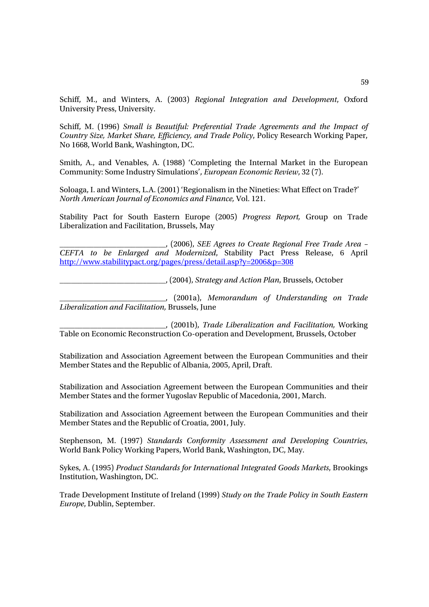Schiff, M., and Winters, A. (2003) *Regional Integration and Development*, Oxford University Press, University.

Schiff, M. (1996) *Small is Beautiful: Preferential Trade Agreements and the Impact of Country Size, Market Share, Efficiency, and Trade Policy*, Policy Research Working Paper, No 1668, World Bank, Washington, DC.

Smith, A., and Venables, A. (1988) 'Completing the Internal Market in the European Community: Some Industry Simulations', *European Economic Review*, 32 (7).

Soloaga, I. and Winters, L.A. (2001) 'Regionalism in the Nineties: What Effect on Trade?' *North American Journal of Economics and Finance,* Vol. 121.

Stability Pact for South Eastern Europe (2005) *Progress Report,* Group on Trade Liberalization and Facilitation, Brussels, May

\_\_\_\_\_\_\_\_\_\_\_\_\_\_\_\_\_\_\_\_\_\_\_\_\_\_\_\_, (2006), *SEE Agrees to Create Regional Free Trade Area – CEFTA to be Enlarged and Modernized*, Stability Pact Press Release, 6 April http://www.stabilitypact.org/pages/press/detail.asp?y=2006&p=308

\_\_\_\_\_\_\_\_\_\_\_\_\_\_\_\_\_\_\_\_\_\_\_\_\_\_\_\_, (2004), *Strategy and Action Plan*, Brussels, October

\_\_\_\_\_\_\_\_\_\_\_\_\_\_\_\_\_\_\_\_\_\_\_\_\_\_\_\_, (2001a), *Memorandum of Understanding on Trade Liberalization and Facilitation,* Brussels, June

\_\_\_\_\_\_\_\_\_\_\_\_\_\_\_\_\_\_\_\_\_\_\_\_\_\_\_\_, (2001b), *Trade Liberalization and Facilitation,* Working Table on Economic Reconstruction Co-operation and Development, Brussels, October

Stabilization and Association Agreement between the European Communities and their Member States and the Republic of Albania, 2005, April, Draft.

Stabilization and Association Agreement between the European Communities and their Member States and the former Yugoslav Republic of Macedonia, 2001, March.

Stabilization and Association Agreement between the European Communities and their Member States and the Republic of Croatia, 2001, July.

Stephenson, M. (1997) *Standards Conformity Assessment and Developing Countries*, World Bank Policy Working Papers, World Bank, Washington, DC, May.

Sykes, A. (1995) *Product Standards for International Integrated Goods Markets*, Brookings Institution, Washington, DC.

Trade Development Institute of Ireland (1999) *Study on the Trade Policy in South Eastern Europe*, Dublin, September.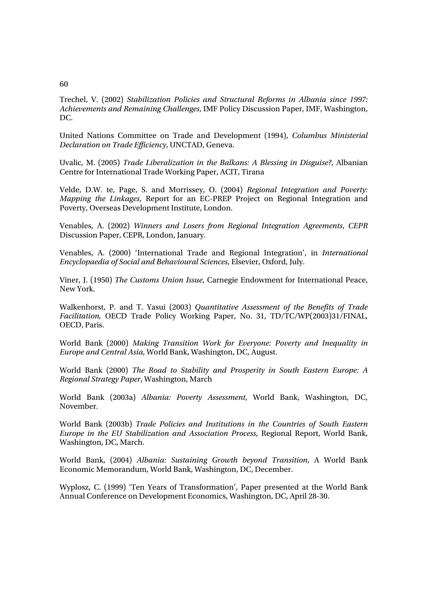### 60

Trechel, V. (2002) *Stabilization Policies and Structural Reforms in Albania since 1997: Achievements and Remaining Challenges*, IMF Policy Discussion Paper, IMF, Washington, DC.

United Nations Committee on Trade and Development (1994), *Columbus Ministerial Declaration on Trade Efficiency*, UNCTAD, Geneva.

Uvalic, M. (2005) *Trade Liberalization in the Balkans: A Blessing in Disguise?*, Albanian Centre for International Trade Working Paper, ACIT, Tirana

Velde, D.W. te, Page, S. and Morrissey, O. (2004) *Regional Integration and Poverty: Mapping the Linkages*, Report for an EC-PREP Project on Regional Integration and Poverty, Overseas Development Institute, London.

Venables, A. (2002) *Winners and Losers from Regional Integration Agreements*, *CEPR*  Discussion Paper, CEPR, London, January.

Venables, A. (2000) 'International Trade and Regional Integration', in *International Encyclopaedia of Social and Behavioural Sciences*, Elsevier, Oxford, July.

Viner, J. (1950) *The Customs Union Issue*, Carnegie Endowment for International Peace, New York.

Walkenhorst, P. and T. Yasui (2003) *Quantitative Assessment of the Benefits of Trade Facilitation,* OECD Trade Policy Working Paper, No. 31, TD/TC/WP(2003)31/FINAL, OECD, Paris.

World Bank (2000) *Making Transition Work for Everyone: Poverty and Inequality in Europe and Central Asia*, World Bank, Washington, DC, August.

World Bank (2000) *The Road to Stability and Prosperity in South Eastern Europe: A Regional Strategy Paper*, Washington, March

World Bank (2003a) *Albania: Poverty Assessment*, World Bank, Washington, DC, November.

World Bank (2003b) *Trade Policies and Institutions in the Countries of South Eastern Europe in the EU Stabilization and Association Process*, Regional Report, World Bank, Washington, DC, March.

World Bank, (2004) *Albania: Sustaining Growth beyond Transition*, A World Bank Economic Memorandum, World Bank, Washington, DC, December.

Wyplosz, C. (1999) 'Ten Years of Transformation', Paper presented at the World Bank Annual Conference on Development Economics, Washington, DC, April 28-30.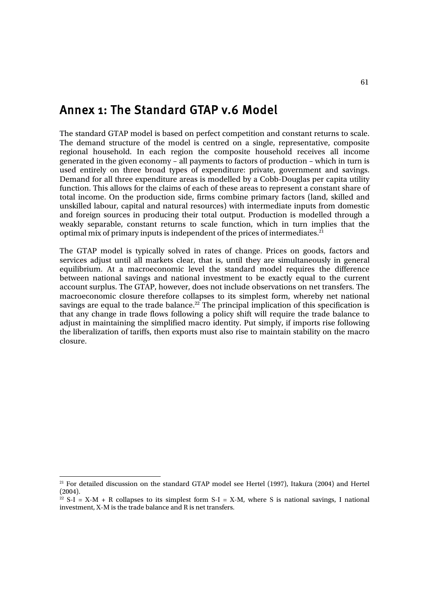## Annex 1: The Standard GTAP v.6 Model

The standard GTAP model is based on perfect competition and constant returns to scale. The demand structure of the model is centred on a single, representative, composite regional household. In each region the composite household receives all income generated in the given economy – all payments to factors of production – which in turn is used entirely on three broad types of expenditure: private, government and savings. Demand for all three expenditure areas is modelled by a Cobb-Douglas per capita utility function. This allows for the claims of each of these areas to represent a constant share of total income. On the production side, firms combine primary factors (land, skilled and unskilled labour, capital and natural resources) with intermediate inputs from domestic and foreign sources in producing their total output. Production is modelled through a weakly separable, constant returns to scale function, which in turn implies that the optimal mix of primary inputs is independent of the prices of intermediates.<sup>21</sup>

The GTAP model is typically solved in rates of change. Prices on goods, factors and services adjust until all markets clear, that is, until they are simultaneously in general equilibrium. At a macroeconomic level the standard model requires the difference between national savings and national investment to be exactly equal to the current account surplus. The GTAP, however, does not include observations on net transfers. The macroeconomic closure therefore collapses to its simplest form, whereby net national savings are equal to the trade balance.<sup>22</sup> The principal implication of this specification is that any change in trade flows following a policy shift will require the trade balance to adjust in maintaining the simplified macro identity. Put simply, if imports rise following the liberalization of tariffs, then exports must also rise to maintain stability on the macro closure.

l

<sup>&</sup>lt;sup>21</sup> For detailed discussion on the standard GTAP model see Hertel (1997), Itakura (2004) and Hertel (2004).

<sup>&</sup>lt;sup>22</sup> S-I = X-M + R collapses to its simplest form S-I = X-M, where S is national savings, I national investment, X-M is the trade balance and R is net transfers.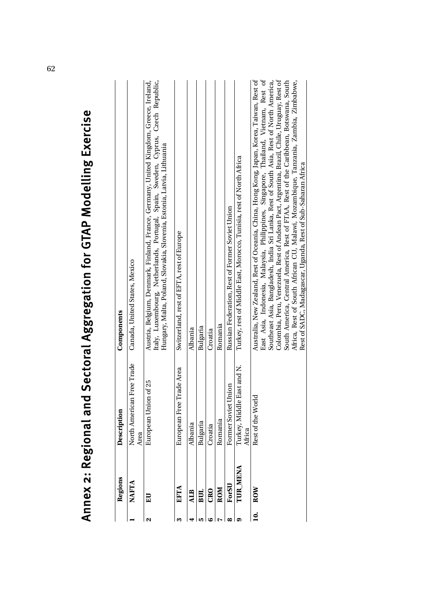|           |              | Annex 2: Keglonal and                   | Sectoral Aggregation Tor Modelling Exercise                                                                                                                                                                                                                                                                                                                                                                                                                                                                                                                                                                          |
|-----------|--------------|-----------------------------------------|----------------------------------------------------------------------------------------------------------------------------------------------------------------------------------------------------------------------------------------------------------------------------------------------------------------------------------------------------------------------------------------------------------------------------------------------------------------------------------------------------------------------------------------------------------------------------------------------------------------------|
|           | Regions      | Description                             | Components                                                                                                                                                                                                                                                                                                                                                                                                                                                                                                                                                                                                           |
|           | <b>NAFTA</b> | Free Trade<br>North American<br>Area    | Canada, United States, Mexico                                                                                                                                                                                                                                                                                                                                                                                                                                                                                                                                                                                        |
| N         | EU           | 10f25<br>European Union                 | Austria, Belgium, Denmark, Finland, France, Germany, United Kingdom, Greece, Ireland,<br>Italy, Luxembourg, Netherlands, Portugal, Spain, Sweden, Cyprus, Czech Republic,<br>Hungary, Malta, Poland, Slovakia, Slovenia, Estonia, Latvia, Lithuania                                                                                                                                                                                                                                                                                                                                                                  |
| m         | <b>EFTA</b>  | Trade Area<br>European Free T           | Switzerland, rest of EFTA, rest of Europe                                                                                                                                                                                                                                                                                                                                                                                                                                                                                                                                                                            |
|           | <b>ALB</b>   | Albania                                 | Albania                                                                                                                                                                                                                                                                                                                                                                                                                                                                                                                                                                                                              |
| ம         | BUL          | Bulgaria                                | Bulgaria                                                                                                                                                                                                                                                                                                                                                                                                                                                                                                                                                                                                             |
| అ         | <b>CRO</b>   | Croatia                                 | Croatia                                                                                                                                                                                                                                                                                                                                                                                                                                                                                                                                                                                                              |
|           | ROM          | Romania                                 | Romania                                                                                                                                                                                                                                                                                                                                                                                                                                                                                                                                                                                                              |
| ∞         | ForSU        | Inion<br>Former Soviet U                | Russian Federation, Rest of Former Soviet Union                                                                                                                                                                                                                                                                                                                                                                                                                                                                                                                                                                      |
| ග         | TUR_MENA     | East and N.<br>Turkey, Middle<br>Africa | Turkey, rest of Middle East, Morocco, Tunisia, rest of North Africa                                                                                                                                                                                                                                                                                                                                                                                                                                                                                                                                                  |
| $\dot{a}$ | ROW          | Rest of the Worl                        | Australia, New Zealand, Rest of Oceania, China, Hong Kong, Japan, Korea, Taiwan, Rest of<br>East Asia, Indonesia, Malaysia, Philippines, Singapore, Thailand, Vietnam, Rest of<br>Colombia, Peru, Venezuela, Rest of Andean Pact, Argentina, Brazil, Chile, Uruguay, Rest of<br>Southeast Asia, Bangladesh, India Sri Lanka, Rest of South Asia, Rest of North America,<br>South America, Central America, Rest of FTAA, Rest of the Caribbean, Botswana, South<br>Africa, Rest of South African CU, Malawi, Mozambique, Tanzania, Zambia, Zimbabwe,<br>Rest of SADC, Madagascar, Uganda, Rest of Sub-Saharan Africa |

Annex 2: Regional and Sectoral Aggregation for GTAP Modelling Exercise  $\bar{z}$  $\overline{1}$  $\epsilon$ - 1

é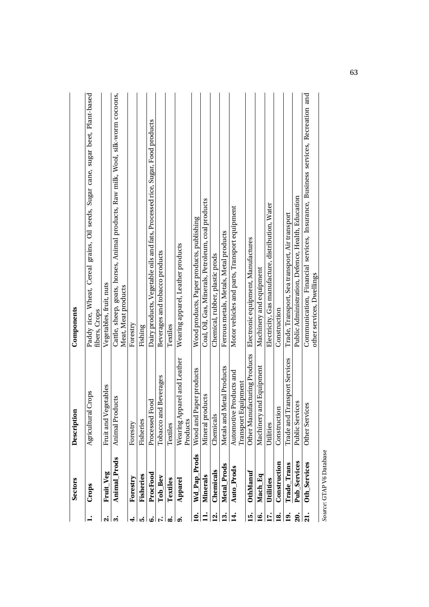|                   | <b>Sectors</b> | Description                                  | Components                                                                                                   |
|-------------------|----------------|----------------------------------------------|--------------------------------------------------------------------------------------------------------------|
|                   | Crops          | Agricultural Crops                           | Paddy rice, Wheat, Cereal grains, Oil seeds, Sugar cane, sugar beet, Plant-based<br>fibers, Crops            |
| ςi                | Fruit_Veg      | Fruit and Vegetables                         | Vegetables, fruit, nuts                                                                                      |
| က်                | Animal Prods   | Animal Products                              | Cattle, sheep, goats, horses, Animal products, Raw milk, Wool, silk-worm cocoons,<br>Meat, Meat products     |
| 4.                | Forestry       | Forestry                                     | Forestry                                                                                                     |
| ເລ໋               | Fisheries      | Fisheries                                    | Fishing                                                                                                      |
| ق                 | ProcFood       | Food<br>Processed                            | Dairy products, Vegetable oils and fats, Processed rice, Sugar, Food products                                |
|                   | Tob Bev        | nd Beverages<br>Tobacco ar                   | Beverages and tobacco products                                                                               |
| ထံ                | Textiles       | Textiles                                     | Textiles                                                                                                     |
| ာ                 | Apparel        | pparel and Leather<br>Wearing Ap<br>Products | Wearing apparel, Leather products                                                                            |
| <u> 1</u>         | Wd Pap Prods   | Paper products<br>Wood and                   | Wood products, Paper products, publishing                                                                    |
| Ξ                 | Minerals       | Mineral products                             | Coal, Oil, Gas, Minerals, Petroleum, coal products                                                           |
| <u>ี่จ่</u>       | Chemicals      | Chemicals                                    | Chemical, rubber, plastic prods                                                                              |
| <u>ന്</u>         | Metal Prods    | Metals and Metal Products                    | Ferrous metals, Metals, Metal products                                                                       |
| 14.               | Auto Prods     | Automotive Products and                      | Motor vehicles and parts, Transport equipment                                                                |
|                   |                | Equipment<br>Transport                       |                                                                                                              |
| <u>ıs.</u>        | OthManuf       | Other Manufacturing Products                 | Electronic equipment, Manufactures                                                                           |
| $\overline{16}$   | Mach_Eq        | and Equipment<br>Machinery                   | Machinery and equipment                                                                                      |
| 17.               | Utilities      | Utilities                                    | Electricity, Gas manufacture, distribution, Water                                                            |
| $\overline{18}$ . | Construction   | Construction                                 | Construction                                                                                                 |
| $\overline{19}$ . | Trade_Trans    | <b>Transport Services</b><br>Trade and       | Trade, Transport, Sea transport, Air transport                                                               |
| <u>ສໍໄລ່</u>      | Pub_Services   | Public Services                              | Public Administration, Defence, Health, Education                                                            |
|                   | Oth_Services   | <b>Other Services</b>                        | Communication, Financial services, Insurance, Business services, Recreation and<br>other services, Dwellings |
|                   |                |                                              |                                                                                                              |

Source: GTAP V6 Database *Source*: GTAP V6 Database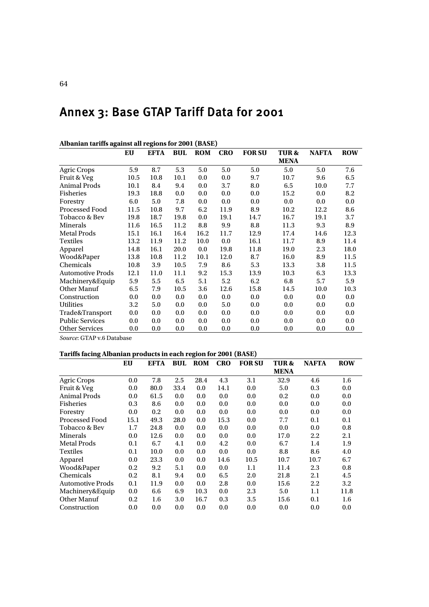# Annex 3: Base GTAP Tariff Data for 2001

| Albaman tarihis agamist an regions for 2001 (DASE) |      |          |      |            |            |               |             |              |            |
|----------------------------------------------------|------|----------|------|------------|------------|---------------|-------------|--------------|------------|
|                                                    | EU   | EFTA BUL |      | <b>ROM</b> | <b>CRO</b> | <b>FOR SU</b> | TUR&        | <b>NAFTA</b> | <b>ROW</b> |
|                                                    |      |          |      |            |            |               | <b>MENA</b> |              |            |
| <b>Agric Crops</b>                                 | 5.9  | 8.7      | 5.3  | 5.0        | 5.0        | 5.0           | 5.0         | 5.0          | 7.6        |
| Fruit & Veg                                        | 10.5 | 10.8     | 10.1 | 0.0        | 0.0        | 9.7           | 10.7        | 9.6          | 6.5        |
| <b>Animal Prods</b>                                | 10.1 | 8.4      | 9.4  | 0.0        | 3.7        | 8.0           | 6.5         | 10.0         | 7.7        |
| <b>Fisheries</b>                                   | 19.3 | 18.8     | 0.0  | 0.0        | 0.0        | 0.0           | 15.2        | 0.0          | 8.2        |
| Forestry                                           | 6.0  | 5.0      | 7.8  | 0.0        | 0.0        | 0.0           | 0.0         | 0.0          | 0.0        |
| <b>Processed Food</b>                              | 11.5 | 10.8     | 9.7  | 6.2        | 11.9       | 8.9           | 10.2        | 12.2         | 8.6        |
| Tobacco & Bev                                      | 19.8 | 18.7     | 19.8 | 0.0        | 19.1       | 14.7          | 16.7        | 19.1         | 3.7        |
| Minerals                                           | 11.6 | 16.5     | 11.2 | 8.8        | 9.9        | 8.8           | 11.3        | 9.3          | 8.9        |
| <b>Metal Prods</b>                                 | 15.1 | 16.1     | 16.4 | 16.2       | 11.7       | 12.9          | 17.4        | 14.6         | 12.3       |
| <b>Textiles</b>                                    | 13.2 | 11.9     | 11.2 | 10.0       | 0.0        | 16.1          | 11.7        | 8.9          | 11.4       |
| Apparel                                            | 14.8 | 16.1     | 20.0 | 0.0        | 19.8       | 11.8          | 19.0        | 2.3          | 18.0       |
| Wood&Paper                                         | 13.8 | 10.8     | 11.2 | 10.1       | 12.0       | 8.7           | 16.0        | 8.9          | 11.5       |
| Chemicals                                          | 10.8 | 3.9      | 10.5 | 7.9        | 8.6        | 5.3           | 13.3        | 3.8          | 11.5       |
| <b>Automotive Prods</b>                            | 12.1 | 11.0     | 11.1 | 9.2        | 15.3       | 13.9          | 10.3        | 6.3          | 13.3       |
| Machinery&Equip                                    | 5.9  | 5.5      | 6.5  | 5.1        | 5.2        | 6.2           | 6.8         | 5.7          | 5.9        |
| Other Manuf                                        | 6.5  | 7.9      | 10.5 | 3.6        | 12.6       | 15.8          | 14.5        | 10.0         | 10.3       |
| Construction                                       | 0.0  | 0.0      | 0.0  | 0.0        | 0.0        | 0.0           | 0.0         | 0.0          | 0.0        |
| <b>Utilities</b>                                   | 3.2  | 5.0      | 0.0  | 0.0        | 5.0        | 0.0           | 0.0         | 0.0          | 0.0        |
| Trade&Transport                                    | 0.0  | 0.0      | 0.0  | 0.0        | 0.0        | 0.0           | 0.0         | 0.0          | 0.0        |
| <b>Public Services</b>                             | 0.0  | 0.0      | 0.0  | 0.0        | 0.0        | 0.0           | 0.0         | 0.0          | 0.0        |
| <b>Other Services</b>                              | 0.0  | 0.0      | 0.0  | 0.0        | 0.0        | 0.0           | 0.0         | 0.0          | 0.0        |

**Albanian tariffs against all regions for 2001 (BASE)** 

*Source*: GTAP v.6 Database

### **Tariffs facing Albanian products in each region for 2001 (BASE)**

|                         | EU   | EFTA | BUL  | <b>ROM</b> | <b>CRO</b> | <b>FOR SU</b> | <b>TUR&amp;</b> | <b>NAFTA</b> | <b>ROW</b> |
|-------------------------|------|------|------|------------|------------|---------------|-----------------|--------------|------------|
|                         |      |      |      |            |            |               | <b>MENA</b>     |              |            |
| <b>Agric Crops</b>      | 0.0  | 7.8  | 2.5  | 28.4       | 4.3        | 3.1           | 32.9            | 4.6          | 1.6        |
| Fruit & Veg             | 0.0  | 80.0 | 33.4 | 0.0        | 14.1       | 0.0           | 5.0             | 0.3          | 0.0        |
| <b>Animal Prods</b>     | 0.0  | 61.5 | 0.0  | 0.0        | 0.0        | 0.0           | 0.2             | 0.0          | 0.0        |
| <b>Fisheries</b>        | 0.3  | 8.6  | 0.0  | 0.0        | 0.0        | 0.0           | 0.0             | 0.0          | 0.0        |
| Forestry                | 0.0  | 0.2  | 0.0  | 0.0        | 0.0        | 0.0           | 0.0             | 0.0          | 0.0        |
| Processed Food          | 15.1 | 49.3 | 28.0 | 0.0        | 15.3       | 0.0           | 7.7             | 0.1          | 0.1        |
| Tobacco & Bev           | 1.7  | 24.8 | 0.0  | 0.0        | 0.0        | 0.0           | 0.0             | 0.0          | 0.8        |
| Minerals                | 0.0  | 12.6 | 0.0  | 0.0        | 0.0        | 0.0           | 17.0            | 2.2          | 2.1        |
| <b>Metal Prods</b>      | 0.1  | 6.7  | 4.1  | 0.0        | 4.2        | 0.0           | 6.7             | 1.4          | 1.9        |
| <b>Textiles</b>         | 0.1  | 10.0 | 0.0  | 0.0        | 0.0        | 0.0           | 8.8             | 8.6          | 4.0        |
| Apparel                 | 0.0  | 23.3 | 0.0  | 0.0        | 14.6       | 10.5          | 10.7            | 10.7         | 6.7        |
| Wood&Paper              | 0.2  | 9.2  | 5.1  | 0.0        | 0.0        | 1.1           | 11.4            | 2.3          | 0.8        |
| Chemicals               | 0.2  | 8.1  | 9.4  | 0.0        | 6.5        | 2.0           | 21.8            | 2.1          | 4.5        |
| <b>Automotive Prods</b> | 0.1  | 11.9 | 0.0  | 0.0        | 2.8        | 0.0           | 15.6            | 2.2          | 3.2        |
| Machinery&Equip         | 0.0  | 6.6  | 6.9  | 10.3       | 0.0        | 2.3           | 5.0             | 1.1          | 11.8       |
| Other Manuf             | 0.2  | 1.6  | 3.0  | 16.7       | 0.3        | 3.5           | 15.6            | 0.1          | $1.6\,$    |
| Construction            | 0.0  | 0.0  | 0.0  | 0.0        | 0.0        | 0.0           | 0.0             | 0.0          | 0.0        |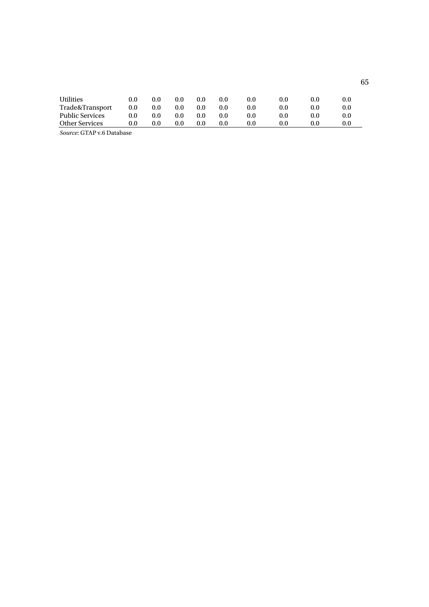| <b>Utilities</b>       | 0.0 | 0.0 | 0.0 | 0.0 | 0.0 | 0.0     | 0.0 | 0.0 | 0.0 |
|------------------------|-----|-----|-----|-----|-----|---------|-----|-----|-----|
| Trade&Transport        | 0.0 | 0.0 | 0.0 | 0.0 | 0.0 | $0.0\,$ |     | 0.0 | 0.0 |
| <b>Public Services</b> | 0.0 | 0.0 | 0.0 | 0.0 | 0.0 | $0.0\,$ | 0.0 | 0.0 | 0.0 |
| <b>Other Services</b>  | 0.0 | 0.0 | 0.0 | 0.0 | 0.0 | $0.0\,$ | 0.0 | 0.0 | 0.0 |
|                        |     |     |     |     |     |         |     |     |     |

*Source*: GTAP v.6 Database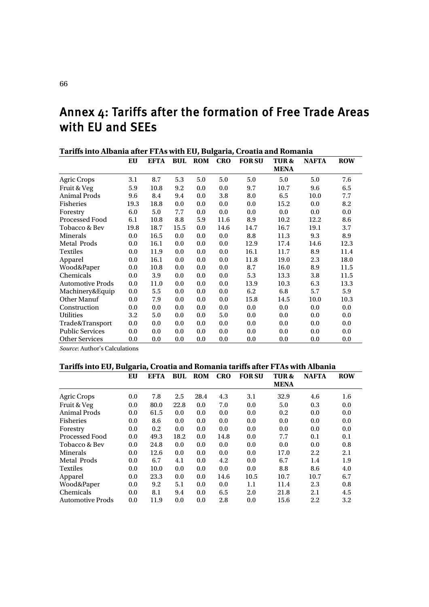# Annex 4: Tariffs after the formation of Free Trade Areas with EU and SEEs

| Tariffs into Albania after FTAs with EU, Bulgaria, Croatia and Romania |      |      |                |     |            |               |                                |              |            |
|------------------------------------------------------------------------|------|------|----------------|-----|------------|---------------|--------------------------------|--------------|------------|
|                                                                        | EU   | EFTA | <b>BUL ROM</b> |     | <b>CRO</b> | <b>FOR SU</b> | <b>TUR&amp;</b><br><b>MENA</b> | <b>NAFTA</b> | <b>ROW</b> |
|                                                                        |      |      |                |     |            |               |                                |              |            |
| <b>Agric Crops</b>                                                     | 3.1  | 8.7  | 5.3            | 5.0 | 5.0        | 5.0           | 5.0                            | 5.0          | 7.6        |
| Fruit & Veg                                                            | 5.9  | 10.8 | 9.2            | 0.0 | 0.0        | 9.7           | 10.7                           | 9.6          | 6.5        |
| <b>Animal Prods</b>                                                    | 9.6  | 8.4  | 9.4            | 0.0 | 3.8        | 8.0           | 6.5                            | 10.0         | 7.7        |
| Fisheries                                                              | 19.3 | 18.8 | 0.0            | 0.0 | 0.0        | 0.0           | 15.2                           | 0.0          | 8.2        |
| Forestry                                                               | 6.0  | 5.0  | 7.7            | 0.0 | 0.0        | 0.0           | 0.0                            | 0.0          | 0.0        |
| <b>Processed Food</b>                                                  | 6.1  | 10.8 | 8.8            | 5.9 | 11.6       | 8.9           | 10.2                           | 12.2         | 8.6        |
| Tobacco & Bev                                                          | 19.8 | 18.7 | 15.5           | 0.0 | 14.6       | 14.7          | 16.7                           | 19.1         | 3.7        |
| Minerals                                                               | 0.0  | 16.5 | 0.0            | 0.0 | 0.0        | 8.8           | 11.3                           | 9.3          | 8.9        |
| <b>Metal Prods</b>                                                     | 0.0  | 16.1 | 0.0            | 0.0 | 0.0        | 12.9          | 17.4                           | 14.6         | 12.3       |
| <b>Textiles</b>                                                        | 0.0  | 11.9 | 0.0            | 0.0 | 0.0        | 16.1          | 11.7                           | 8.9          | 11.4       |
| Apparel                                                                | 0.0  | 16.1 | 0.0            | 0.0 | 0.0        | 11.8          | 19.0                           | 2.3          | 18.0       |
| Wood&Paper                                                             | 0.0  | 10.8 | 0.0            | 0.0 | 0.0        | 8.7           | 16.0                           | 8.9          | 11.5       |
| Chemicals                                                              | 0.0  | 3.9  | 0.0            | 0.0 | 0.0        | 5.3           | 13.3                           | 3.8          | 11.5       |
| <b>Automotive Prods</b>                                                | 0.0  | 11.0 | 0.0            | 0.0 | 0.0        | 13.9          | 10.3                           | 6.3          | 13.3       |
| Machinery&Equip                                                        | 0.0  | 5.5  | 0.0            | 0.0 | 0.0        | 6.2           | 6.8                            | 5.7          | 5.9        |
| Other Manuf                                                            | 0.0  | 7.9  | 0.0            | 0.0 | 0.0        | 15.8          | 14.5                           | 10.0         | 10.3       |
| Construction                                                           | 0.0  | 0.0  | 0.0            | 0.0 | 0.0        | 0.0           | 0.0                            | 0.0          | 0.0        |
| <b>Utilities</b>                                                       | 3.2  | 5.0  | 0.0            | 0.0 | 5.0        | 0.0           | 0.0                            | 0.0          | 0.0        |
| Trade&Transport                                                        | 0.0  | 0.0  | 0.0            | 0.0 | 0.0        | 0.0           | 0.0                            | 0.0          | 0.0        |
| <b>Public Services</b>                                                 | 0.0  | 0.0  | 0.0            | 0.0 | 0.0        | 0.0           | 0.0                            | 0.0          | 0.0        |
| <b>Other Services</b>                                                  | 0.0  | 0.0  | 0.0            | 0.0 | 0.0        | 0.0           | 0.0                            | 0.0          | 0.0        |

*Source*: Author's Calculations

### **Tariffs into EU, Bulgaria, Croatia and Romania tariffs after FTAs with Albania**

| <u>rarms mito Lo, burgaria, Croatia and Romania tarms antri r ms with Abdana</u> |     |      |      |            |            |               |                 |              |            |
|----------------------------------------------------------------------------------|-----|------|------|------------|------------|---------------|-----------------|--------------|------------|
|                                                                                  | EU  | EFTA | BUL  | <b>ROM</b> | <b>CRO</b> | <b>FOR SU</b> | <b>TUR&amp;</b> | <b>NAFTA</b> | <b>ROW</b> |
|                                                                                  |     |      |      |            |            |               | <b>MENA</b>     |              |            |
| <b>Agric Crops</b>                                                               | 0.0 | 7.8  | 2.5  | 28.4       | 4.3        | 3.1           | 32.9            | 4.6          | $1.6\,$    |
| Fruit & Veg                                                                      | 0.0 | 80.0 | 22.8 | 0.0        | 7.0        | 0.0           | 5.0             | 0.3          | 0.0        |
| Animal Prods                                                                     | 0.0 | 61.5 | 0.0  | 0.0        | 0.0        | 0.0           | 0.2             | 0.0          | 0.0        |
| <b>Fisheries</b>                                                                 | 0.0 | 8.6  | 0.0  | 0.0        | 0.0        | 0.0           | 0.0             | 0.0          | 0.0        |
| Forestry                                                                         | 0.0 | 0.2  | 0.0  | 0.0        | 0.0        | 0.0           | 0.0             | 0.0          | 0.0        |
| Processed Food                                                                   | 0.0 | 49.3 | 18.2 | 0.0        | 14.8       | 0.0           | 7.7             | 0.1          | 0.1        |
| Tobacco & Bev                                                                    | 0.0 | 24.8 | 0.0  | 0.0        | 0.0        | 0.0           | 0.0             | 0.0          | 0.8        |
| Minerals                                                                         | 0.0 | 12.6 | 0.0  | 0.0        | 0.0        | 0.0           | 17.0            | 2.2          | 2.1        |
| Metal Prods                                                                      | 0.0 | 6.7  | 4.1  | 0.0        | 4.2        | 0.0           | 6.7             | 1.4          | 1.9        |
| <b>Textiles</b>                                                                  | 0.0 | 10.0 | 0.0  | 0.0        | 0.0        | 0.0           | 8.8             | 8.6          | 4.0        |
| Apparel                                                                          | 0.0 | 23.3 | 0.0  | 0.0        | 14.6       | 10.5          | 10.7            | 10.7         | 6.7        |
| Wood&Paper                                                                       | 0.0 | 9.2  | 5.1  | 0.0        | 0.0        | 1.1           | 11.4            | 2.3          | 0.8        |
| Chemicals                                                                        | 0.0 | 8.1  | 9.4  | 0.0        | 6.5        | 2.0           | 21.8            | 2.1          | 4.5        |
| <b>Automotive Prods</b>                                                          | 0.0 | 11.9 | 0.0  | 0.0        | 2.8        | 0.0           | 15.6            | 2.2          | 3.2        |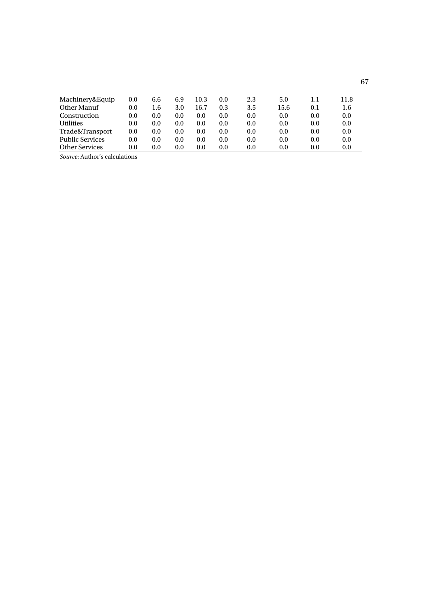| Machinery&Equip        | $0.0\,$ | 6.6 | 6.9 | 10.3    | 0.0 | 2.3 | 5.0  |     | 11.8 |
|------------------------|---------|-----|-----|---------|-----|-----|------|-----|------|
| Other Manuf            | 0.0     | 1.6 | 3.0 | 16.7    | 0.3 | 3.5 | 15.6 | 0.1 | 1.6  |
| Construction           | 0.0     | 0.0 | 0.0 | 0.0     | 0.0 | 0.0 | 0.0  | 0.0 | 0.0  |
| <b>Utilities</b>       | 0.0     | 0.0 | 0.0 | 0.0     | 0.0 | 0.0 | 0.0  | 0.0 | 0.0  |
| Trade&Transport        | 0.0     | 0.0 | 0.0 | 0.0     | 0.0 | 0.0 | 0.0  | 0.0 | 0.0  |
| <b>Public Services</b> | 0.0     | 0.0 | 0.0 | 0.0     | 0.0 | 0.0 | 0.0  | 0.0 | 0.0  |
| <b>Other Services</b>  | $0.0\,$ | 0.0 | 0.0 | $0.0\,$ | 0.0 | 0.0 | 0.0  | 0.0 | 0.0  |

*Source*: Author's calculations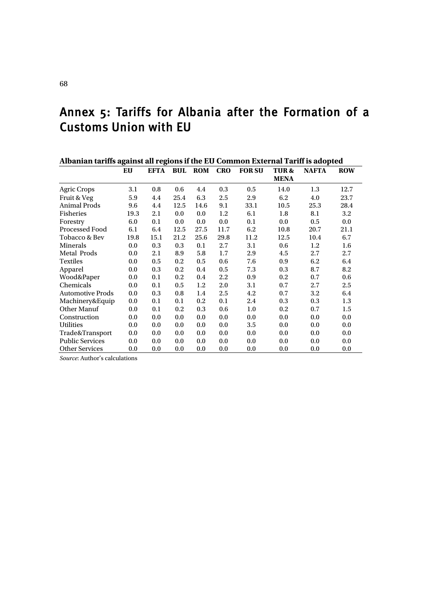# Annex 5: Tariffs for Albania after the Formation of a Customs Union with EU

| Albanian tariffs against all regions if the EU Common External Tariff is adopted |      |      |      |                |            |               |                 |              |            |  |  |
|----------------------------------------------------------------------------------|------|------|------|----------------|------------|---------------|-----------------|--------------|------------|--|--|
|                                                                                  | EU   | EFTA |      | <b>BUL ROM</b> | <b>CRO</b> | <b>FOR SU</b> | <b>TUR&amp;</b> | <b>NAFTA</b> | <b>ROW</b> |  |  |
|                                                                                  |      |      |      |                |            |               | <b>MENA</b>     |              |            |  |  |
| <b>Agric Crops</b>                                                               | 3.1  | 0.8  | 0.6  | 4.4            | 0.3        | 0.5           | 14.0            | 1.3          | 12.7       |  |  |
| Fruit & Veg                                                                      | 5.9  | 4.4  | 25.4 | 6.3            | 2.5        | 2.9           | 6.2             | 4.0          | 23.7       |  |  |
| <b>Animal Prods</b>                                                              | 9.6  | 4.4  | 12.5 | 14.6           | 9.1        | 33.1          | 10.5            | 25.3         | 28.4       |  |  |
| <b>Fisheries</b>                                                                 | 19.3 | 2.1  | 0.0  | 0.0            | 1.2        | 6.1           | 1.8             | 8.1          | 3.2        |  |  |
| Forestry                                                                         | 6.0  | 0.1  | 0.0  | 0.0            | 0.0        | 0.1           | 0.0             | 0.5          | 0.0        |  |  |
| Processed Food                                                                   | 6.1  | 6.4  | 12.5 | 27.5           | 11.7       | 6.2           | 10.8            | 20.7         | 21.1       |  |  |
| Tobacco & Bev                                                                    | 19.8 | 15.1 | 21.2 | 25.6           | 29.8       | 11.2          | 12.5            | 10.4         | 6.7        |  |  |
| Minerals                                                                         | 0.0  | 0.3  | 0.3  | 0.1            | 2.7        | 3.1           | 0.6             | 1.2          | 1.6        |  |  |
| Metal Prods                                                                      | 0.0  | 2.1  | 8.9  | 5.8            | 1.7        | 2.9           | 4.5             | 2.7          | 2.7        |  |  |
| Textiles                                                                         | 0.0  | 0.5  | 0.2  | 0.5            | 0.6        | 7.6           | 0.9             | 6.2          | 6.4        |  |  |
| Apparel                                                                          | 0.0  | 0.3  | 0.2  | 0.4            | 0.5        | 7.3           | 0.3             | 8.7          | 8.2        |  |  |
| Wood&Paper                                                                       | 0.0  | 0.1  | 0.2  | 0.4            | 2.2        | 0.9           | 0.2             | 0.7          | 0.6        |  |  |
| Chemicals                                                                        | 0.0  | 0.1  | 0.5  | 1.2            | 2.0        | 3.1           | 0.7             | 2.7          | 2.5        |  |  |
| <b>Automotive Prods</b>                                                          | 0.0  | 0.3  | 0.8  | 1.4            | 2.5        | 4.2           | 0.7             | 3.2          | 6.4        |  |  |
| Machinery&Equip                                                                  | 0.0  | 0.1  | 0.1  | 0.2            | 0.1        | 2.4           | 0.3             | 0.3          | 1.3        |  |  |
| Other Manuf                                                                      | 0.0  | 0.1  | 0.2  | 0.3            | 0.6        | 1.0           | 0.2             | 0.7          | 1.5        |  |  |
| Construction                                                                     | 0.0  | 0.0  | 0.0  | 0.0            | 0.0        | 0.0           | 0.0             | 0.0          | 0.0        |  |  |
| <b>Utilities</b>                                                                 | 0.0  | 0.0  | 0.0  | 0.0            | 0.0        | 3.5           | 0.0             | 0.0          | 0.0        |  |  |
| Trade&Transport                                                                  | 0.0  | 0.0  | 0.0  | 0.0            | 0.0        | 0.0           | 0.0             | 0.0          | 0.0        |  |  |
| <b>Public Services</b>                                                           | 0.0  | 0.0  | 0.0  | 0.0            | 0.0        | 0.0           | 0.0             | 0.0          | 0.0        |  |  |
| <b>Other Services</b>                                                            | 0.0  | 0.0  | 0.0  | 0.0            | 0.0        | 0.0           | 0.0             | 0.0          | 0.0        |  |  |

*Source*: Author's calculations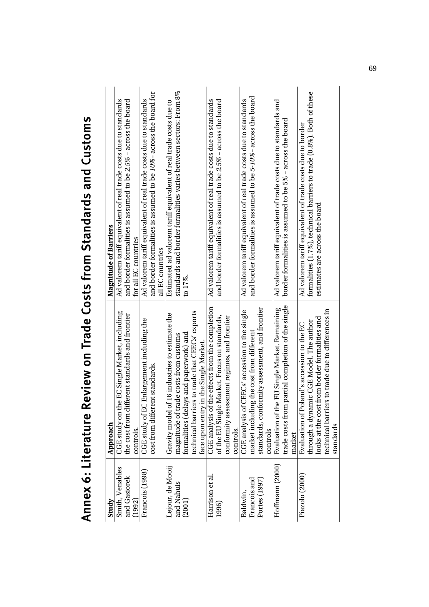| <b>Allidianus: Community</b> |                                                                                          | <b>CILIOJANJ JILI AJIBJI BJA ILIOI AJAOJ NJBI ILIO ANINNY</b>         |
|------------------------------|------------------------------------------------------------------------------------------|-----------------------------------------------------------------------|
| Study                        | Approach                                                                                 | <b>Magnitude of Barriers</b>                                          |
| Smith, Venables              | CGE study on the EC Single Market, including                                             | Ad valorem tariff equivalent of real trade costs due to standards     |
| and Gasiorek                 | the cost from different standards and frontier                                           | and border formalities is assumed to be $2.5\%$ – across the board    |
| (1992)                       | controls.                                                                                | for all EC countries                                                  |
| Francois (1998)              | C Enlargement including the<br>CGE study of E                                            | Ad valorem tariff equivalent of real trade costs due to standards     |
|                              | ent standards.<br>cost from differ                                                       | and border formalities is assumed to be $10\%$ – across the board for |
|                              |                                                                                          | all EC countries                                                      |
| Lejour, de Mooij             | of 16 industries to estimate the<br>Gravity model                                        | Estimated ad valorem tariff equivalent of real trade costs due to     |
| and Nahuis                   | magnitude of trade costs from customs                                                    | standards and border formalities varies between sectors: From $8\%$   |
| (2001)                       | formalities (delays and paperwork) and                                                   | $17\%$ .                                                              |
|                              | technical barriers to trade that CEECs' exports                                          |                                                                       |
|                              | face upon entry in the Single Market.                                                    |                                                                       |
| Harrison et al.              | CGE analysis of the effects from the completion                                          | Ad valorem tariff equivalent of real trade costs due to standards     |
| 1996)                        | of the EU Single Market. Focus on standards,                                             | and border formalities is assumed to be 2.5% - across the board       |
|                              | conformity assessment regimes, and frontier                                              |                                                                       |
|                              | controls.                                                                                |                                                                       |
| Baldwin,                     | CGE analysis of CEECs' accession to the single                                           | Ad valorem tariff equivalent of real trade costs due to standards     |
| Francois and                 | market including the cost from different                                                 | and border formalities is assumed to be 5-10%- across the board       |
| Portes (1997)                | standards, conformity assessment, and frontier                                           |                                                                       |
|                              | controls                                                                                 |                                                                       |
| Hoffmann (2000)              | Evaluation of the EU Single Market. Remaining                                            | Ad valorem tariff equivalent of trade costs due to standards and      |
|                              | trade costs from partial completion of the single                                        | border formalities is assumed to be 5% – across the board             |
|                              | market                                                                                   |                                                                       |
| Piazolo (2000)               | Evaluation of Poland's accession to the EC                                               | Ad valorem tariff equivalent of trade costs due to border             |
|                              | through a dynamic CGE Model. The author<br>looks at the cost from border formalities and | formalities (1.7%), technical barriers to trade (0.8%). Both of these |
|                              |                                                                                          | estimates are across the board                                        |
|                              | technical barriers to trade due to differences in                                        |                                                                       |
|                              | standards                                                                                |                                                                       |

# Annex 6: Literature Review on Trade Costs from Standards and Customs Annex 6: Literature Review on Trade Costs from Standards and Customs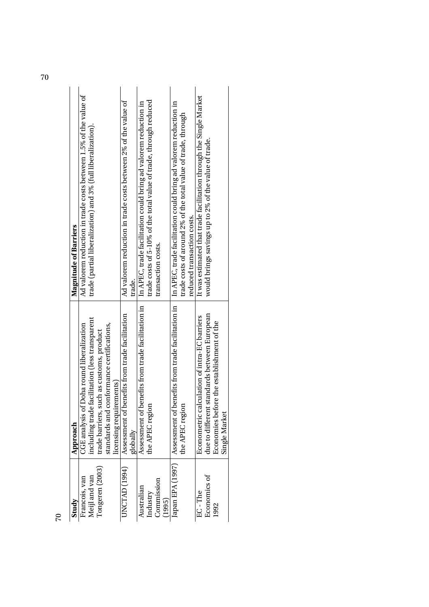| Study            | Approach                                          | <b>Magnitude of Barriers</b>                                       |
|------------------|---------------------------------------------------|--------------------------------------------------------------------|
| Francois, van    | CGE analysis of Doha round liberalization         | Ad valorem reduction in trade costs between 1.5% of the value of   |
| Meijl and van    | including trade facilitation (less transparent    | trade (partial liberalization) and 3% (full liberalization).       |
| Tongeren (2003)  | trade barriers, such as customs, product          |                                                                    |
|                  | standards and conformance certifications,         |                                                                    |
|                  | licensing requirements)                           |                                                                    |
| UNCTAD(1994)     | Assessment of benefits from trade facilitation    | Ad valorem reduction in trade costs between 2% of the value of     |
|                  | globally                                          | trade.                                                             |
| Australian       | Assessment of benefits from trade facilitation in | In APEC, trade facilitation could bring ad valorem reduction in    |
| Industry         | the APEC region                                   | trade costs of 5-10% of the total value of trade, through reduced  |
| Commission       |                                                   | transaction costs.                                                 |
| (1995)           |                                                   |                                                                    |
| Japan EPA (1997) | Assessment of benefits from trade facilitation in | In APEC, trade facilitation could bring ad valorem reduction in    |
|                  | the APEC region                                   | trade costs of around 2% of the total value of trade, through      |
|                  |                                                   | reduced transaction costs.                                         |
| EC-The           | Econometric calculation of intra-EC barriers      | It was estimated that trade facilitation through the Single Market |
| Economics of     | due to different standards between European       | would brings savings up to 2% of the value of trade.               |
| 1992             | Economies before the establishment of the         |                                                                    |
|                  | Single Market                                     |                                                                    |
|                  |                                                   |                                                                    |

70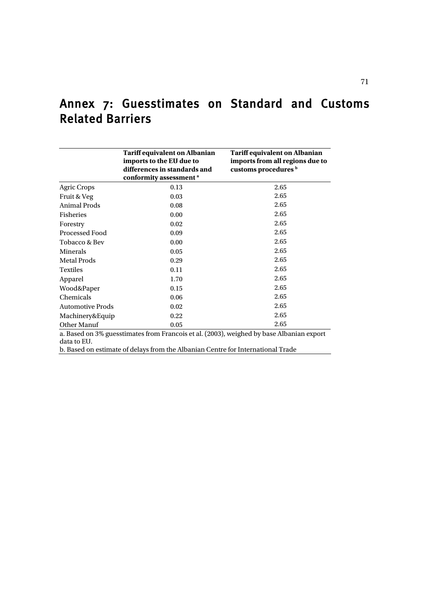|                         | <b>Tariff equivalent on Albanian</b><br>imports to the EU due to<br>differences in standards and<br>conformity assessment <sup>a</sup> | <b>Tariff equivalent on Albanian</b><br>imports from all regions due to<br>customs procedures b |
|-------------------------|----------------------------------------------------------------------------------------------------------------------------------------|-------------------------------------------------------------------------------------------------|
| <b>Agric Crops</b>      | 0.13                                                                                                                                   | 2.65                                                                                            |
| Fruit & Veg             | 0.03                                                                                                                                   | 2.65                                                                                            |
| <b>Animal Prods</b>     | 0.08                                                                                                                                   | 2.65                                                                                            |
| <b>Fisheries</b>        | 0.00                                                                                                                                   | 2.65                                                                                            |
| Forestry                | 0.02                                                                                                                                   | 2.65                                                                                            |
| <b>Processed Food</b>   | 0.09                                                                                                                                   | 2.65                                                                                            |
| Tobacco & Bev           | 0.00                                                                                                                                   | 2.65                                                                                            |
| Minerals                | 0.05                                                                                                                                   | 2.65                                                                                            |
| <b>Metal Prods</b>      | 0.29                                                                                                                                   | 2.65                                                                                            |
| <b>Textiles</b>         | 0.11                                                                                                                                   | 2.65                                                                                            |
| Apparel                 | 1.70                                                                                                                                   | 2.65                                                                                            |
| Wood&Paper              | 0.15                                                                                                                                   | 2.65                                                                                            |
| Chemicals               | 0.06                                                                                                                                   | 2.65                                                                                            |
| <b>Automotive Prods</b> | 0.02                                                                                                                                   | 2.65                                                                                            |
| Machinery&Equip         | 0.22                                                                                                                                   | 2.65                                                                                            |
| Other Manuf             | 0.05                                                                                                                                   | 2.65                                                                                            |
|                         |                                                                                                                                        | a. Based on 3% guesstimates from Francois et al. (2003), weighed by base Albanian export        |
| data to EU.             |                                                                                                                                        |                                                                                                 |
|                         | b. Based on estimate of delays from the Albanian Centre for International Trade                                                        |                                                                                                 |

# Annex 7: Guesstimates on Standard and Customs Related Barriers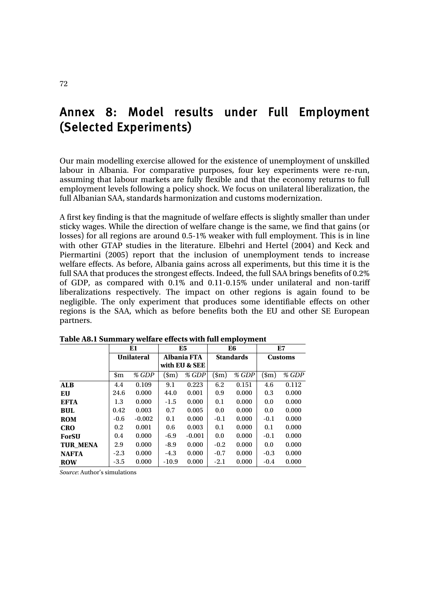# Annex 8: Model results under Full Employment (Selected Experiments)

Our main modelling exercise allowed for the existence of unemployment of unskilled labour in Albania. For comparative purposes, four key experiments were re-run, assuming that labour markets are fully flexible and that the economy returns to full employment levels following a policy shock. We focus on unilateral liberalization, the full Albanian SAA, standards harmonization and customs modernization.

A first key finding is that the magnitude of welfare effects is slightly smaller than under sticky wages. While the direction of welfare change is the same, we find that gains (or losses) for all regions are around 0.5-1% weaker with full employment. This is in line with other GTAP studies in the literature. Elbehri and Hertel (2004) and Keck and Piermartini (2005) report that the inclusion of unemployment tends to increase welfare effects. As before, Albania gains across all experiments, but this time it is the full SAA that produces the strongest effects. Indeed, the full SAA brings benefits of 0.2% of GDP, as compared with 0.1% and 0.11-0.15% under unilateral and non-tariff liberalizations respectively. The impact on other regions is again found to be negligible. The only experiment that produces some identifiable effects on other regions is the SAA, which as before benefits both the EU and other SE European partners.

|                 |        | E1                |              | E5                 |              | E6               | E7               |       |  |
|-----------------|--------|-------------------|--------------|--------------------|--------------|------------------|------------------|-------|--|
|                 |        | <b>Unilateral</b> |              | <b>Albania FTA</b> |              | <b>Standards</b> | <b>Customs</b>   |       |  |
|                 |        |                   |              | with EU & SEE      |              |                  |                  |       |  |
|                 | \$m    | % GDP             | $(\text{m})$ | % GDP              | $(\text{m})$ | % GDP            | $(\mathfrak{m})$ | % GDP |  |
| <b>ALB</b>      | 4.4    | 0.109             | 9.1          | 0.223              | 6.2          | 0.151            | 4.6              | 0.112 |  |
| EU              | 24.6   | 0.000             | 44.0         | 0.001              | 0.9          | 0.000            | 0.3              | 0.000 |  |
| <b>EFTA</b>     | 1.3    | 0.000             | $-1.5$       | 0.000              | 0.1          | 0.000            | 0.0              | 0.000 |  |
| <b>BUL</b>      | 0.42   | 0.003             | 0.7          | 0.005              | 0.0          | 0.000            | 0.0              | 0.000 |  |
| <b>ROM</b>      | $-0.6$ | $-0.002$          | 0.1          | 0.000              | $-0.1$       | 0.000            | $-0.1$           | 0.000 |  |
| <b>CRO</b>      | 0.2    | 0.001             | 0.6          | 0.003              | 0.1          | 0.000            | 0.1              | 0.000 |  |
| <b>ForSU</b>    | 0.4    | 0.000             | $-6.9$       | $-0.001$           | 0.0          | 0.000            | $-0.1$           | 0.000 |  |
| <b>TUR MENA</b> | 2.9    | 0.000             | $-8.9$       | 0.000              | $-0.2$       | 0.000            | 0.0              | 0.000 |  |
| <b>NAFTA</b>    | $-2.3$ | 0.000             | $-4.3$       | 0.000              | $-0.7$       | 0.000            | $-0.3$           | 0.000 |  |
| <b>ROW</b>      | $-3.5$ | 0.000             | $-10.9$      | 0.000              | $-2.1$       | 0.000            | $-0.4$           | 0.000 |  |

### **Table A8.1 Summary welfare effects with full employment**

*Source*: Author's simulations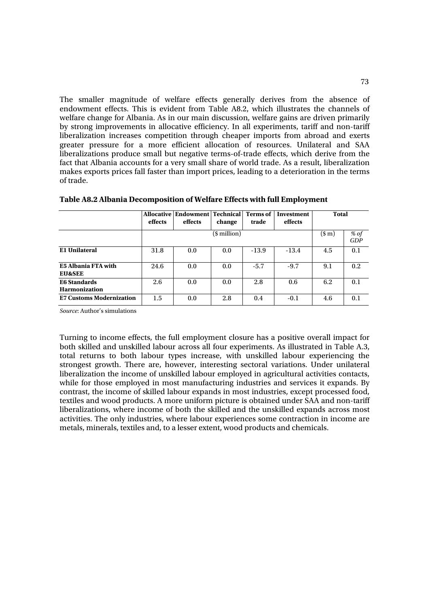The smaller magnitude of welfare effects generally derives from the absence of endowment effects. This is evident from Table A8.2, which illustrates the channels of welfare change for Albania. As in our main discussion, welfare gains are driven primarily by strong improvements in allocative efficiency. In all experiments, tariff and non-tariff liberalization increases competition through cheaper imports from abroad and exerts greater pressure for a more efficient allocation of resources. Unilateral and SAA liberalizations produce small but negative terms-of-trade effects, which derive from the fact that Albania accounts for a very small share of world trade. As a result, liberalization makes exports prices fall faster than import prices, leading to a deterioration in the terms of trade.

|                                             | effects | <b>Allocative   Endowment   Technical</b><br>effects | change           | <b>Terms of</b><br>trade | Investment<br>effects | <b>Total</b> |             |
|---------------------------------------------|---------|------------------------------------------------------|------------------|--------------------------|-----------------------|--------------|-------------|
|                                             |         |                                                      | $($$ million $)$ |                          |                       | $(\$m)$      | % of<br>GDP |
| <b>E1 Unilateral</b>                        | 31.8    | 0.0                                                  | 0.0              | $-13.9$                  | $-13.4$               | 4.5          | 0.1         |
| E5 Albania FTA with<br><b>EU&amp;SEE</b>    | 24.6    | 0.0                                                  | 0.0              | $-5.7$                   | $-9.7$                | 9.1          | 0.2         |
| <b>E6 Standards</b><br><b>Harmonization</b> | 2.6     | 0.0                                                  | 0.0              | 2.8                      | 0.6                   | 6.2          | 0.1         |
| <b>E7 Customs Modernization</b>             | 1.5     | 0.0                                                  | 2.8              | 0.4                      | $-0.1$                | 4.6          | 0.1         |

**Table A8.2 Albania Decomposition of Welfare Effects with full Employment**

*Source*: Author's simulations

Turning to income effects, the full employment closure has a positive overall impact for both skilled and unskilled labour across all four experiments. As illustrated in Table A.3, total returns to both labour types increase, with unskilled labour experiencing the strongest growth. There are, however, interesting sectoral variations. Under unilateral liberalization the income of unskilled labour employed in agricultural activities contacts, while for those employed in most manufacturing industries and services it expands. By contrast, the income of skilled labour expands in most industries, except processed food, textiles and wood products. A more uniform picture is obtained under SAA and non-tariff liberalizations, where income of both the skilled and the unskilled expands across most activities. The only industries, where labour experiences some contraction in income are metals, minerals, textiles and, to a lesser extent, wood products and chemicals.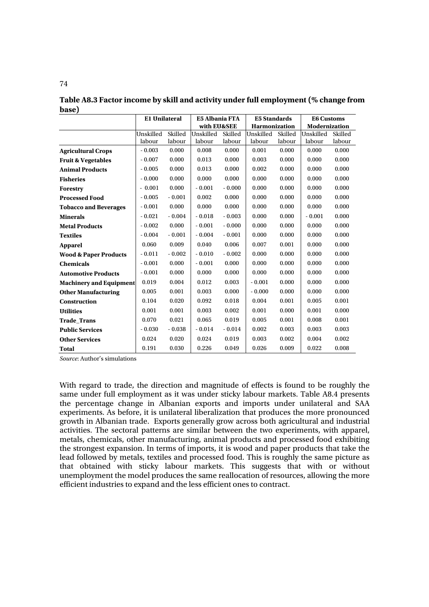**Table A8.3 Factor income by skill and activity under full employment (% change from base)** 

|                                  | <b>E1 Unilateral</b> |          | <b>E5 Albania FTA</b> |          | <b>E5 Standards</b>  |         | <b>E6 Customs</b>    |         |
|----------------------------------|----------------------|----------|-----------------------|----------|----------------------|---------|----------------------|---------|
|                                  |                      |          | with EU&SEE           |          | <b>Harmonization</b> |         | <b>Modernization</b> |         |
|                                  | Unskilled            | Skilled  | Unskilled             | Skilled  | Unskilled            | Skilled | Unskilled            | Skilled |
|                                  | labour               | labour   | labour                | labour   | labour               | labour  | labour               | labour  |
| <b>Agricultural Crops</b>        | $-0.003$             | 0.000    | 0.008                 | 0.000    | 0.001                | 0.000   | 0.000                | 0.000   |
| <b>Fruit &amp; Vegetables</b>    | $-0.007$             | 0.000    | 0.013                 | 0.000    | 0.003                | 0.000   | 0.000                | 0.000   |
| <b>Animal Products</b>           | $-0.005$             | 0.000    | 0.013                 | 0.000    | 0.002                | 0.000   | 0.000                | 0.000   |
| <b>Fisheries</b>                 | $-0.000$             | 0.000    | 0.000                 | 0.000    | 0.000                | 0.000   | 0.000                | 0.000   |
| <b>Forestry</b>                  | $-0.001$             | 0.000    | $-0.001$              | $-0.000$ | 0.000                | 0.000   | 0.000                | 0.000   |
| <b>Processed Food</b>            | $-0.005$             | $-0.001$ | 0.002                 | 0.000    | 0.000                | 0.000   | 0.000                | 0.000   |
| <b>Tobacco and Beverages</b>     | $-0.001$             | 0.000    | 0.000                 | 0.000    | 0.000                | 0.000   | 0.000                | 0.000   |
| <b>Minerals</b>                  | $-0.021$             | $-0.004$ | $-0.018$              | $-0.003$ | 0.000                | 0.000   | $-0.001$             | 0.000   |
| <b>Metal Products</b>            | $-0.002$             | 0.000    | $-0.001$              | $-0.000$ | 0.000                | 0.000   | 0.000                | 0.000   |
| <b>Textiles</b>                  | $-0.004$             | $-0.001$ | $-0.004$              | $-0.001$ | 0.000                | 0.000   | 0.000                | 0.000   |
| <b>Apparel</b>                   | 0.060                | 0.009    | 0.040                 | 0.006    | 0.007                | 0.001   | 0.000                | 0.000   |
| <b>Wood &amp; Paper Products</b> | $-0.011$             | $-0.002$ | $-0.010$              | $-0.002$ | 0.000                | 0.000   | 0.000                | 0.000   |
| <b>Chemicals</b>                 | $-0.001$             | 0.000    | $-0.001$              | 0.000    | 0.000                | 0.000   | 0.000                | 0.000   |
| <b>Automotive Products</b>       | $-0.001$             | 0.000    | 0.000                 | 0.000    | 0.000                | 0.000   | 0.000                | 0.000   |
| <b>Machinery and Equipment</b>   | 0.019                | 0.004    | 0.012                 | 0.003    | $-0.001$             | 0.000   | 0.000                | 0.000   |
| <b>Other Manufacturing</b>       | 0.005                | 0.001    | 0.003                 | 0.000    | $-0.000$             | 0.000   | 0.000                | 0.000   |
| <b>Construction</b>              | 0.104                | 0.020    | 0.092                 | 0.018    | 0.004                | 0.001   | 0.005                | 0.001   |
| <b>Utilities</b>                 | 0.001                | 0.001    | 0.003                 | 0.002    | 0.001                | 0.000   | 0.001                | 0.000   |
| <b>Trade Trans</b>               | 0.070                | 0.021    | 0.065                 | 0.019    | 0.005                | 0.001   | 0.008                | 0.001   |
| <b>Public Services</b>           | $-0.030$             | $-0.038$ | $-0.014$              | $-0.014$ | 0.002                | 0.003   | 0.003                | 0.003   |
| <b>Other Services</b>            | 0.024                | 0.020    | 0.024                 | 0.019    | 0.003                | 0.002   | 0.004                | 0.002   |
| <b>Total</b>                     | 0.191                | 0.030    | 0.226                 | 0.049    | 0.026                | 0.009   | 0.022                | 0.008   |

*Source*: Author's simulations

With regard to trade, the direction and magnitude of effects is found to be roughly the same under full employment as it was under sticky labour markets. Table A8.4 presents the percentage change in Albanian exports and imports under unilateral and SAA experiments. As before, it is unilateral liberalization that produces the more pronounced growth in Albanian trade. Exports generally grow across both agricultural and industrial activities. The sectoral patterns are similar between the two experiments, with apparel, metals, chemicals, other manufacturing, animal products and processed food exhibiting the strongest expansion. In terms of imports, it is wood and paper products that take the lead followed by metals, textiles and processed food. This is roughly the same picture as that obtained with sticky labour markets. This suggests that with or without unemployment the model produces the same reallocation of resources, allowing the more efficient industries to expand and the less efficient ones to contract.

74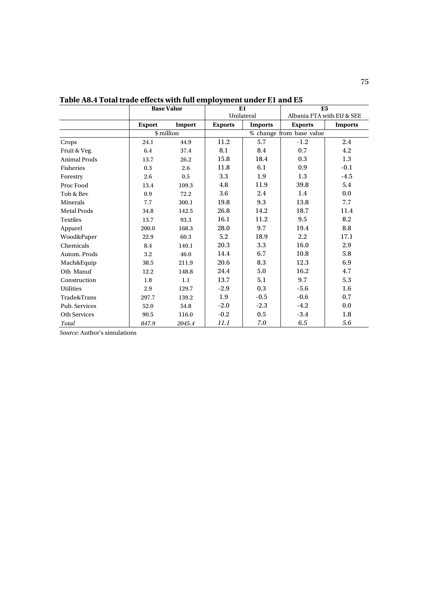|                     | <b>Base Value</b> |            | E1             |                | E <sub>5</sub>           |                           |  |
|---------------------|-------------------|------------|----------------|----------------|--------------------------|---------------------------|--|
|                     |                   |            |                | Unilateral     |                          | Albania FTA with EU & SEE |  |
|                     | <b>Export</b>     | Import     | <b>Exports</b> | <b>Imports</b> | <b>Exports</b>           | <b>Imports</b>            |  |
|                     |                   | \$ million |                |                | % change from base value |                           |  |
| Crops               | 24.1              | 44.9       | 11.2           | 5.7            | $-1.2$                   | 2.4                       |  |
| Fruit & Veg.        | 6.4               | 37.4       | 8.1            | 8.4            | 0.7                      | 4.2                       |  |
| <b>Animal Prods</b> | 13.7              | 26.2       | 15.8           | 18.4           | 0.3                      | 1.3                       |  |
| Fisheries           | 0.3               | 2.6        | 11.8           | 6.1            | 0.9                      | $-0.1$                    |  |
| Forestry            | 2.6               | 0.5        | 3.3            | 1.9            | 1.3                      | $-4.5$                    |  |
| Proc Food           | 13.4              | 109.3      | 4.8            | 11.9           | 39.8                     | 5.4                       |  |
| Tob & Bev           | 0.9               | 72.2       | 3.6            | 2.4            | 1.4                      | 0.0                       |  |
| Minerals            | 7.7               | 300.1      | 19.8           | 9.3            | 13.8                     | 7.7                       |  |
| <b>Metal Prods</b>  | 34.8              | 142.5      | 26.8           | 14.2           | 18.7                     | 11.4                      |  |
| <b>Textiles</b>     | 13.7              | 93.3       | 16.1           | 11.2           | 9.5                      | 8.2                       |  |
| Apparel             | 200.0             | 168.3      | 28.0           | 9.7            | 19.4                     | $\bf 8.8$                 |  |
| Wood&Paper          | 22.9              | 60.3       | 5.2            | 18.9           | 2.2                      | 17.1                      |  |
| Chemicals           | 8.4               | 140.1      | 20.3           | 3.3            | 16.0                     | $2.9\,$                   |  |
| Autom. Prods        | 3.2               | 46.0       | 14.4           | 6.7            | 10.8                     | 5.8                       |  |
| Mach&Equip          | 38.5              | 211.9      | 20.6           | 8.3            | 12.3                     | 6.9                       |  |
| Oth Manuf           | 12.2              | 148.8      | 24.4           | 5.0            | 16.2                     | 4.7                       |  |
| Construction        | 1.8               | 1.1        | 13.7           | 5.1            | 9.7                      | 5.3                       |  |
| <b>Utilities</b>    | 2.9               | 129.7      | $-2.9$         | 0.3            | $-5.6$                   | 1.6                       |  |
| Trade&Trans         | 297.7             | 139.2      | 1.9            | $-0.5$         | $-0.6$                   | 0.7                       |  |
| Pub. Services       | 52.0              | 54.8       | $-2.0$         | $-2.3$         | $-4.2$                   | 0.0                       |  |
| Oth Services        | 90.5              | 116.0      | $-0.2$         | $0.5\,$        | $-3.4$                   | $1.8\,$                   |  |
| Total               | 847.9             | 2045.4     | 11.1           | 7.0            | 6.5                      | 5.6                       |  |

**Table A8.4 Total trade effects with full employment under E1 and E5** 

*Source*: Author's simulations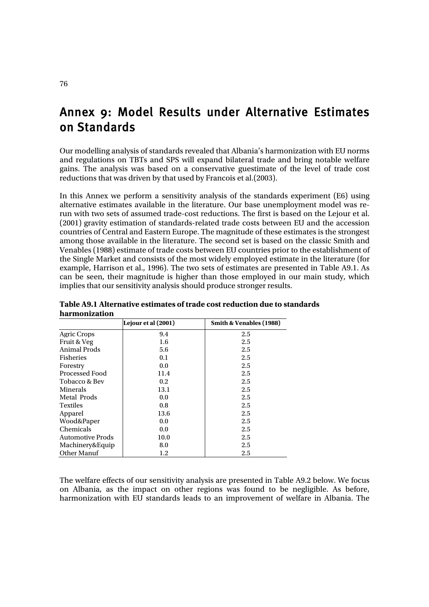# Annex 9: Model Results under Alternative Estimates on Standards

Our modelling analysis of standards revealed that Albania's harmonization with EU norms and regulations on TBTs and SPS will expand bilateral trade and bring notable welfare gains. The analysis was based on a conservative guestimate of the level of trade cost reductions that was driven by that used by Francois et al.(2003).

In this Annex we perform a sensitivity analysis of the standards experiment (E6) using alternative estimates available in the literature. Our base unemployment model was rerun with two sets of assumed trade-cost reductions. The first is based on the Lejour et al. (2001) gravity estimation of standards-related trade costs between EU and the accession countries of Central and Eastern Europe. The magnitude of these estimates is the strongest among those available in the literature. The second set is based on the classic Smith and Venables (1988) estimate of trade costs between EU countries prior to the establishment of the Single Market and consists of the most widely employed estimate in the literature (for example, Harrison et al., 1996). The two sets of estimates are presented in Table A9.1. As can be seen, their magnitude is higher than those employed in our main study, which implies that our sensitivity analysis should produce stronger results.

|                         | Lejour et al (2001) | Smith & Venables (1988) |
|-------------------------|---------------------|-------------------------|
| <b>Agric Crops</b>      | 9.4                 | 2.5                     |
| Fruit & Veg             | 1.6                 | 2.5                     |
| <b>Animal Prods</b>     | 5.6                 | 2.5                     |
| <b>Fisheries</b>        | 0.1                 | 2.5                     |
| Forestry                | 0.0                 | 2.5                     |
| Processed Food          | 11.4                | 2.5                     |
| Tobacco & Bev           | 0.2                 | 2.5                     |
| Minerals                | 13.1                | 2.5                     |
| Metal Prods             | 0.0                 | 2.5                     |
| <b>Textiles</b>         | 0.8                 | 2.5                     |
| Apparel                 | 13.6                | 2.5                     |
| Wood&Paper              | 0.0                 | 2.5                     |
| Chemicals               | 0.0                 | 2.5                     |
| <b>Automotive Prods</b> | 10.0                | 2.5                     |
| Machinery&Equip         | 8.0                 | 2.5                     |
| Other Manuf             | 1.2                 | 2.5                     |

**Table A9.1 Alternative estimates of trade cost reduction due to standards harmonization** 

The welfare effects of our sensitivity analysis are presented in Table A9.2 below. We focus on Albania, as the impact on other regions was found to be negligible. As before, harmonization with EU standards leads to an improvement of welfare in Albania. The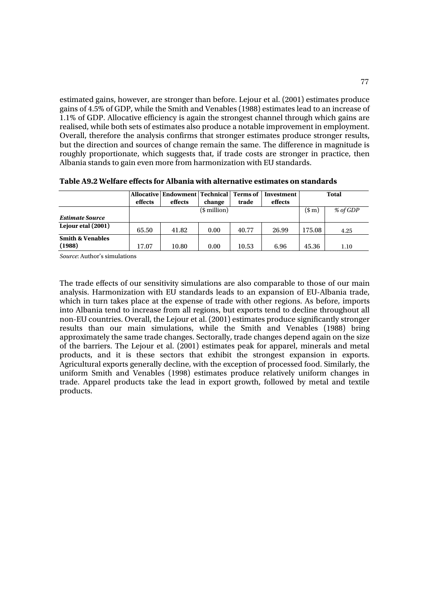estimated gains, however, are stronger than before. Lejour et al. (2001) estimates produce gains of 4.5% of GDP, while the Smith and Venables (1988) estimates lead to an increase of 1.1% of GDP. Allocative efficiency is again the strongest channel through which gains are realised, while both sets of estimates also produce a notable improvement in employment. Overall, therefore the analysis confirms that stronger estimates produce stronger results, but the direction and sources of change remain the same. The difference in magnitude is roughly proportionate, which suggests that, if trade costs are stronger in practice, then Albania stands to gain even more from harmonization with EU standards.

|                             |         | <b>Allocative   Endowment   Technical  </b> |         | Terms of 1 | Investment |        | <b>Total</b> |
|-----------------------------|---------|---------------------------------------------|---------|------------|------------|--------|--------------|
|                             | effects | effects                                     | change  | trade      | effects    |        |              |
|                             |         |                                             | $(\$m)$ | % of GDP   |            |        |              |
| <b>Estimate Source</b>      |         |                                             |         |            |            |        |              |
| Lejour etal (2001)          | 65.50   | 41.82                                       | 0.00    | 40.77      | 26.99      | 175.08 | 4.25         |
| <b>Smith &amp; Venables</b> |         |                                             |         |            |            |        |              |
| (1988)                      | 17.07   | 10.80                                       | 0.00    | 10.53      | 6.96       | 45.36  | 1.10         |

**Table A9.2 Welfare effects for Albania with alternative estimates on standards** 

*Source*: Author's simulations

The trade effects of our sensitivity simulations are also comparable to those of our main analysis. Harmonization with EU standards leads to an expansion of EU-Albania trade, which in turn takes place at the expense of trade with other regions. As before, imports into Albania tend to increase from all regions, but exports tend to decline throughout all non-EU countries. Overall, the Lejour et al. (2001) estimates produce significantly stronger results than our main simulations, while the Smith and Venables (1988) bring approximately the same trade changes. Sectorally, trade changes depend again on the size of the barriers. The Lejour et al. (2001) estimates peak for apparel, minerals and metal products, and it is these sectors that exhibit the strongest expansion in exports. Agricultural exports generally decline, with the exception of processed food. Similarly, the uniform Smith and Venables (1998) estimates produce relatively uniform changes in trade. Apparel products take the lead in export growth, followed by metal and textile products.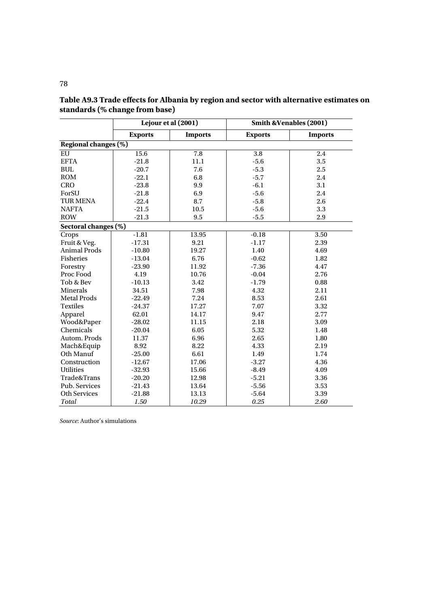|                      |                | Lejour et al (2001) |                | <b>Smith &amp;Venables (2001)</b> |
|----------------------|----------------|---------------------|----------------|-----------------------------------|
|                      | <b>Exports</b> | <b>Imports</b>      | <b>Exports</b> | <b>Imports</b>                    |
| Regional changes (%) |                |                     |                |                                   |
| EU                   | 15.6           | 7.8                 | 3.8            | 2.4                               |
| <b>EFTA</b>          | $-21.8$        | 11.1                | $-5.6$         | 3.5                               |
| <b>BUL</b>           | $-20.7$        | 7.6                 | $-5.3$         | 2.5                               |
| <b>ROM</b>           | $-22.1$        | 6.8                 | $-5.7$         | 2.4                               |
| <b>CRO</b>           | $-23.8$        | 9.9                 | $-6.1$         | 3.1                               |
| ForSU                | $-21.8$        | 6.9                 | $-5.6$         | 2.4                               |
| <b>TUR MENA</b>      | $-22.4$        | 8.7                 | $-5.8$         | 2.6                               |
| <b>NAFTA</b>         | $-21.5$        | 10.5                | $-5.6$         | 3.3                               |
| <b>ROW</b>           | $-21.3$        | 9.5                 | $-5.5$         | 2.9                               |
| Sectoral changes (%) |                |                     |                |                                   |
| Crops                | $-1.81$        | 13.95               | $-0.18$        | 3.50                              |
| Fruit & Veg.         | $-17.31$       | 9.21                | $-1.17$        | 2.39                              |
| <b>Animal Prods</b>  | $-10.80$       | 19.27               | 1.40           | 4.69                              |
| Fisheries            | $-13.04$       | 6.76                | $-0.62$        | 1.82                              |
| Forestry             | $-23.90$       | 11.92               | $-7.36$        | 4.47                              |
| Proc Food            | 4.19           | 10.76               | $-0.04$        | 2.76                              |
| Tob & Bev            | $-10.13$       | 3.42                | $-1.79$        | 0.88                              |
| <b>Minerals</b>      | 34.51          | 7.98                | 4.32           | 2.11                              |
| <b>Metal Prods</b>   | $-22.49$       | 7.24                | 8.53           | 2.61                              |
| <b>Textiles</b>      | $-24.37$       | 17.27               | 7.07           | 3.32                              |
| Apparel              | 62.01          | 14.17               | 9.47           | 2.77                              |
| Wood&Paper           | $-28.02$       | 11.15               | 2.18           | 3.09                              |
| Chemicals            | $-20.04$       | 6.05                | 5.32           | 1.48                              |
| Autom. Prods         | 11.37          | 6.96                | 2.65           | 1.80                              |
| Mach&Equip           | 8.92           | 8.22                | 4.33           | 2.19                              |
| Oth Manuf            | $-25.00$       | 6.61                | 1.49           | 1.74                              |
| Construction         | $-12.67$       | 17.06               | $-3.27$        | 4.36                              |
| <b>Utilities</b>     | $-32.93$       | 15.66               | $-8.49$        | 4.09                              |
| Trade&Trans          | $-20.20$       | 12.98               | $-5.21$        | 3.36                              |
| Pub. Services        | $-21.43$       | 13.64               | $-5.56$        | 3.53                              |
| <b>Oth Services</b>  | $-21.88$       | 13.13               | $-5.64$        | 3.39                              |
| Total                | 1.50           | 10.29               | 0.25           | 2.60                              |

**Table A9.3 Trade effects for Albania by region and sector with alternative estimates on standards (% change from base)**

*Source*: Author's simulations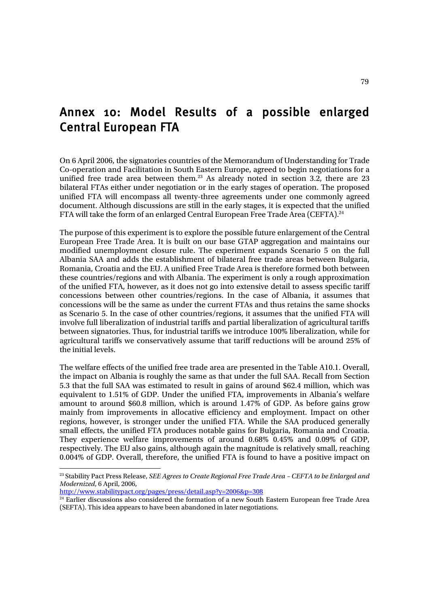# Annex 10: Model Results of a possible enlarged Central European FTA

On 6 April 2006, the signatories countries of the Memorandum of Understanding for Trade Co-operation and Facilitation in South Eastern Europe, agreed to begin negotiations for a unified free trade area between them.<sup>23</sup> As already noted in section 3.2, there are 23 bilateral FTAs either under negotiation or in the early stages of operation. The proposed unified FTA will encompass all twenty-three agreements under one commonly agreed document. Although discussions are still in the early stages, it is expected that the unified FTA will take the form of an enlarged Central European Free Trade Area (CEFTA).<sup>24</sup>

The purpose of this experiment is to explore the possible future enlargement of the Central European Free Trade Area. It is built on our base GTAP aggregation and maintains our modified unemployment closure rule. The experiment expands Scenario 5 on the full Albania SAA and adds the establishment of bilateral free trade areas between Bulgaria, Romania, Croatia and the EU. A unified Free Trade Area is therefore formed both between these countries/regions and with Albania. The experiment is only a rough approximation of the unified FTA, however, as it does not go into extensive detail to assess specific tariff concessions between other countries/regions. In the case of Albania, it assumes that concessions will be the same as under the current FTAs and thus retains the same shocks as Scenario 5. In the case of other countries/regions, it assumes that the unified FTA will involve full liberalization of industrial tariffs and partial liberalization of agricultural tariffs between signatories. Thus, for industrial tariffs we introduce 100% liberalization, while for agricultural tariffs we conservatively assume that tariff reductions will be around 25% of the initial levels.

The welfare effects of the unified free trade area are presented in the Table A10.1. Overall, the impact on Albania is roughly the same as that under the full SAA. Recall from Section 5.3 that the full SAA was estimated to result in gains of around \$62.4 million, which was equivalent to 1.51% of GDP. Under the unified FTA, improvements in Albania's welfare amount to around \$60.8 million, which is around 1.47% of GDP. As before gains grow mainly from improvements in allocative efficiency and employment. Impact on other regions, however, is stronger under the unified FTA. While the SAA produced generally small effects, the unified FTA produces notable gains for Bulgaria, Romania and Croatia. They experience welfare improvements of around 0.68% 0.45% and 0.09% of GDP, respectively. The EU also gains, although again the magnitude is relatively small, reaching 0.004% of GDP. Overall, therefore, the unified FTA is found to have a positive impact on

23 Stability Pact Press Release, *SEE Agrees to Create Regional Free Trade Area – CEFTA to be Enlarged and Modernized*, 6 April, 2006,

http://www.stabilitypact.org/pages/press/detail.asp?y=2006&p=308

<sup>24</sup> Earlier discussions also considered the formation of a new South Eastern European free Trade Area (SEFTA). This idea appears to have been abandoned in later negotiations.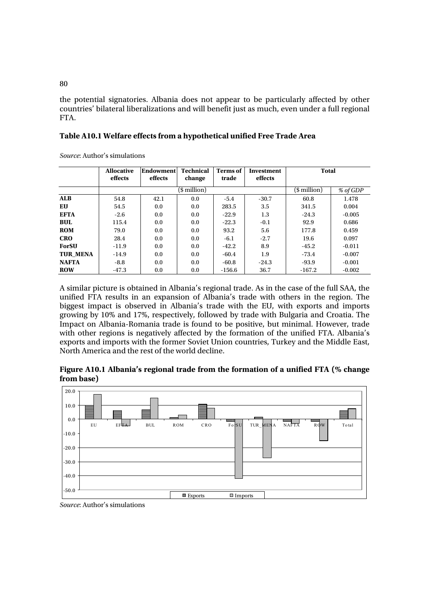the potential signatories. Albania does not appear to be particularly affected by other countries' bilateral liberalizations and will benefit just as much, even under a full regional FTA.

| <i>Source:</i> Author's simulations |                              |                             |                            |                          |                       |              |          |
|-------------------------------------|------------------------------|-----------------------------|----------------------------|--------------------------|-----------------------|--------------|----------|
|                                     | <b>Allocative</b><br>effects | <b>Endowment</b><br>effects | <b>Technical</b><br>change | <b>Terms</b> of<br>trade | Investment<br>effects | <b>Total</b> |          |
|                                     |                              |                             | (\$ million)               |                          |                       | (\$ million) | % of GDP |
| <b>ALB</b>                          | 54.8                         | 42.1                        | 0.0                        | $-5.4$                   | $-30.7$               | 60.8         | 1.478    |
| <b>EU</b>                           | 54.5                         | 0.0                         | 0.0                        | 283.5                    | 3.5                   | 341.5        | 0.004    |
| <b>EFTA</b>                         | $-2.6$                       | 0.0                         | 0.0                        | $-22.9$                  | 1.3                   | $-24.3$      | $-0.005$ |
| <b>BUL</b>                          | 115.4                        | 0.0                         | 0.0                        | $-22.3$                  | $-0.1$                | 92.9         | 0.686    |
| <b>ROM</b>                          | 79.0                         | 0.0                         | 0.0                        | 93.2                     | 5.6                   | 177.8        | 0.459    |
| <b>CRO</b>                          | 28.4                         | 0.0                         | 0.0                        | $-6.1$                   | $-2.7$                | 19.6         | 0.097    |
| ForSU                               | $-11.9$                      | 0.0                         | 0.0                        | $-42.2$                  | 8.9                   | $-45.2$      | $-0.011$ |
| <b>TUR MENA</b>                     | $-14.9$                      | 0.0                         | 0.0                        | $-60.4$                  | 1.9                   | $-73.4$      | $-0.007$ |
| <b>NAFTA</b>                        | $-8.8$                       | 0.0                         | 0.0                        | $-60.8$                  | $-24.3$               | $-93.9$      | $-0.001$ |
| <b>ROW</b>                          | $-47.3$                      | 0.0                         | 0.0                        | $-156.6$                 | 36.7                  | $-167.2$     | $-0.002$ |

**Table A10.1 Welfare effects from a hypothetical unified Free Trade Area** 

A similar picture is obtained in Albania's regional trade. As in the case of the full SAA, the unified FTA results in an expansion of Albania's trade with others in the region. The biggest impact is observed in Albania's trade with the EU, with exports and imports growing by 10% and 17%, respectively, followed by trade with Bulgaria and Croatia. The Impact on Albania-Romania trade is found to be positive, but minimal. However, trade with other regions is negatively affected by the formation of the unified FTA. Albania's exports and imports with the former Soviet Union countries, Turkey and the Middle East, North America and the rest of the world decline.

### **Figure A10.1 Albania's regional trade from the formation of a unified FTA (% change from base)**



*Source*: Author's simulations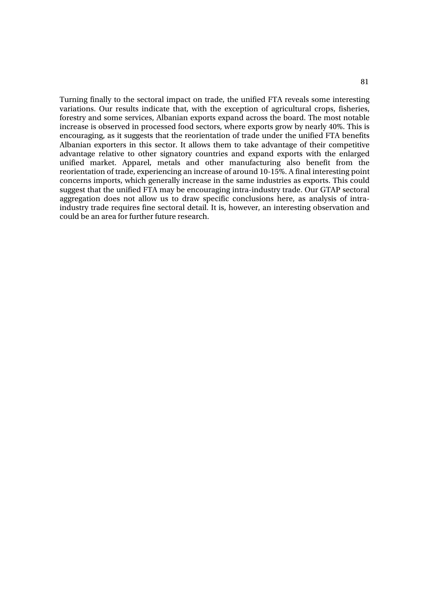Turning finally to the sectoral impact on trade, the unified FTA reveals some interesting variations. Our results indicate that, with the exception of agricultural crops, fisheries, forestry and some services, Albanian exports expand across the board. The most notable increase is observed in processed food sectors, where exports grow by nearly 40%. This is encouraging, as it suggests that the reorientation of trade under the unified FTA benefits Albanian exporters in this sector. It allows them to take advantage of their competitive advantage relative to other signatory countries and expand exports with the enlarged unified market. Apparel, metals and other manufacturing also benefit from the reorientation of trade, experiencing an increase of around 10-15%. A final interesting point concerns imports, which generally increase in the same industries as exports. This could suggest that the unified FTA may be encouraging intra-industry trade. Our GTAP sectoral aggregation does not allow us to draw specific conclusions here, as analysis of intraindustry trade requires fine sectoral detail. It is, however, an interesting observation and could be an area for further future research.